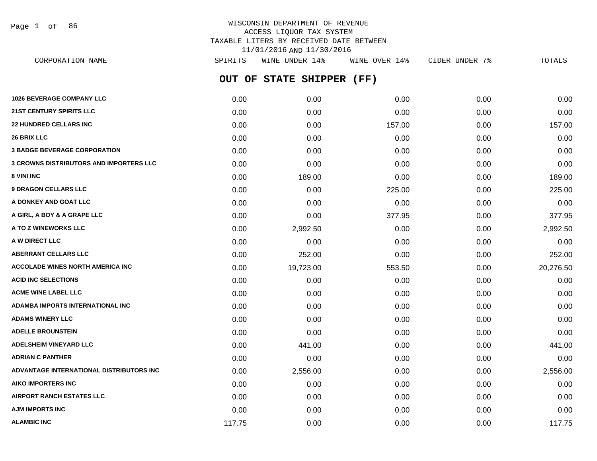Page 1 of 86

| CORPORATION NAME                         | SPIRITS | WINE UNDER 14%            | WINE OVER 14% | CIDER UNDER 7% | TOTALS    |
|------------------------------------------|---------|---------------------------|---------------|----------------|-----------|
|                                          |         | OUT OF STATE SHIPPER (FF) |               |                |           |
| <b>1026 BEVERAGE COMPANY LLC</b>         | 0.00    | 0.00                      | 0.00          | 0.00           | 0.00      |
| <b>21ST CENTURY SPIRITS LLC</b>          | 0.00    | 0.00                      | 0.00          | 0.00           | 0.00      |
| <b>22 HUNDRED CELLARS INC</b>            | 0.00    | 0.00                      | 157.00        | 0.00           | 157.00    |
| <b>26 BRIX LLC</b>                       | 0.00    | 0.00                      | 0.00          | 0.00           | 0.00      |
| <b>3 BADGE BEVERAGE CORPORATION</b>      | 0.00    | 0.00                      | 0.00          | 0.00           | 0.00      |
| 3 CROWNS DISTRIBUTORS AND IMPORTERS LLC  | 0.00    | 0.00                      | 0.00          | 0.00           | 0.00      |
| 8 VINI INC                               | 0.00    | 189.00                    | 0.00          | 0.00           | 189.00    |
| <b>9 DRAGON CELLARS LLC</b>              | 0.00    | 0.00                      | 225.00        | 0.00           | 225.00    |
| A DONKEY AND GOAT LLC                    | 0.00    | 0.00                      | 0.00          | 0.00           | 0.00      |
| A GIRL, A BOY & A GRAPE LLC              | 0.00    | 0.00                      | 377.95        | 0.00           | 377.95    |
| <b>A TO Z WINEWORKS LLC</b>              | 0.00    | 2,992.50                  | 0.00          | 0.00           | 2,992.50  |
| <b>A W DIRECT LLC</b>                    | 0.00    | 0.00                      | 0.00          | 0.00           | 0.00      |
| ABERRANT CELLARS LLC                     | 0.00    | 252.00                    | 0.00          | 0.00           | 252.00    |
| <b>ACCOLADE WINES NORTH AMERICA INC</b>  | 0.00    | 19,723.00                 | 553.50        | 0.00           | 20,276.50 |
| <b>ACID INC SELECTIONS</b>               | 0.00    | 0.00                      | 0.00          | 0.00           | 0.00      |
| <b>ACME WINE LABEL LLC</b>               | 0.00    | 0.00                      | 0.00          | 0.00           | 0.00      |
| ADAMBA IMPORTS INTERNATIONAL INC         | 0.00    | 0.00                      | 0.00          | 0.00           | 0.00      |
| ADAMS WINERY LLC                         | 0.00    | 0.00                      | 0.00          | 0.00           | 0.00      |
| <b>ADELLE BROUNSTEIN</b>                 | 0.00    | 0.00                      | 0.00          | 0.00           | 0.00      |
| <b>ADELSHEIM VINEYARD LLC</b>            | 0.00    | 441.00                    | 0.00          | 0.00           | 441.00    |
| ADRIAN C PANTHER                         | 0.00    | 0.00                      | 0.00          | 0.00           | 0.00      |
| ADVANTAGE INTERNATIONAL DISTRIBUTORS INC | 0.00    | 2,556.00                  | 0.00          | 0.00           | 2,556.00  |
| AIKO IMPORTERS INC                       | 0.00    | 0.00                      | 0.00          | 0.00           | 0.00      |
| AIRPORT RANCH ESTATES LLC                | 0.00    | 0.00                      | 0.00          | 0.00           | 0.00      |
| AJM IMPORTS INC                          | 0.00    | 0.00                      | 0.00          | 0.00           | 0.00      |
| <b>ALAMBIC INC</b>                       | 117.75  | 0.00                      | 0.00          | 0.00           | 117.75    |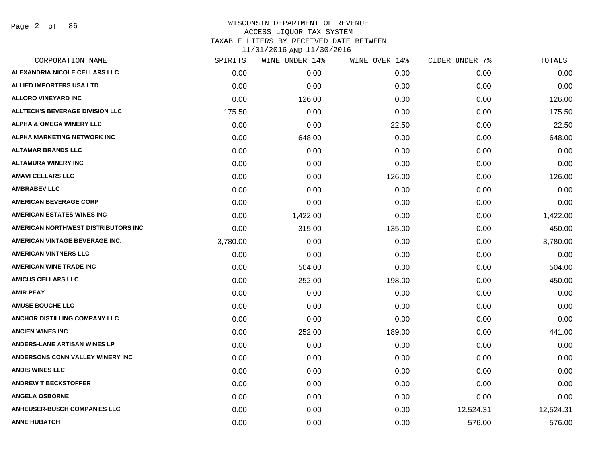| CORPORATION NAME                       | SPIRITS  | WINE UNDER 14% | WINE OVER 14% | CIDER UNDER 7% | <b>TOTALS</b> |
|----------------------------------------|----------|----------------|---------------|----------------|---------------|
| ALEXANDRIA NICOLE CELLARS LLC          | 0.00     | 0.00           | 0.00          | 0.00           | 0.00          |
| <b>ALLIED IMPORTERS USA LTD</b>        | 0.00     | 0.00           | 0.00          | 0.00           | 0.00          |
| <b>ALLORO VINEYARD INC</b>             | 0.00     | 126.00         | 0.00          | 0.00           | 126.00        |
| <b>ALLTECH'S BEVERAGE DIVISION LLC</b> | 175.50   | 0.00           | 0.00          | 0.00           | 175.50        |
| <b>ALPHA &amp; OMEGA WINERY LLC</b>    | 0.00     | 0.00           | 22.50         | 0.00           | 22.50         |
| ALPHA MARKETING NETWORK INC            | 0.00     | 648.00         | 0.00          | 0.00           | 648.00        |
| <b>ALTAMAR BRANDS LLC</b>              | 0.00     | 0.00           | 0.00          | 0.00           | 0.00          |
| <b>ALTAMURA WINERY INC</b>             | 0.00     | 0.00           | 0.00          | 0.00           | 0.00          |
| <b>AMAVI CELLARS LLC</b>               | 0.00     | 0.00           | 126.00        | 0.00           | 126.00        |
| <b>AMBRABEV LLC</b>                    | 0.00     | 0.00           | 0.00          | 0.00           | 0.00          |
| <b>AMERICAN BEVERAGE CORP</b>          | 0.00     | 0.00           | 0.00          | 0.00           | 0.00          |
| <b>AMERICAN ESTATES WINES INC</b>      | 0.00     | 1,422.00       | 0.00          | 0.00           | 1,422.00      |
| AMERICAN NORTHWEST DISTRIBUTORS INC    | 0.00     | 315.00         | 135.00        | 0.00           | 450.00        |
| AMERICAN VINTAGE BEVERAGE INC.         | 3,780.00 | 0.00           | 0.00          | 0.00           | 3,780.00      |
| <b>AMERICAN VINTNERS LLC</b>           | 0.00     | 0.00           | 0.00          | 0.00           | 0.00          |
| <b>AMERICAN WINE TRADE INC</b>         | 0.00     | 504.00         | 0.00          | 0.00           | 504.00        |
| <b>AMICUS CELLARS LLC</b>              | 0.00     | 252.00         | 198.00        | 0.00           | 450.00        |
| <b>AMIR PEAY</b>                       | 0.00     | 0.00           | 0.00          | 0.00           | 0.00          |
| <b>AMUSE BOUCHE LLC</b>                | 0.00     | 0.00           | 0.00          | 0.00           | 0.00          |
| ANCHOR DISTILLING COMPANY LLC          | 0.00     | 0.00           | 0.00          | 0.00           | 0.00          |
| <b>ANCIEN WINES INC</b>                | 0.00     | 252.00         | 189.00        | 0.00           | 441.00        |
| <b>ANDERS-LANE ARTISAN WINES LP</b>    | 0.00     | 0.00           | 0.00          | 0.00           | 0.00          |
| ANDERSONS CONN VALLEY WINERY INC       | 0.00     | 0.00           | 0.00          | 0.00           | 0.00          |
| <b>ANDIS WINES LLC</b>                 | 0.00     | 0.00           | 0.00          | 0.00           | 0.00          |
| <b>ANDREW T BECKSTOFFER</b>            | 0.00     | 0.00           | 0.00          | 0.00           | 0.00          |
| <b>ANGELA OSBORNE</b>                  | 0.00     | 0.00           | 0.00          | 0.00           | 0.00          |
| <b>ANHEUSER-BUSCH COMPANIES LLC</b>    | 0.00     | 0.00           | 0.00          | 12,524.31      | 12,524.31     |
| <b>ANNE HUBATCH</b>                    | 0.00     | 0.00           | 0.00          | 576.00         | 576.00        |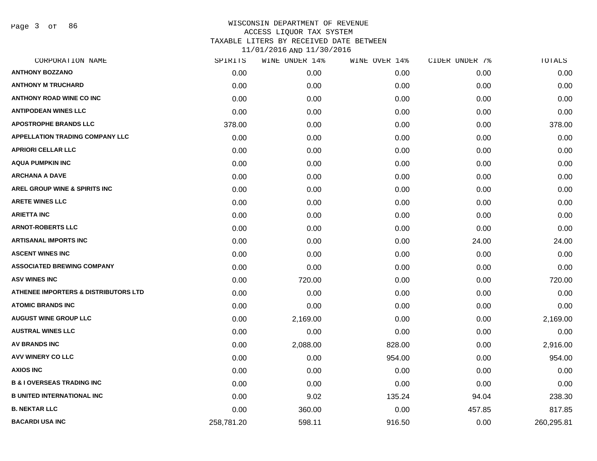Page 3 of 86

| CORPORATION NAME                       | SPIRITS    | WINE UNDER 14% | WINE OVER 14% | CIDER UNDER 7% | <b>TOTALS</b> |
|----------------------------------------|------------|----------------|---------------|----------------|---------------|
| <b>ANTHONY BOZZANO</b>                 | 0.00       | 0.00           | 0.00          | 0.00           | 0.00          |
| <b>ANTHONY M TRUCHARD</b>              | 0.00       | 0.00           | 0.00          | 0.00           | 0.00          |
| <b>ANTHONY ROAD WINE CO INC</b>        | 0.00       | 0.00           | 0.00          | 0.00           | 0.00          |
| <b>ANTIPODEAN WINES LLC</b>            | 0.00       | 0.00           | 0.00          | 0.00           | 0.00          |
| <b>APOSTROPHE BRANDS LLC</b>           | 378.00     | 0.00           | 0.00          | 0.00           | 378.00        |
| <b>APPELLATION TRADING COMPANY LLC</b> | 0.00       | 0.00           | 0.00          | 0.00           | 0.00          |
| <b>APRIORI CELLAR LLC</b>              | 0.00       | 0.00           | 0.00          | 0.00           | 0.00          |
| <b>AQUA PUMPKIN INC</b>                | 0.00       | 0.00           | 0.00          | 0.00           | 0.00          |
| <b>ARCHANA A DAVE</b>                  | 0.00       | 0.00           | 0.00          | 0.00           | 0.00          |
| AREL GROUP WINE & SPIRITS INC          | 0.00       | 0.00           | 0.00          | 0.00           | 0.00          |
| <b>ARETE WINES LLC</b>                 | 0.00       | 0.00           | 0.00          | 0.00           | 0.00          |
| <b>ARIETTA INC</b>                     | 0.00       | 0.00           | 0.00          | 0.00           | 0.00          |
| <b>ARNOT-ROBERTS LLC</b>               | 0.00       | 0.00           | 0.00          | 0.00           | 0.00          |
| <b>ARTISANAL IMPORTS INC</b>           | 0.00       | 0.00           | 0.00          | 24.00          | 24.00         |
| <b>ASCENT WINES INC</b>                | 0.00       | 0.00           | 0.00          | 0.00           | 0.00          |
| <b>ASSOCIATED BREWING COMPANY</b>      | 0.00       | 0.00           | 0.00          | 0.00           | 0.00          |
| <b>ASV WINES INC</b>                   | 0.00       | 720.00         | 0.00          | 0.00           | 720.00        |
| ATHENEE IMPORTERS & DISTRIBUTORS LTD   | 0.00       | 0.00           | 0.00          | 0.00           | 0.00          |
| <b>ATOMIC BRANDS INC</b>               | 0.00       | 0.00           | 0.00          | 0.00           | 0.00          |
| <b>AUGUST WINE GROUP LLC</b>           | 0.00       | 2,169.00       | 0.00          | 0.00           | 2,169.00      |
| <b>AUSTRAL WINES LLC</b>               | 0.00       | 0.00           | 0.00          | 0.00           | 0.00          |
| <b>AV BRANDS INC</b>                   | 0.00       | 2,088.00       | 828.00        | 0.00           | 2,916.00      |
| <b>AVV WINERY CO LLC</b>               | 0.00       | 0.00           | 954.00        | 0.00           | 954.00        |
| <b>AXIOS INC</b>                       | 0.00       | 0.00           | 0.00          | 0.00           | 0.00          |
| <b>B &amp; I OVERSEAS TRADING INC</b>  | 0.00       | 0.00           | 0.00          | 0.00           | 0.00          |
| <b>B UNITED INTERNATIONAL INC</b>      | 0.00       | 9.02           | 135.24        | 94.04          | 238.30        |
| <b>B. NEKTAR LLC</b>                   | 0.00       | 360.00         | 0.00          | 457.85         | 817.85        |
| <b>BACARDI USA INC</b>                 | 258,781.20 | 598.11         | 916.50        | 0.00           | 260,295.81    |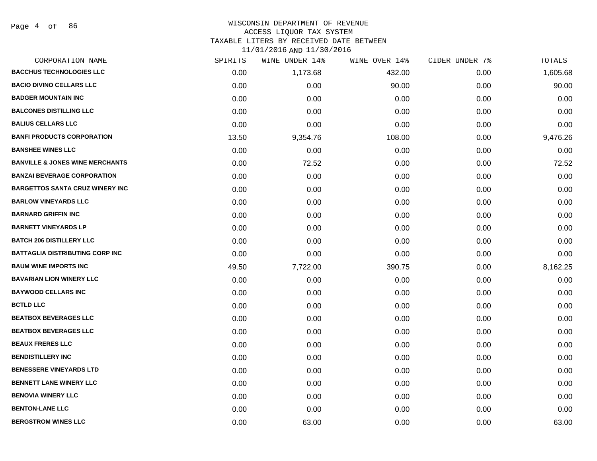## WISCONSIN DEPARTMENT OF REVENUE ACCESS LIQUOR TAX SYSTEM

TAXABLE LITERS BY RECEIVED DATE BETWEEN

| CORPORATION NAME                           | SPIRITS | WINE UNDER 14% | WINE OVER 14% | CIDER UNDER 7% | TOTALS   |
|--------------------------------------------|---------|----------------|---------------|----------------|----------|
| <b>BACCHUS TECHNOLOGIES LLC</b>            | 0.00    | 1,173.68       | 432.00        | 0.00           | 1,605.68 |
| <b>BACIO DIVINO CELLARS LLC</b>            | 0.00    | 0.00           | 90.00         | 0.00           | 90.00    |
| <b>BADGER MOUNTAIN INC</b>                 | 0.00    | 0.00           | 0.00          | 0.00           | 0.00     |
| <b>BALCONES DISTILLING LLC</b>             | 0.00    | 0.00           | 0.00          | 0.00           | 0.00     |
| <b>BALIUS CELLARS LLC</b>                  | 0.00    | 0.00           | 0.00          | 0.00           | 0.00     |
| <b>BANFI PRODUCTS CORPORATION</b>          | 13.50   | 9,354.76       | 108.00        | 0.00           | 9,476.26 |
| <b>BANSHEE WINES LLC</b>                   | 0.00    | 0.00           | 0.00          | 0.00           | 0.00     |
| <b>BANVILLE &amp; JONES WINE MERCHANTS</b> | 0.00    | 72.52          | 0.00          | 0.00           | 72.52    |
| <b>BANZAI BEVERAGE CORPORATION</b>         | 0.00    | 0.00           | 0.00          | 0.00           | 0.00     |
| <b>BARGETTOS SANTA CRUZ WINERY INC</b>     | 0.00    | 0.00           | 0.00          | 0.00           | 0.00     |
| <b>BARLOW VINEYARDS LLC</b>                | 0.00    | 0.00           | 0.00          | 0.00           | 0.00     |
| <b>BARNARD GRIFFIN INC</b>                 | 0.00    | 0.00           | 0.00          | 0.00           | 0.00     |
| <b>BARNETT VINEYARDS LP</b>                | 0.00    | 0.00           | 0.00          | 0.00           | 0.00     |
| <b>BATCH 206 DISTILLERY LLC</b>            | 0.00    | 0.00           | 0.00          | 0.00           | 0.00     |
| <b>BATTAGLIA DISTRIBUTING CORP INC</b>     | 0.00    | 0.00           | 0.00          | 0.00           | 0.00     |
| <b>BAUM WINE IMPORTS INC</b>               | 49.50   | 7,722.00       | 390.75        | 0.00           | 8,162.25 |
| <b>BAVARIAN LION WINERY LLC</b>            | 0.00    | 0.00           | 0.00          | 0.00           | 0.00     |
| <b>BAYWOOD CELLARS INC</b>                 | 0.00    | 0.00           | 0.00          | 0.00           | 0.00     |
| <b>BCTLD LLC</b>                           | 0.00    | 0.00           | 0.00          | 0.00           | 0.00     |
| <b>BEATBOX BEVERAGES LLC</b>               | 0.00    | 0.00           | 0.00          | 0.00           | 0.00     |
| <b>BEATBOX BEVERAGES LLC</b>               | 0.00    | 0.00           | 0.00          | 0.00           | 0.00     |
| <b>BEAUX FRERES LLC</b>                    | 0.00    | 0.00           | 0.00          | 0.00           | 0.00     |
| <b>BENDISTILLERY INC</b>                   | 0.00    | 0.00           | 0.00          | 0.00           | 0.00     |
| <b>BENESSERE VINEYARDS LTD</b>             | 0.00    | 0.00           | 0.00          | 0.00           | 0.00     |
| <b>BENNETT LANE WINERY LLC</b>             | 0.00    | 0.00           | 0.00          | 0.00           | 0.00     |
| <b>BENOVIA WINERY LLC</b>                  | 0.00    | 0.00           | 0.00          | 0.00           | 0.00     |
| <b>BENTON-LANE LLC</b>                     | 0.00    | 0.00           | 0.00          | 0.00           | 0.00     |
| <b>BERGSTROM WINES LLC</b>                 | 0.00    | 63.00          | 0.00          | 0.00           | 63.00    |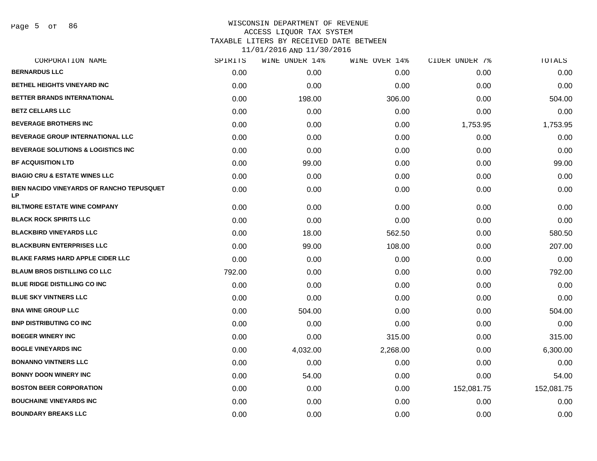Page 5 of 86

| SPIRITS | WINE UNDER 14% | WINE OVER 14% | CIDER UNDER 7% | TOTALS     |
|---------|----------------|---------------|----------------|------------|
| 0.00    | 0.00           | 0.00          | 0.00           | 0.00       |
| 0.00    | 0.00           | 0.00          | 0.00           | 0.00       |
| 0.00    | 198.00         | 306.00        | 0.00           | 504.00     |
| 0.00    | 0.00           | 0.00          | 0.00           | 0.00       |
| 0.00    | 0.00           | 0.00          | 1,753.95       | 1,753.95   |
| 0.00    | 0.00           | 0.00          | 0.00           | 0.00       |
| 0.00    | 0.00           | 0.00          | 0.00           | 0.00       |
| 0.00    | 99.00          | 0.00          | 0.00           | 99.00      |
| 0.00    | 0.00           | 0.00          | 0.00           | 0.00       |
| 0.00    | 0.00           | 0.00          | 0.00           | 0.00       |
| 0.00    | 0.00           | 0.00          | 0.00           | 0.00       |
| 0.00    | 0.00           | 0.00          | 0.00           | 0.00       |
| 0.00    | 18.00          | 562.50        | 0.00           | 580.50     |
| 0.00    | 99.00          | 108.00        | 0.00           | 207.00     |
| 0.00    | 0.00           | 0.00          | 0.00           | 0.00       |
| 792.00  | 0.00           | 0.00          | 0.00           | 792.00     |
| 0.00    | 0.00           | 0.00          | 0.00           | 0.00       |
| 0.00    | 0.00           | 0.00          | 0.00           | 0.00       |
| 0.00    | 504.00         | 0.00          | 0.00           | 504.00     |
| 0.00    | 0.00           | 0.00          | 0.00           | 0.00       |
| 0.00    | 0.00           | 315.00        | 0.00           | 315.00     |
| 0.00    | 4,032.00       | 2,268.00      | 0.00           | 6,300.00   |
| 0.00    | 0.00           | 0.00          | 0.00           | 0.00       |
| 0.00    | 54.00          | 0.00          | 0.00           | 54.00      |
| 0.00    | 0.00           | 0.00          | 152,081.75     | 152,081.75 |
| 0.00    | 0.00           | 0.00          | 0.00           | 0.00       |
| 0.00    | 0.00           | 0.00          | 0.00           | 0.00       |
|         |                |               |                |            |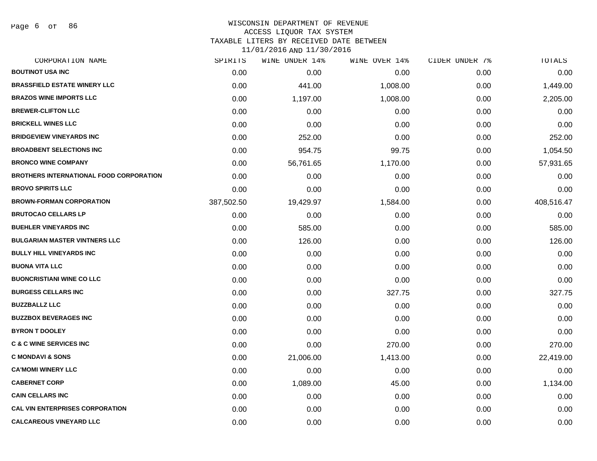Page 6 of 86

#### WISCONSIN DEPARTMENT OF REVENUE ACCESS LIQUOR TAX SYSTEM

TAXABLE LITERS BY RECEIVED DATE BETWEEN

| CORPORATION NAME                               | SPIRITS    | WINE UNDER 14% | WINE OVER 14% | CIDER UNDER 7% | TOTALS     |
|------------------------------------------------|------------|----------------|---------------|----------------|------------|
| <b>BOUTINOT USA INC</b>                        | 0.00       | 0.00           | 0.00          | 0.00           | 0.00       |
| <b>BRASSFIELD ESTATE WINERY LLC</b>            | 0.00       | 441.00         | 1,008.00      | 0.00           | 1,449.00   |
| <b>BRAZOS WINE IMPORTS LLC</b>                 | 0.00       | 1,197.00       | 1,008.00      | 0.00           | 2,205.00   |
| <b>BREWER-CLIFTON LLC</b>                      | 0.00       | 0.00           | 0.00          | 0.00           | 0.00       |
| <b>BRICKELL WINES LLC</b>                      | 0.00       | 0.00           | 0.00          | 0.00           | 0.00       |
| <b>BRIDGEVIEW VINEYARDS INC</b>                | 0.00       | 252.00         | 0.00          | 0.00           | 252.00     |
| <b>BROADBENT SELECTIONS INC</b>                | 0.00       | 954.75         | 99.75         | 0.00           | 1,054.50   |
| <b>BRONCO WINE COMPANY</b>                     | 0.00       | 56,761.65      | 1,170.00      | 0.00           | 57,931.65  |
| <b>BROTHERS INTERNATIONAL FOOD CORPORATION</b> | 0.00       | 0.00           | 0.00          | 0.00           | 0.00       |
| <b>BROVO SPIRITS LLC</b>                       | 0.00       | 0.00           | 0.00          | 0.00           | 0.00       |
| <b>BROWN-FORMAN CORPORATION</b>                | 387,502.50 | 19,429.97      | 1,584.00      | 0.00           | 408,516.47 |
| <b>BRUTOCAO CELLARS LP</b>                     | 0.00       | 0.00           | 0.00          | 0.00           | 0.00       |
| <b>BUEHLER VINEYARDS INC</b>                   | 0.00       | 585.00         | 0.00          | 0.00           | 585.00     |
| <b>BULGARIAN MASTER VINTNERS LLC</b>           | 0.00       | 126.00         | 0.00          | 0.00           | 126.00     |
| <b>BULLY HILL VINEYARDS INC</b>                | 0.00       | 0.00           | 0.00          | 0.00           | 0.00       |
| <b>BUONA VITA LLC</b>                          | 0.00       | 0.00           | 0.00          | 0.00           | 0.00       |
| <b>BUONCRISTIANI WINE CO LLC</b>               | 0.00       | 0.00           | 0.00          | 0.00           | 0.00       |
| <b>BURGESS CELLARS INC</b>                     | 0.00       | 0.00           | 327.75        | 0.00           | 327.75     |
| <b>BUZZBALLZ LLC</b>                           | 0.00       | 0.00           | 0.00          | 0.00           | 0.00       |
| <b>BUZZBOX BEVERAGES INC</b>                   | 0.00       | 0.00           | 0.00          | 0.00           | 0.00       |
| <b>BYRON T DOOLEY</b>                          | 0.00       | 0.00           | 0.00          | 0.00           | 0.00       |
| <b>C &amp; C WINE SERVICES INC</b>             | 0.00       | 0.00           | 270.00        | 0.00           | 270.00     |
| <b>C MONDAVI &amp; SONS</b>                    | 0.00       | 21,006.00      | 1,413.00      | 0.00           | 22,419.00  |
| <b>CA'MOMI WINERY LLC</b>                      | 0.00       | 0.00           | 0.00          | 0.00           | 0.00       |
| <b>CABERNET CORP</b>                           | 0.00       | 1,089.00       | 45.00         | 0.00           | 1,134.00   |
| <b>CAIN CELLARS INC</b>                        | 0.00       | 0.00           | 0.00          | 0.00           | 0.00       |
| <b>CAL VIN ENTERPRISES CORPORATION</b>         | 0.00       | 0.00           | 0.00          | 0.00           | 0.00       |
| <b>CALCAREOUS VINEYARD LLC</b>                 | 0.00       | 0.00           | 0.00          | 0.00           | 0.00       |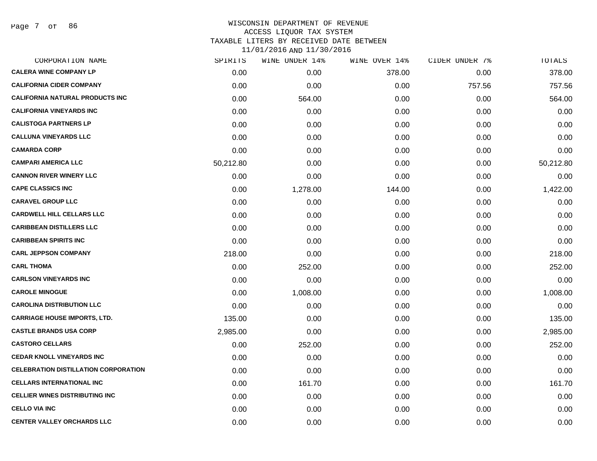Page 7 of 86

| CORPORATION NAME                            | SPIRITS   | WINE UNDER 14% | WINE OVER 14% | CIDER UNDER 7% | TOTALS    |
|---------------------------------------------|-----------|----------------|---------------|----------------|-----------|
| <b>CALERA WINE COMPANY LP</b>               | 0.00      | 0.00           | 378.00        | 0.00           | 378.00    |
| <b>CALIFORNIA CIDER COMPANY</b>             | 0.00      | 0.00           | 0.00          | 757.56         | 757.56    |
| <b>CALIFORNIA NATURAL PRODUCTS INC</b>      | 0.00      | 564.00         | 0.00          | 0.00           | 564.00    |
| <b>CALIFORNIA VINEYARDS INC</b>             | 0.00      | 0.00           | 0.00          | 0.00           | 0.00      |
| <b>CALISTOGA PARTNERS LP</b>                | 0.00      | 0.00           | 0.00          | 0.00           | 0.00      |
| <b>CALLUNA VINEYARDS LLC</b>                | 0.00      | 0.00           | 0.00          | 0.00           | 0.00      |
| <b>CAMARDA CORP</b>                         | 0.00      | 0.00           | 0.00          | 0.00           | 0.00      |
| <b>CAMPARI AMERICA LLC</b>                  | 50,212.80 | 0.00           | 0.00          | 0.00           | 50,212.80 |
| <b>CANNON RIVER WINERY LLC</b>              | 0.00      | 0.00           | 0.00          | 0.00           | 0.00      |
| <b>CAPE CLASSICS INC</b>                    | 0.00      | 1,278.00       | 144.00        | 0.00           | 1,422.00  |
| <b>CARAVEL GROUP LLC</b>                    | 0.00      | 0.00           | 0.00          | 0.00           | 0.00      |
| <b>CARDWELL HILL CELLARS LLC</b>            | 0.00      | 0.00           | 0.00          | 0.00           | 0.00      |
| <b>CARIBBEAN DISTILLERS LLC</b>             | 0.00      | 0.00           | 0.00          | 0.00           | 0.00      |
| <b>CARIBBEAN SPIRITS INC</b>                | 0.00      | 0.00           | 0.00          | 0.00           | 0.00      |
| <b>CARL JEPPSON COMPANY</b>                 | 218.00    | 0.00           | 0.00          | 0.00           | 218.00    |
| <b>CARL THOMA</b>                           | 0.00      | 252.00         | 0.00          | 0.00           | 252.00    |
| <b>CARLSON VINEYARDS INC</b>                | 0.00      | 0.00           | 0.00          | 0.00           | 0.00      |
| <b>CAROLE MINOGUE</b>                       | 0.00      | 1,008.00       | 0.00          | 0.00           | 1,008.00  |
| <b>CAROLINA DISTRIBUTION LLC</b>            | 0.00      | 0.00           | 0.00          | 0.00           | 0.00      |
| <b>CARRIAGE HOUSE IMPORTS, LTD.</b>         | 135.00    | 0.00           | 0.00          | 0.00           | 135.00    |
| <b>CASTLE BRANDS USA CORP</b>               | 2,985.00  | 0.00           | 0.00          | 0.00           | 2,985.00  |
| <b>CASTORO CELLARS</b>                      | 0.00      | 252.00         | 0.00          | 0.00           | 252.00    |
| <b>CEDAR KNOLL VINEYARDS INC</b>            | 0.00      | 0.00           | 0.00          | 0.00           | 0.00      |
| <b>CELEBRATION DISTILLATION CORPORATION</b> | 0.00      | 0.00           | 0.00          | 0.00           | 0.00      |
| <b>CELLARS INTERNATIONAL INC</b>            | 0.00      | 161.70         | 0.00          | 0.00           | 161.70    |
| <b>CELLIER WINES DISTRIBUTING INC</b>       | 0.00      | 0.00           | 0.00          | 0.00           | 0.00      |
| <b>CELLO VIA INC</b>                        | 0.00      | 0.00           | 0.00          | 0.00           | 0.00      |
| <b>CENTER VALLEY ORCHARDS LLC</b>           | 0.00      | 0.00           | 0.00          | 0.00           | 0.00      |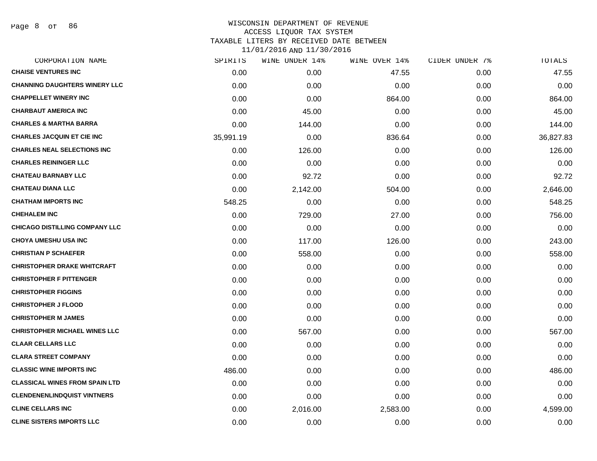Page 8 of 86

| CORPORATION NAME                      | SPIRITS   | WINE UNDER 14% | WINE OVER 14% | CIDER UNDER 7% | TOTALS    |
|---------------------------------------|-----------|----------------|---------------|----------------|-----------|
| <b>CHAISE VENTURES INC</b>            | 0.00      | 0.00           | 47.55         | 0.00           | 47.55     |
| <b>CHANNING DAUGHTERS WINERY LLC</b>  | 0.00      | 0.00           | 0.00          | 0.00           | 0.00      |
| <b>CHAPPELLET WINERY INC</b>          | 0.00      | 0.00           | 864.00        | 0.00           | 864.00    |
| <b>CHARBAUT AMERICA INC</b>           | 0.00      | 45.00          | 0.00          | 0.00           | 45.00     |
| <b>CHARLES &amp; MARTHA BARRA</b>     | 0.00      | 144.00         | 0.00          | 0.00           | 144.00    |
| <b>CHARLES JACQUIN ET CIE INC</b>     | 35,991.19 | 0.00           | 836.64        | 0.00           | 36,827.83 |
| <b>CHARLES NEAL SELECTIONS INC</b>    | 0.00      | 126.00         | 0.00          | 0.00           | 126.00    |
| <b>CHARLES REININGER LLC</b>          | 0.00      | 0.00           | 0.00          | 0.00           | 0.00      |
| <b>CHATEAU BARNABY LLC</b>            | 0.00      | 92.72          | 0.00          | 0.00           | 92.72     |
| <b>CHATEAU DIANA LLC</b>              | 0.00      | 2,142.00       | 504.00        | 0.00           | 2,646.00  |
| <b>CHATHAM IMPORTS INC</b>            | 548.25    | 0.00           | 0.00          | 0.00           | 548.25    |
| <b>CHEHALEM INC</b>                   | 0.00      | 729.00         | 27.00         | 0.00           | 756.00    |
| <b>CHICAGO DISTILLING COMPANY LLC</b> | 0.00      | 0.00           | 0.00          | 0.00           | 0.00      |
| <b>CHOYA UMESHU USA INC</b>           | 0.00      | 117.00         | 126.00        | 0.00           | 243.00    |
| <b>CHRISTIAN P SCHAEFER</b>           | 0.00      | 558.00         | 0.00          | 0.00           | 558.00    |
| <b>CHRISTOPHER DRAKE WHITCRAFT</b>    | 0.00      | 0.00           | 0.00          | 0.00           | 0.00      |
| <b>CHRISTOPHER F PITTENGER</b>        | 0.00      | 0.00           | 0.00          | 0.00           | 0.00      |
| <b>CHRISTOPHER FIGGINS</b>            | 0.00      | 0.00           | 0.00          | 0.00           | 0.00      |
| <b>CHRISTOPHER J FLOOD</b>            | 0.00      | 0.00           | 0.00          | 0.00           | 0.00      |
| <b>CHRISTOPHER M JAMES</b>            | 0.00      | 0.00           | 0.00          | 0.00           | 0.00      |
| <b>CHRISTOPHER MICHAEL WINES LLC</b>  | 0.00      | 567.00         | 0.00          | 0.00           | 567.00    |
| <b>CLAAR CELLARS LLC</b>              | 0.00      | 0.00           | 0.00          | 0.00           | 0.00      |
| <b>CLARA STREET COMPANY</b>           | 0.00      | 0.00           | 0.00          | 0.00           | 0.00      |
| <b>CLASSIC WINE IMPORTS INC</b>       | 486.00    | 0.00           | 0.00          | 0.00           | 486.00    |
| <b>CLASSICAL WINES FROM SPAIN LTD</b> | 0.00      | 0.00           | 0.00          | 0.00           | 0.00      |
| <b>CLENDENENLINDQUIST VINTNERS</b>    | 0.00      | 0.00           | 0.00          | 0.00           | 0.00      |
| <b>CLINE CELLARS INC</b>              | 0.00      | 2,016.00       | 2,583.00      | 0.00           | 4,599.00  |
| <b>CLINE SISTERS IMPORTS LLC</b>      | 0.00      | 0.00           | 0.00          | 0.00           | 0.00      |
|                                       |           |                |               |                |           |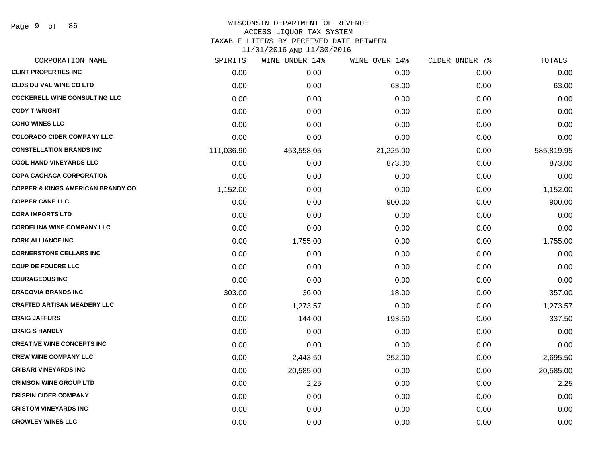Page 9 of 86

#### WISCONSIN DEPARTMENT OF REVENUE ACCESS LIQUOR TAX SYSTEM TAXABLE LITERS BY RECEIVED DATE BETWEEN

| CORPORATION NAME                             | SPIRITS    | WINE UNDER 14% | WINE OVER 14% | CIDER UNDER 7% | TOTALS     |
|----------------------------------------------|------------|----------------|---------------|----------------|------------|
| <b>CLINT PROPERTIES INC</b>                  | 0.00       | 0.00           | 0.00          | 0.00           | 0.00       |
| <b>CLOS DU VAL WINE CO LTD</b>               | 0.00       | 0.00           | 63.00         | 0.00           | 63.00      |
| <b>COCKERELL WINE CONSULTING LLC</b>         | 0.00       | 0.00           | 0.00          | 0.00           | 0.00       |
| <b>CODY T WRIGHT</b>                         | 0.00       | 0.00           | 0.00          | 0.00           | 0.00       |
| <b>COHO WINES LLC</b>                        | 0.00       | 0.00           | 0.00          | 0.00           | 0.00       |
| <b>COLORADO CIDER COMPANY LLC</b>            | 0.00       | 0.00           | 0.00          | 0.00           | 0.00       |
| <b>CONSTELLATION BRANDS INC</b>              | 111,036.90 | 453,558.05     | 21,225.00     | 0.00           | 585,819.95 |
| <b>COOL HAND VINEYARDS LLC</b>               | 0.00       | 0.00           | 873.00        | 0.00           | 873.00     |
| <b>COPA CACHACA CORPORATION</b>              | 0.00       | 0.00           | 0.00          | 0.00           | 0.00       |
| <b>COPPER &amp; KINGS AMERICAN BRANDY CO</b> | 1,152.00   | 0.00           | 0.00          | 0.00           | 1,152.00   |
| <b>COPPER CANE LLC</b>                       | 0.00       | 0.00           | 900.00        | 0.00           | 900.00     |
| <b>CORA IMPORTS LTD</b>                      | 0.00       | 0.00           | 0.00          | 0.00           | 0.00       |
| <b>CORDELINA WINE COMPANY LLC</b>            | 0.00       | 0.00           | 0.00          | 0.00           | 0.00       |
| <b>CORK ALLIANCE INC</b>                     | 0.00       | 1,755.00       | 0.00          | 0.00           | 1,755.00   |
| <b>CORNERSTONE CELLARS INC</b>               | 0.00       | 0.00           | 0.00          | 0.00           | 0.00       |
| <b>COUP DE FOUDRE LLC</b>                    | 0.00       | 0.00           | 0.00          | 0.00           | 0.00       |
| <b>COURAGEOUS INC</b>                        | 0.00       | 0.00           | 0.00          | 0.00           | 0.00       |
| <b>CRACOVIA BRANDS INC</b>                   | 303.00     | 36.00          | 18.00         | 0.00           | 357.00     |
| <b>CRAFTED ARTISAN MEADERY LLC</b>           | 0.00       | 1,273.57       | 0.00          | 0.00           | 1,273.57   |
| <b>CRAIG JAFFURS</b>                         | 0.00       | 144.00         | 193.50        | 0.00           | 337.50     |
| <b>CRAIG S HANDLY</b>                        | 0.00       | 0.00           | 0.00          | 0.00           | 0.00       |
| <b>CREATIVE WINE CONCEPTS INC</b>            | 0.00       | 0.00           | 0.00          | 0.00           | 0.00       |
| <b>CREW WINE COMPANY LLC</b>                 | 0.00       | 2,443.50       | 252.00        | 0.00           | 2,695.50   |
| <b>CRIBARI VINEYARDS INC</b>                 | 0.00       | 20,585.00      | 0.00          | 0.00           | 20,585.00  |
| <b>CRIMSON WINE GROUP LTD</b>                | 0.00       | 2.25           | 0.00          | 0.00           | 2.25       |
| <b>CRISPIN CIDER COMPANY</b>                 | 0.00       | 0.00           | 0.00          | 0.00           | 0.00       |
| <b>CRISTOM VINEYARDS INC</b>                 | 0.00       | 0.00           | 0.00          | 0.00           | 0.00       |
| <b>CROWLEY WINES LLC</b>                     | 0.00       | 0.00           | 0.00          | 0.00           | 0.00       |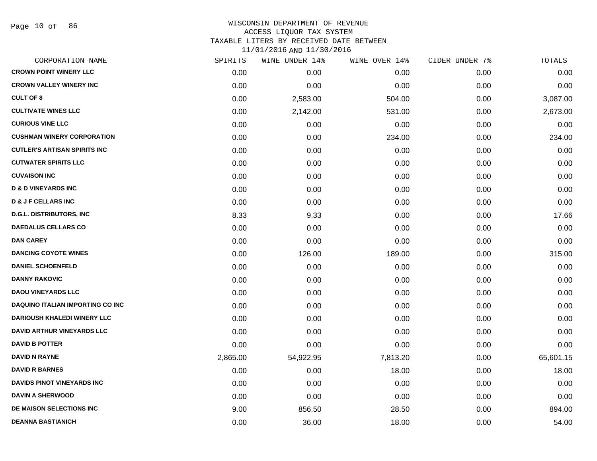| CORPORATION NAME                        | SPIRITS  | WINE UNDER 14% | WINE OVER 14% | CIDER UNDER 7% | <b>TOTALS</b> |
|-----------------------------------------|----------|----------------|---------------|----------------|---------------|
| <b>CROWN POINT WINERY LLC</b>           | 0.00     | 0.00           | 0.00          | 0.00           | 0.00          |
| <b>CROWN VALLEY WINERY INC</b>          | 0.00     | 0.00           | 0.00          | 0.00           | 0.00          |
| <b>CULT OF 8</b>                        | 0.00     | 2,583.00       | 504.00        | 0.00           | 3,087.00      |
| <b>CULTIVATE WINES LLC</b>              | 0.00     | 2,142.00       | 531.00        | 0.00           | 2,673.00      |
| <b>CURIOUS VINE LLC</b>                 | 0.00     | 0.00           | 0.00          | 0.00           | 0.00          |
| <b>CUSHMAN WINERY CORPORATION</b>       | 0.00     | 0.00           | 234.00        | 0.00           | 234.00        |
| <b>CUTLER'S ARTISAN SPIRITS INC</b>     | 0.00     | 0.00           | 0.00          | 0.00           | 0.00          |
| <b>CUTWATER SPIRITS LLC</b>             | 0.00     | 0.00           | 0.00          | 0.00           | 0.00          |
| <b>CUVAISON INC</b>                     | 0.00     | 0.00           | 0.00          | 0.00           | 0.00          |
| <b>D &amp; D VINEYARDS INC</b>          | 0.00     | 0.00           | 0.00          | 0.00           | 0.00          |
| <b>D &amp; J F CELLARS INC</b>          | 0.00     | 0.00           | 0.00          | 0.00           | 0.00          |
| <b>D.G.L. DISTRIBUTORS, INC</b>         | 8.33     | 9.33           | 0.00          | 0.00           | 17.66         |
| <b>DAEDALUS CELLARS CO</b>              | 0.00     | 0.00           | 0.00          | 0.00           | 0.00          |
| <b>DAN CAREY</b>                        | 0.00     | 0.00           | 0.00          | 0.00           | 0.00          |
| <b>DANCING COYOTE WINES</b>             | 0.00     | 126.00         | 189.00        | 0.00           | 315.00        |
| <b>DANIEL SCHOENFELD</b>                | 0.00     | 0.00           | 0.00          | 0.00           | 0.00          |
| <b>DANNY RAKOVIC</b>                    | 0.00     | 0.00           | 0.00          | 0.00           | 0.00          |
| <b>DAOU VINEYARDS LLC</b>               | 0.00     | 0.00           | 0.00          | 0.00           | 0.00          |
| <b>DAQUINO ITALIAN IMPORTING CO INC</b> | 0.00     | 0.00           | 0.00          | 0.00           | 0.00          |
| <b>DARIOUSH KHALEDI WINERY LLC</b>      | 0.00     | 0.00           | 0.00          | 0.00           | 0.00          |
| DAVID ARTHUR VINEYARDS LLC              | 0.00     | 0.00           | 0.00          | 0.00           | 0.00          |
| <b>DAVID B POTTER</b>                   | 0.00     | 0.00           | 0.00          | 0.00           | 0.00          |
| <b>DAVID N RAYNE</b>                    | 2,865.00 | 54,922.95      | 7,813.20      | 0.00           | 65,601.15     |
| <b>DAVID R BARNES</b>                   | 0.00     | 0.00           | 18.00         | 0.00           | 18.00         |
| <b>DAVIDS PINOT VINEYARDS INC</b>       | 0.00     | 0.00           | 0.00          | 0.00           | 0.00          |
| <b>DAVIN A SHERWOOD</b>                 | 0.00     | 0.00           | 0.00          | 0.00           | 0.00          |
| DE MAISON SELECTIONS INC                | 9.00     | 856.50         | 28.50         | 0.00           | 894.00        |
| <b>DEANNA BASTIANICH</b>                | 0.00     | 36.00          | 18.00         | 0.00           | 54.00         |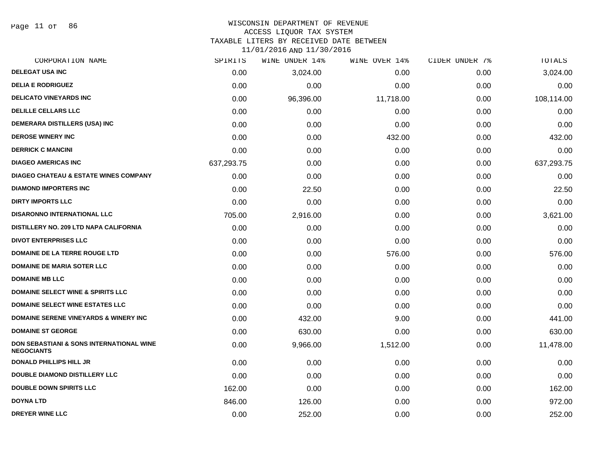Page 11 of 86

#### WISCONSIN DEPARTMENT OF REVENUE ACCESS LIQUOR TAX SYSTEM

TAXABLE LITERS BY RECEIVED DATE BETWEEN

| CORPORATION NAME                                                         | SPIRITS    | WINE UNDER 14% | WINE OVER 14% | CIDER UNDER 7% | TOTALS     |
|--------------------------------------------------------------------------|------------|----------------|---------------|----------------|------------|
| <b>DELEGAT USA INC</b>                                                   | 0.00       | 3,024.00       | 0.00          | 0.00           | 3,024.00   |
| <b>DELIA E RODRIGUEZ</b>                                                 | 0.00       | 0.00           | 0.00          | 0.00           | 0.00       |
| <b>DELICATO VINEYARDS INC</b>                                            | 0.00       | 96,396.00      | 11,718.00     | 0.00           | 108,114.00 |
| <b>DELILLE CELLARS LLC</b>                                               | 0.00       | 0.00           | 0.00          | 0.00           | 0.00       |
| DEMERARA DISTILLERS (USA) INC                                            | 0.00       | 0.00           | 0.00          | 0.00           | 0.00       |
| <b>DEROSE WINERY INC</b>                                                 | 0.00       | 0.00           | 432.00        | 0.00           | 432.00     |
| <b>DERRICK C MANCINI</b>                                                 | 0.00       | 0.00           | 0.00          | 0.00           | 0.00       |
| <b>DIAGEO AMERICAS INC</b>                                               | 637,293.75 | 0.00           | 0.00          | 0.00           | 637,293.75 |
| <b>DIAGEO CHATEAU &amp; ESTATE WINES COMPANY</b>                         | 0.00       | 0.00           | 0.00          | 0.00           | 0.00       |
| <b>DIAMOND IMPORTERS INC</b>                                             | 0.00       | 22.50          | 0.00          | 0.00           | 22.50      |
| <b>DIRTY IMPORTS LLC</b>                                                 | 0.00       | 0.00           | 0.00          | 0.00           | 0.00       |
| <b>DISARONNO INTERNATIONAL LLC</b>                                       | 705.00     | 2,916.00       | 0.00          | 0.00           | 3,621.00   |
| DISTILLERY NO. 209 LTD NAPA CALIFORNIA                                   | 0.00       | 0.00           | 0.00          | 0.00           | 0.00       |
| <b>DIVOT ENTERPRISES LLC</b>                                             | 0.00       | 0.00           | 0.00          | 0.00           | 0.00       |
| DOMAINE DE LA TERRE ROUGE LTD                                            | 0.00       | 0.00           | 576.00        | 0.00           | 576.00     |
| <b>DOMAINE DE MARIA SOTER LLC</b>                                        | 0.00       | 0.00           | 0.00          | 0.00           | 0.00       |
| <b>DOMAINE MB LLC</b>                                                    | 0.00       | 0.00           | 0.00          | 0.00           | 0.00       |
| <b>DOMAINE SELECT WINE &amp; SPIRITS LLC</b>                             | 0.00       | 0.00           | 0.00          | 0.00           | 0.00       |
| <b>DOMAINE SELECT WINE ESTATES LLC</b>                                   | 0.00       | 0.00           | 0.00          | 0.00           | 0.00       |
| <b>DOMAINE SERENE VINEYARDS &amp; WINERY INC</b>                         | 0.00       | 432.00         | 9.00          | 0.00           | 441.00     |
| <b>DOMAINE ST GEORGE</b>                                                 | 0.00       | 630.00         | 0.00          | 0.00           | 630.00     |
| <b>DON SEBASTIANI &amp; SONS INTERNATIONAL WINE</b><br><b>NEGOCIANTS</b> | 0.00       | 9,966.00       | 1,512.00      | 0.00           | 11,478.00  |
| <b>DONALD PHILLIPS HILL JR</b>                                           | 0.00       | 0.00           | 0.00          | 0.00           | 0.00       |
| <b>DOUBLE DIAMOND DISTILLERY LLC</b>                                     | 0.00       | 0.00           | 0.00          | 0.00           | 0.00       |
| <b>DOUBLE DOWN SPIRITS LLC</b>                                           | 162.00     | 0.00           | 0.00          | 0.00           | 162.00     |
| <b>DOYNA LTD</b>                                                         | 846.00     | 126.00         | 0.00          | 0.00           | 972.00     |
| <b>DREYER WINE LLC</b>                                                   | 0.00       | 252.00         | 0.00          | 0.00           | 252.00     |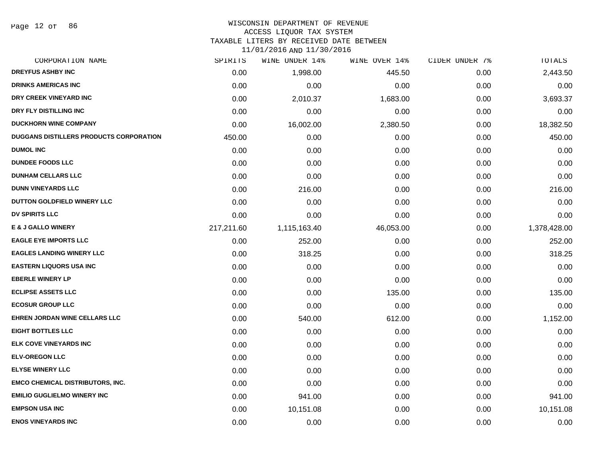Page 12 of 86

# WISCONSIN DEPARTMENT OF REVENUE

# ACCESS LIQUOR TAX SYSTEM

TAXABLE LITERS BY RECEIVED DATE BETWEEN

| CORPORATION NAME                        | SPIRITS    | WINE UNDER 14% | WINE OVER 14% | CIDER UNDER 7% | TOTALS       |
|-----------------------------------------|------------|----------------|---------------|----------------|--------------|
| <b>DREYFUS ASHBY INC</b>                | 0.00       | 1,998.00       | 445.50        | 0.00           | 2,443.50     |
| <b>DRINKS AMERICAS INC</b>              | 0.00       | 0.00           | 0.00          | 0.00           | 0.00         |
| DRY CREEK VINEYARD INC                  | 0.00       | 2,010.37       | 1,683.00      | 0.00           | 3,693.37     |
| DRY FLY DISTILLING INC                  | 0.00       | 0.00           | 0.00          | 0.00           | 0.00         |
| <b>DUCKHORN WINE COMPANY</b>            | 0.00       | 16,002.00      | 2,380.50      | 0.00           | 18,382.50    |
| DUGGANS DISTILLERS PRODUCTS CORPORATION | 450.00     | 0.00           | 0.00          | 0.00           | 450.00       |
| <b>DUMOL INC</b>                        | 0.00       | 0.00           | 0.00          | 0.00           | 0.00         |
| <b>DUNDEE FOODS LLC</b>                 | 0.00       | 0.00           | 0.00          | 0.00           | 0.00         |
| <b>DUNHAM CELLARS LLC</b>               | 0.00       | 0.00           | 0.00          | 0.00           | 0.00         |
| <b>DUNN VINEYARDS LLC</b>               | 0.00       | 216.00         | 0.00          | 0.00           | 216.00       |
| DUTTON GOLDFIELD WINERY LLC             | 0.00       | 0.00           | 0.00          | 0.00           | 0.00         |
| <b>DV SPIRITS LLC</b>                   | 0.00       | 0.00           | 0.00          | 0.00           | 0.00         |
| <b>E &amp; J GALLO WINERY</b>           | 217,211.60 | 1,115,163.40   | 46,053.00     | 0.00           | 1,378,428.00 |
| <b>EAGLE EYE IMPORTS LLC</b>            | 0.00       | 252.00         | 0.00          | 0.00           | 252.00       |
| <b>EAGLES LANDING WINERY LLC</b>        | 0.00       | 318.25         | 0.00          | 0.00           | 318.25       |
| <b>EASTERN LIQUORS USA INC</b>          | 0.00       | 0.00           | 0.00          | 0.00           | 0.00         |
| <b>EBERLE WINERY LP</b>                 | 0.00       | 0.00           | 0.00          | 0.00           | 0.00         |
| <b>ECLIPSE ASSETS LLC</b>               | 0.00       | 0.00           | 135.00        | 0.00           | 135.00       |
| <b>ECOSUR GROUP LLC</b>                 | 0.00       | 0.00           | 0.00          | 0.00           | 0.00         |
| <b>EHREN JORDAN WINE CELLARS LLC</b>    | 0.00       | 540.00         | 612.00        | 0.00           | 1,152.00     |
| <b>EIGHT BOTTLES LLC</b>                | 0.00       | 0.00           | 0.00          | 0.00           | 0.00         |
| ELK COVE VINEYARDS INC                  | 0.00       | 0.00           | 0.00          | 0.00           | 0.00         |
| <b>ELV-OREGON LLC</b>                   | 0.00       | 0.00           | 0.00          | 0.00           | 0.00         |
| <b>ELYSE WINERY LLC</b>                 | 0.00       | 0.00           | 0.00          | 0.00           | 0.00         |
| <b>EMCO CHEMICAL DISTRIBUTORS, INC.</b> | 0.00       | 0.00           | 0.00          | 0.00           | 0.00         |
| <b>EMILIO GUGLIELMO WINERY INC</b>      | 0.00       | 941.00         | 0.00          | 0.00           | 941.00       |
| <b>EMPSON USA INC</b>                   | 0.00       | 10,151.08      | 0.00          | 0.00           | 10,151.08    |
| <b>ENOS VINEYARDS INC</b>               | 0.00       | 0.00           | 0.00          | 0.00           | 0.00         |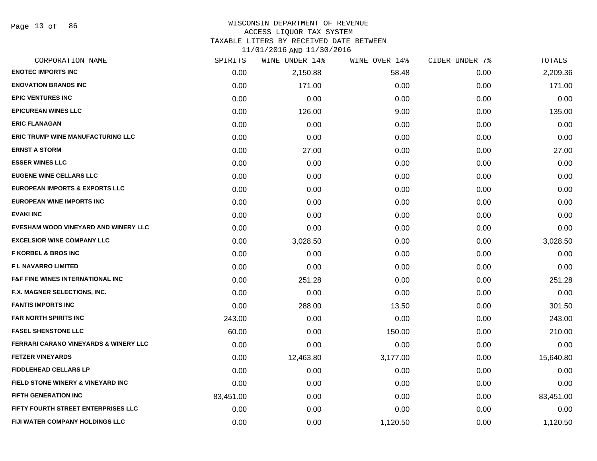Page 13 of 86

# WISCONSIN DEPARTMENT OF REVENUE

ACCESS LIQUOR TAX SYSTEM

TAXABLE LITERS BY RECEIVED DATE BETWEEN

| CORPORATION NAME                                 | SPIRITS   | WINE UNDER 14% | WINE OVER 14% | CIDER UNDER 7% | TOTALS    |
|--------------------------------------------------|-----------|----------------|---------------|----------------|-----------|
| <b>ENOTEC IMPORTS INC</b>                        | 0.00      | 2,150.88       | 58.48         | 0.00           | 2,209.36  |
| <b>ENOVATION BRANDS INC</b>                      | 0.00      | 171.00         | 0.00          | 0.00           | 171.00    |
| <b>EPIC VENTURES INC</b>                         | 0.00      | 0.00           | 0.00          | 0.00           | 0.00      |
| <b>EPICUREAN WINES LLC</b>                       | 0.00      | 126.00         | 9.00          | 0.00           | 135.00    |
| <b>ERIC FLANAGAN</b>                             | 0.00      | 0.00           | 0.00          | 0.00           | 0.00      |
| <b>ERIC TRUMP WINE MANUFACTURING LLC</b>         | 0.00      | 0.00           | 0.00          | 0.00           | 0.00      |
| <b>ERNST A STORM</b>                             | 0.00      | 27.00          | 0.00          | 0.00           | 27.00     |
| <b>ESSER WINES LLC</b>                           | 0.00      | 0.00           | 0.00          | 0.00           | 0.00      |
| <b>EUGENE WINE CELLARS LLC</b>                   | 0.00      | 0.00           | 0.00          | 0.00           | 0.00      |
| <b>EUROPEAN IMPORTS &amp; EXPORTS LLC</b>        | 0.00      | 0.00           | 0.00          | 0.00           | 0.00      |
| EUROPEAN WINE IMPORTS INC                        | 0.00      | 0.00           | 0.00          | 0.00           | 0.00      |
| <b>EVAKI INC</b>                                 | 0.00      | 0.00           | 0.00          | 0.00           | 0.00      |
| EVESHAM WOOD VINEYARD AND WINERY LLC             | 0.00      | 0.00           | 0.00          | 0.00           | 0.00      |
| <b>EXCELSIOR WINE COMPANY LLC</b>                | 0.00      | 3,028.50       | 0.00          | 0.00           | 3,028.50  |
| <b>F KORBEL &amp; BROS INC</b>                   | 0.00      | 0.00           | 0.00          | 0.00           | 0.00      |
| <b>FL NAVARRO LIMITED</b>                        | 0.00      | 0.00           | 0.00          | 0.00           | 0.00      |
| <b>F&amp;F FINE WINES INTERNATIONAL INC</b>      | 0.00      | 251.28         | 0.00          | 0.00           | 251.28    |
| F.X. MAGNER SELECTIONS, INC.                     | 0.00      | 0.00           | 0.00          | 0.00           | 0.00      |
| <b>FANTIS IMPORTS INC</b>                        | 0.00      | 288.00         | 13.50         | 0.00           | 301.50    |
| <b>FAR NORTH SPIRITS INC</b>                     | 243.00    | 0.00           | 0.00          | 0.00           | 243.00    |
| <b>FASEL SHENSTONE LLC</b>                       | 60.00     | 0.00           | 150.00        | 0.00           | 210.00    |
| <b>FERRARI CARANO VINEYARDS &amp; WINERY LLC</b> | 0.00      | 0.00           | 0.00          | 0.00           | 0.00      |
| <b>FETZER VINEYARDS</b>                          | 0.00      | 12,463.80      | 3,177.00      | 0.00           | 15,640.80 |
| <b>FIDDLEHEAD CELLARS LP</b>                     | 0.00      | 0.00           | 0.00          | 0.00           | 0.00      |
| FIELD STONE WINERY & VINEYARD INC                | 0.00      | 0.00           | 0.00          | 0.00           | 0.00      |
| <b>FIFTH GENERATION INC</b>                      | 83,451.00 | 0.00           | 0.00          | 0.00           | 83,451.00 |
| FIFTY FOURTH STREET ENTERPRISES LLC              | 0.00      | 0.00           | 0.00          | 0.00           | 0.00      |
| FIJI WATER COMPANY HOLDINGS LLC                  | 0.00      | 0.00           | 1,120.50      | 0.00           | 1,120.50  |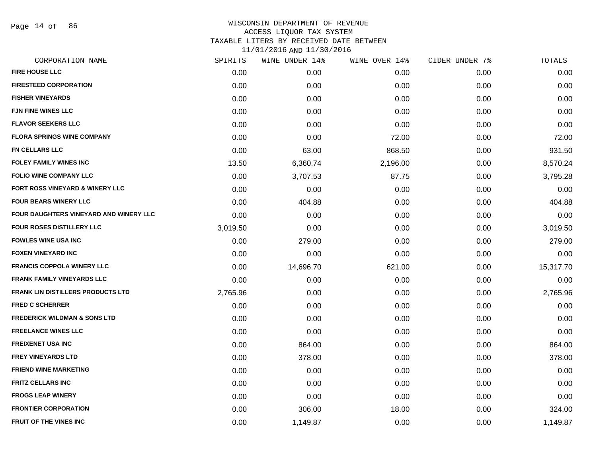Page 14 of 86

| CORPORATION NAME                        | SPIRITS  | WINE UNDER 14% | WINE OVER 14% | CIDER UNDER 7% | TOTALS    |
|-----------------------------------------|----------|----------------|---------------|----------------|-----------|
| <b>FIRE HOUSE LLC</b>                   | 0.00     | 0.00           | 0.00          | 0.00           | 0.00      |
| <b>FIRESTEED CORPORATION</b>            | 0.00     | 0.00           | 0.00          | 0.00           | 0.00      |
| <b>FISHER VINEYARDS</b>                 | 0.00     | 0.00           | 0.00          | 0.00           | 0.00      |
| FJN FINE WINES LLC                      | 0.00     | 0.00           | 0.00          | 0.00           | 0.00      |
| <b>FLAVOR SEEKERS LLC</b>               | 0.00     | 0.00           | 0.00          | 0.00           | 0.00      |
| <b>FLORA SPRINGS WINE COMPANY</b>       | 0.00     | 0.00           | 72.00         | 0.00           | 72.00     |
| FN CELLARS LLC                          | 0.00     | 63.00          | 868.50        | 0.00           | 931.50    |
| <b>FOLEY FAMILY WINES INC</b>           | 13.50    | 6,360.74       | 2,196.00      | 0.00           | 8,570.24  |
| <b>FOLIO WINE COMPANY LLC</b>           | 0.00     | 3,707.53       | 87.75         | 0.00           | 3,795.28  |
| FORT ROSS VINEYARD & WINERY LLC         | 0.00     | 0.00           | 0.00          | 0.00           | 0.00      |
| <b>FOUR BEARS WINERY LLC</b>            | 0.00     | 404.88         | 0.00          | 0.00           | 404.88    |
| FOUR DAUGHTERS VINEYARD AND WINERY LLC  | 0.00     | 0.00           | 0.00          | 0.00           | 0.00      |
| FOUR ROSES DISTILLERY LLC               | 3,019.50 | 0.00           | 0.00          | 0.00           | 3,019.50  |
| <b>FOWLES WINE USA INC</b>              | 0.00     | 279.00         | 0.00          | 0.00           | 279.00    |
| <b>FOXEN VINEYARD INC</b>               | 0.00     | 0.00           | 0.00          | 0.00           | 0.00      |
| <b>FRANCIS COPPOLA WINERY LLC</b>       | 0.00     | 14,696.70      | 621.00        | 0.00           | 15,317.70 |
| <b>FRANK FAMILY VINEYARDS LLC</b>       | 0.00     | 0.00           | 0.00          | 0.00           | 0.00      |
| FRANK LIN DISTILLERS PRODUCTS LTD       | 2,765.96 | 0.00           | 0.00          | 0.00           | 2,765.96  |
| <b>FRED C SCHERRER</b>                  | 0.00     | 0.00           | 0.00          | 0.00           | 0.00      |
| <b>FREDERICK WILDMAN &amp; SONS LTD</b> | 0.00     | 0.00           | 0.00          | 0.00           | 0.00      |
| <b>FREELANCE WINES LLC</b>              | 0.00     | 0.00           | 0.00          | 0.00           | 0.00      |
| <b>FREIXENET USA INC</b>                | 0.00     | 864.00         | 0.00          | 0.00           | 864.00    |
| <b>FREY VINEYARDS LTD</b>               | 0.00     | 378.00         | 0.00          | 0.00           | 378.00    |
| <b>FRIEND WINE MARKETING</b>            | 0.00     | 0.00           | 0.00          | 0.00           | 0.00      |
| FRITZ CELLARS INC                       | 0.00     | 0.00           | 0.00          | 0.00           | 0.00      |
| <b>FROGS LEAP WINERY</b>                | 0.00     | 0.00           | 0.00          | 0.00           | 0.00      |
| <b>FRONTIER CORPORATION</b>             | 0.00     | 306.00         | 18.00         | 0.00           | 324.00    |
| <b>FRUIT OF THE VINES INC</b>           | 0.00     | 1,149.87       | 0.00          | 0.00           | 1,149.87  |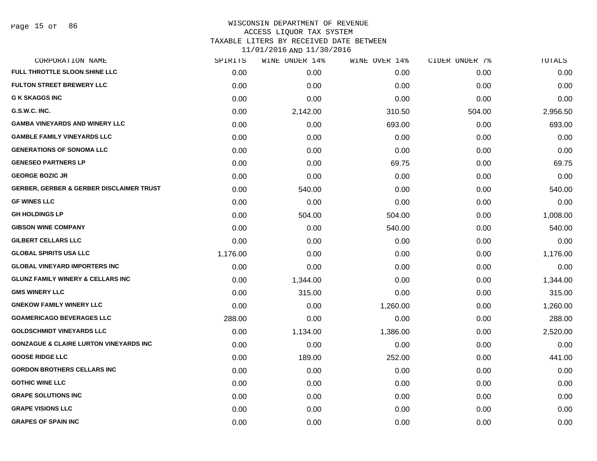# WISCONSIN DEPARTMENT OF REVENUE ACCESS LIQUOR TAX SYSTEM TAXABLE LITERS BY RECEIVED DATE BETWEEN

| CORPORATION NAME                                    | SPIRITS  | WINE UNDER 14% | WINE OVER 14% | CIDER UNDER 7% | TOTALS   |
|-----------------------------------------------------|----------|----------------|---------------|----------------|----------|
| FULL THROTTLE SLOON SHINE LLC                       | 0.00     | 0.00           | 0.00          | 0.00           | 0.00     |
| <b>FULTON STREET BREWERY LLC</b>                    | 0.00     | 0.00           | 0.00          | 0.00           | 0.00     |
| <b>G K SKAGGS INC</b>                               | 0.00     | 0.00           | 0.00          | 0.00           | 0.00     |
| G.S.W.C. INC.                                       | 0.00     | 2,142.00       | 310.50        | 504.00         | 2,956.50 |
| <b>GAMBA VINEYARDS AND WINERY LLC</b>               | 0.00     | 0.00           | 693.00        | 0.00           | 693.00   |
| <b>GAMBLE FAMILY VINEYARDS LLC</b>                  | 0.00     | 0.00           | 0.00          | 0.00           | 0.00     |
| <b>GENERATIONS OF SONOMA LLC</b>                    | 0.00     | 0.00           | 0.00          | 0.00           | 0.00     |
| <b>GENESEO PARTNERS LP</b>                          | 0.00     | 0.00           | 69.75         | 0.00           | 69.75    |
| <b>GEORGE BOZIC JR</b>                              | 0.00     | 0.00           | 0.00          | 0.00           | 0.00     |
| <b>GERBER, GERBER &amp; GERBER DISCLAIMER TRUST</b> | 0.00     | 540.00         | 0.00          | 0.00           | 540.00   |
| <b>GF WINES LLC</b>                                 | 0.00     | 0.00           | 0.00          | 0.00           | 0.00     |
| <b>GH HOLDINGS LP</b>                               | 0.00     | 504.00         | 504.00        | 0.00           | 1,008.00 |
| <b>GIBSON WINE COMPANY</b>                          | 0.00     | 0.00           | 540.00        | 0.00           | 540.00   |
| <b>GILBERT CELLARS LLC</b>                          | 0.00     | 0.00           | 0.00          | 0.00           | 0.00     |
| <b>GLOBAL SPIRITS USA LLC</b>                       | 1,176.00 | 0.00           | 0.00          | 0.00           | 1,176.00 |
| <b>GLOBAL VINEYARD IMPORTERS INC</b>                | 0.00     | 0.00           | 0.00          | 0.00           | 0.00     |
| <b>GLUNZ FAMILY WINERY &amp; CELLARS INC</b>        | 0.00     | 1,344.00       | 0.00          | 0.00           | 1,344.00 |
| <b>GMS WINERY LLC</b>                               | 0.00     | 315.00         | 0.00          | 0.00           | 315.00   |
| <b>GNEKOW FAMILY WINERY LLC</b>                     | 0.00     | 0.00           | 1,260.00      | 0.00           | 1,260.00 |
| <b>GOAMERICAGO BEVERAGES LLC</b>                    | 288.00   | 0.00           | 0.00          | 0.00           | 288.00   |
| <b>GOLDSCHMIDT VINEYARDS LLC</b>                    | 0.00     | 1,134.00       | 1,386.00      | 0.00           | 2,520.00 |
| <b>GONZAGUE &amp; CLAIRE LURTON VINEYARDS INC</b>   | 0.00     | 0.00           | 0.00          | 0.00           | 0.00     |
| <b>GOOSE RIDGE LLC</b>                              | 0.00     | 189.00         | 252.00        | 0.00           | 441.00   |
| <b>GORDON BROTHERS CELLARS INC</b>                  | 0.00     | 0.00           | 0.00          | 0.00           | 0.00     |
| <b>GOTHIC WINE LLC</b>                              | 0.00     | 0.00           | 0.00          | 0.00           | 0.00     |
| <b>GRAPE SOLUTIONS INC</b>                          | 0.00     | 0.00           | 0.00          | 0.00           | 0.00     |
| <b>GRAPE VISIONS LLC</b>                            | 0.00     | 0.00           | 0.00          | 0.00           | 0.00     |
| <b>GRAPES OF SPAIN INC</b>                          | 0.00     | 0.00           | 0.00          | 0.00           | 0.00     |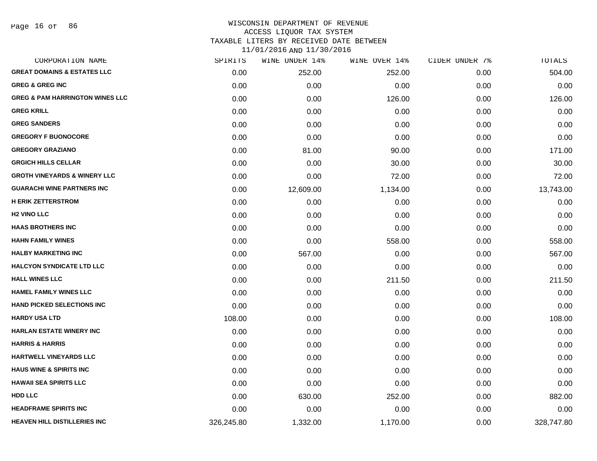| CORPORATION NAME                           | SPIRITS    | WINE UNDER 14% | WINE OVER 14% | CIDER UNDER 7% | TOTALS     |
|--------------------------------------------|------------|----------------|---------------|----------------|------------|
| <b>GREAT DOMAINS &amp; ESTATES LLC</b>     | 0.00       | 252.00         | 252.00        | 0.00           | 504.00     |
| <b>GREG &amp; GREG INC</b>                 | 0.00       | 0.00           | 0.00          | 0.00           | 0.00       |
| <b>GREG &amp; PAM HARRINGTON WINES LLC</b> | 0.00       | 0.00           | 126.00        | 0.00           | 126.00     |
| <b>GREG KRILL</b>                          | 0.00       | 0.00           | 0.00          | 0.00           | 0.00       |
| <b>GREG SANDERS</b>                        | 0.00       | 0.00           | 0.00          | 0.00           | 0.00       |
| <b>GREGORY F BUONOCORE</b>                 | 0.00       | 0.00           | 0.00          | 0.00           | 0.00       |
| <b>GREGORY GRAZIANO</b>                    | 0.00       | 81.00          | 90.00         | 0.00           | 171.00     |
| <b>GRGICH HILLS CELLAR</b>                 | 0.00       | 0.00           | 30.00         | 0.00           | 30.00      |
| <b>GROTH VINEYARDS &amp; WINERY LLC</b>    | 0.00       | 0.00           | 72.00         | 0.00           | 72.00      |
| <b>GUARACHI WINE PARTNERS INC</b>          | 0.00       | 12,609.00      | 1,134.00      | 0.00           | 13,743.00  |
| <b>H ERIK ZETTERSTROM</b>                  | 0.00       | 0.00           | 0.00          | 0.00           | 0.00       |
| <b>H2 VINO LLC</b>                         | 0.00       | 0.00           | 0.00          | 0.00           | 0.00       |
| <b>HAAS BROTHERS INC</b>                   | 0.00       | 0.00           | 0.00          | 0.00           | 0.00       |
| <b>HAHN FAMILY WINES</b>                   | 0.00       | 0.00           | 558.00        | 0.00           | 558.00     |
| <b>HALBY MARKETING INC</b>                 | 0.00       | 567.00         | 0.00          | 0.00           | 567.00     |
| <b>HALCYON SYNDICATE LTD LLC</b>           | 0.00       | 0.00           | 0.00          | 0.00           | 0.00       |
| <b>HALL WINES LLC</b>                      | 0.00       | 0.00           | 211.50        | 0.00           | 211.50     |
| <b>HAMEL FAMILY WINES LLC</b>              | 0.00       | 0.00           | 0.00          | 0.00           | 0.00       |
| HAND PICKED SELECTIONS INC                 | 0.00       | 0.00           | 0.00          | 0.00           | 0.00       |
| <b>HARDY USA LTD</b>                       | 108.00     | 0.00           | 0.00          | 0.00           | 108.00     |
| <b>HARLAN ESTATE WINERY INC</b>            | 0.00       | 0.00           | 0.00          | 0.00           | 0.00       |
| <b>HARRIS &amp; HARRIS</b>                 | 0.00       | 0.00           | 0.00          | 0.00           | 0.00       |
| HARTWELL VINEYARDS LLC                     | 0.00       | 0.00           | 0.00          | 0.00           | 0.00       |
| <b>HAUS WINE &amp; SPIRITS INC</b>         | 0.00       | 0.00           | 0.00          | 0.00           | 0.00       |
| <b>HAWAII SEA SPIRITS LLC</b>              | 0.00       | 0.00           | 0.00          | 0.00           | 0.00       |
| <b>HDD LLC</b>                             | 0.00       | 630.00         | 252.00        | 0.00           | 882.00     |
| <b>HEADFRAME SPIRITS INC</b>               | 0.00       | 0.00           | 0.00          | 0.00           | 0.00       |
| <b>HEAVEN HILL DISTILLERIES INC</b>        | 326,245.80 | 1,332.00       | 1,170.00      | 0.00           | 328,747.80 |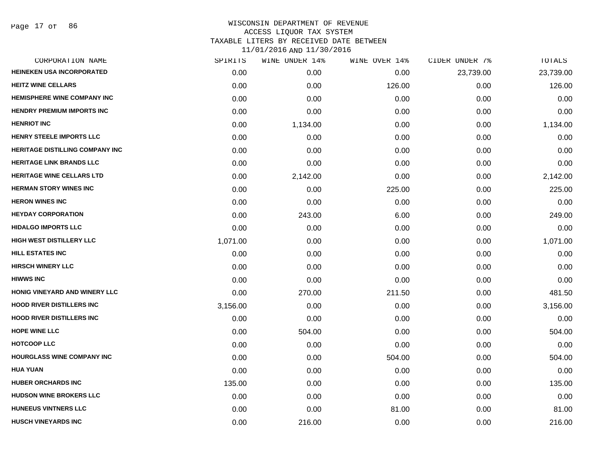| <b>HEINEKEN USA INCORPORATED</b><br><b>HEITZ WINE CELLARS</b><br><b>HEMISPHERE WINE COMPANY INC</b><br><b>HENDRY PREMIUM IMPORTS INC</b> | 0.00<br>0.00<br>0.00<br>0.00<br>0.00<br>0.00<br>0.00 | 0.00<br>0.00<br>0.00<br>0.00<br>1,134.00<br>0.00 | 0.00<br>126.00<br>0.00<br>0.00<br>0.00 | 23,739.00<br>0.00<br>0.00<br>0.00<br>0.00 | 23,739.00<br>126.00<br>0.00<br>0.00 |
|------------------------------------------------------------------------------------------------------------------------------------------|------------------------------------------------------|--------------------------------------------------|----------------------------------------|-------------------------------------------|-------------------------------------|
|                                                                                                                                          |                                                      |                                                  |                                        |                                           |                                     |
|                                                                                                                                          |                                                      |                                                  |                                        |                                           |                                     |
|                                                                                                                                          |                                                      |                                                  |                                        |                                           |                                     |
|                                                                                                                                          |                                                      |                                                  |                                        |                                           |                                     |
| <b>HENRIOT INC</b>                                                                                                                       |                                                      |                                                  |                                        |                                           | 1,134.00                            |
| <b>HENRY STEELE IMPORTS LLC</b>                                                                                                          |                                                      |                                                  | 0.00                                   | 0.00                                      | 0.00                                |
| <b>HERITAGE DISTILLING COMPANY INC</b>                                                                                                   |                                                      | 0.00                                             | 0.00                                   | 0.00                                      | 0.00                                |
| <b>HERITAGE LINK BRANDS LLC</b>                                                                                                          | 0.00                                                 | 0.00                                             | 0.00                                   | 0.00                                      | 0.00                                |
| <b>HERITAGE WINE CELLARS LTD</b>                                                                                                         | 0.00                                                 | 2,142.00                                         | 0.00                                   | 0.00                                      | 2,142.00                            |
| <b>HERMAN STORY WINES INC</b>                                                                                                            | 0.00                                                 | 0.00                                             | 225.00                                 | 0.00                                      | 225.00                              |
| <b>HERON WINES INC</b>                                                                                                                   | 0.00                                                 | 0.00                                             | 0.00                                   | 0.00                                      | 0.00                                |
| <b>HEYDAY CORPORATION</b>                                                                                                                | 0.00                                                 | 243.00                                           | 6.00                                   | 0.00                                      | 249.00                              |
| <b>HIDALGO IMPORTS LLC</b>                                                                                                               | 0.00                                                 | 0.00                                             | 0.00                                   | 0.00                                      | 0.00                                |
| HIGH WEST DISTILLERY LLC                                                                                                                 | 1,071.00                                             | 0.00                                             | 0.00                                   | 0.00                                      | 1,071.00                            |
| <b>HILL ESTATES INC</b>                                                                                                                  | 0.00                                                 | 0.00                                             | 0.00                                   | 0.00                                      | 0.00                                |
| <b>HIRSCH WINERY LLC</b>                                                                                                                 | 0.00                                                 | 0.00                                             | 0.00                                   | 0.00                                      | 0.00                                |
| <b>HIWWS INC</b>                                                                                                                         | 0.00                                                 | 0.00                                             | 0.00                                   | 0.00                                      | 0.00                                |
| HONIG VINEYARD AND WINERY LLC                                                                                                            | 0.00                                                 | 270.00                                           | 211.50                                 | 0.00                                      | 481.50                              |
| <b>HOOD RIVER DISTILLERS INC</b>                                                                                                         | 3,156.00                                             | 0.00                                             | 0.00                                   | 0.00                                      | 3,156.00                            |
| <b>HOOD RIVER DISTILLERS INC</b>                                                                                                         | 0.00                                                 | 0.00                                             | 0.00                                   | 0.00                                      | 0.00                                |
| <b>HOPE WINE LLC</b>                                                                                                                     | 0.00                                                 | 504.00                                           | 0.00                                   | 0.00                                      | 504.00                              |
| <b>HOTCOOP LLC</b>                                                                                                                       | 0.00                                                 | 0.00                                             | 0.00                                   | 0.00                                      | 0.00                                |
| HOURGLASS WINE COMPANY INC                                                                                                               | 0.00                                                 | 0.00                                             | 504.00                                 | 0.00                                      | 504.00                              |
| <b>HUA YUAN</b>                                                                                                                          | 0.00                                                 | 0.00                                             | 0.00                                   | 0.00                                      | 0.00                                |
| <b>HUBER ORCHARDS INC</b>                                                                                                                | 135.00                                               | 0.00                                             | 0.00                                   | 0.00                                      | 135.00                              |
| HUDSON WINE BROKERS LLC                                                                                                                  | 0.00                                                 | 0.00                                             | 0.00                                   | 0.00                                      | 0.00                                |
| <b>HUNEEUS VINTNERS LLC</b>                                                                                                              | 0.00                                                 | 0.00                                             | 81.00                                  | 0.00                                      | 81.00                               |
| <b>HUSCH VINEYARDS INC</b>                                                                                                               | 0.00                                                 | 216.00                                           | 0.00                                   | 0.00                                      | 216.00                              |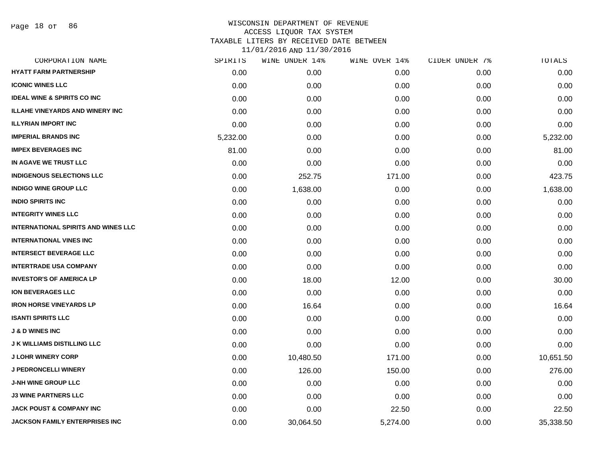| SPIRITS  | WINE UNDER 14% | WINE OVER 14% | CIDER UNDER 7% | TOTALS    |
|----------|----------------|---------------|----------------|-----------|
| 0.00     | 0.00           | 0.00          | 0.00           | 0.00      |
| 0.00     | 0.00           | 0.00          | 0.00           | 0.00      |
| 0.00     | 0.00           | 0.00          | 0.00           | 0.00      |
| 0.00     | 0.00           | 0.00          | 0.00           | 0.00      |
| 0.00     | 0.00           | 0.00          | 0.00           | 0.00      |
| 5,232.00 | 0.00           | 0.00          | 0.00           | 5,232.00  |
| 81.00    | 0.00           | 0.00          | 0.00           | 81.00     |
| 0.00     | 0.00           | 0.00          | 0.00           | 0.00      |
| 0.00     | 252.75         | 171.00        | 0.00           | 423.75    |
| 0.00     | 1,638.00       | 0.00          | 0.00           | 1,638.00  |
| 0.00     | 0.00           | 0.00          | 0.00           | 0.00      |
| 0.00     | 0.00           | 0.00          | 0.00           | 0.00      |
| 0.00     | 0.00           | 0.00          | 0.00           | 0.00      |
| 0.00     | 0.00           | 0.00          | 0.00           | 0.00      |
| 0.00     | 0.00           | 0.00          | 0.00           | 0.00      |
| 0.00     | 0.00           | 0.00          | 0.00           | 0.00      |
| 0.00     | 18.00          | 12.00         | 0.00           | 30.00     |
| 0.00     | 0.00           | 0.00          | 0.00           | 0.00      |
| 0.00     | 16.64          | 0.00          | 0.00           | 16.64     |
| 0.00     | 0.00           | 0.00          | 0.00           | 0.00      |
| 0.00     | 0.00           | 0.00          | 0.00           | 0.00      |
| 0.00     | 0.00           | 0.00          | 0.00           | 0.00      |
| 0.00     | 10,480.50      | 171.00        | 0.00           | 10,651.50 |
| 0.00     | 126.00         | 150.00        | 0.00           | 276.00    |
| 0.00     | 0.00           | 0.00          | 0.00           | 0.00      |
| 0.00     | 0.00           | 0.00          | 0.00           | 0.00      |
| 0.00     | 0.00           | 22.50         | 0.00           | 22.50     |
| 0.00     | 30,064.50      | 5,274.00      | 0.00           | 35,338.50 |
|          |                |               |                |           |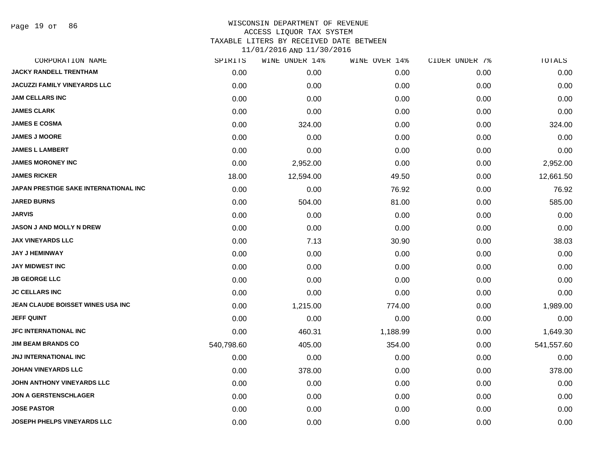| CORPORATION NAME                      | SPIRITS    | WINE UNDER 14% | WINE OVER 14% | CIDER UNDER 7% | <b>TOTALS</b> |
|---------------------------------------|------------|----------------|---------------|----------------|---------------|
| JACKY RANDELL TRENTHAM                | 0.00       | 0.00           | 0.00          | 0.00           | 0.00          |
| <b>JACUZZI FAMILY VINEYARDS LLC</b>   | 0.00       | 0.00           | 0.00          | 0.00           | 0.00          |
| <b>JAM CELLARS INC</b>                | 0.00       | 0.00           | 0.00          | 0.00           | 0.00          |
| <b>JAMES CLARK</b>                    | 0.00       | 0.00           | 0.00          | 0.00           | 0.00          |
| <b>JAMES E COSMA</b>                  | 0.00       | 324.00         | 0.00          | 0.00           | 324.00        |
| <b>JAMES J MOORE</b>                  | 0.00       | 0.00           | 0.00          | 0.00           | 0.00          |
| <b>JAMES L LAMBERT</b>                | 0.00       | 0.00           | 0.00          | 0.00           | 0.00          |
| <b>JAMES MORONEY INC</b>              | 0.00       | 2,952.00       | 0.00          | 0.00           | 2,952.00      |
| <b>JAMES RICKER</b>                   | 18.00      | 12,594.00      | 49.50         | 0.00           | 12,661.50     |
| JAPAN PRESTIGE SAKE INTERNATIONAL INC | 0.00       | 0.00           | 76.92         | 0.00           | 76.92         |
| <b>JARED BURNS</b>                    | 0.00       | 504.00         | 81.00         | 0.00           | 585.00        |
| <b>JARVIS</b>                         | 0.00       | 0.00           | 0.00          | 0.00           | 0.00          |
| <b>JASON J AND MOLLY N DREW</b>       | 0.00       | 0.00           | 0.00          | 0.00           | 0.00          |
| <b>JAX VINEYARDS LLC</b>              | 0.00       | 7.13           | 30.90         | 0.00           | 38.03         |
| <b>JAY J HEMINWAY</b>                 | 0.00       | 0.00           | 0.00          | 0.00           | 0.00          |
| <b>JAY MIDWEST INC</b>                | 0.00       | 0.00           | 0.00          | 0.00           | 0.00          |
| <b>JB GEORGE LLC</b>                  | 0.00       | 0.00           | 0.00          | 0.00           | 0.00          |
| <b>JC CELLARS INC</b>                 | 0.00       | 0.00           | 0.00          | 0.00           | 0.00          |
| JEAN CLAUDE BOISSET WINES USA INC     | 0.00       | 1,215.00       | 774.00        | 0.00           | 1,989.00      |
| <b>JEFF QUINT</b>                     | 0.00       | 0.00           | 0.00          | 0.00           | 0.00          |
| <b>JFC INTERNATIONAL INC</b>          | 0.00       | 460.31         | 1,188.99      | 0.00           | 1,649.30      |
| <b>JIM BEAM BRANDS CO</b>             | 540,798.60 | 405.00         | 354.00        | 0.00           | 541,557.60    |
| <b>JNJ INTERNATIONAL INC</b>          | 0.00       | 0.00           | 0.00          | 0.00           | 0.00          |
| <b>JOHAN VINEYARDS LLC</b>            | 0.00       | 378.00         | 0.00          | 0.00           | 378.00        |
| JOHN ANTHONY VINEYARDS LLC            | 0.00       | 0.00           | 0.00          | 0.00           | 0.00          |
| <b>JON A GERSTENSCHLAGER</b>          | 0.00       | 0.00           | 0.00          | 0.00           | 0.00          |
| <b>JOSE PASTOR</b>                    | 0.00       | 0.00           | 0.00          | 0.00           | 0.00          |
| <b>JOSEPH PHELPS VINEYARDS LLC</b>    | 0.00       | 0.00           | 0.00          | 0.00           | 0.00          |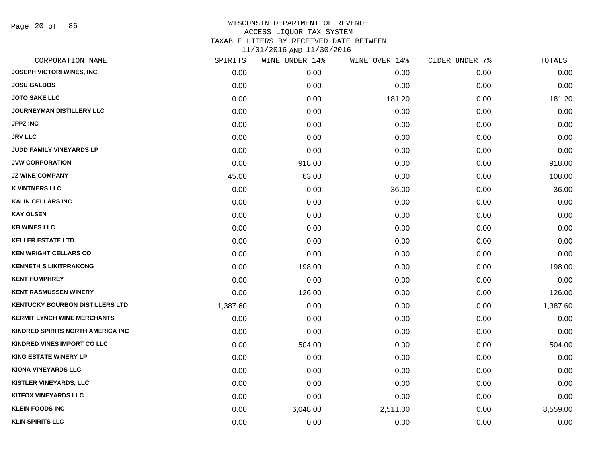| CORPORATION NAME                       | SPIRITS  | WINE UNDER 14% | WINE OVER 14% | CIDER UNDER 7% | TOTALS   |
|----------------------------------------|----------|----------------|---------------|----------------|----------|
| JOSEPH VICTORI WINES, INC.             | 0.00     | 0.00           | 0.00          | 0.00           | 0.00     |
| <b>JOSU GALDOS</b>                     | 0.00     | 0.00           | 0.00          | 0.00           | 0.00     |
| <b>JOTO SAKE LLC</b>                   | 0.00     | 0.00           | 181.20        | 0.00           | 181.20   |
| JOURNEYMAN DISTILLERY LLC              | 0.00     | 0.00           | 0.00          | 0.00           | 0.00     |
| <b>JPPZ INC</b>                        | 0.00     | 0.00           | 0.00          | 0.00           | 0.00     |
| <b>JRV LLC</b>                         | 0.00     | 0.00           | 0.00          | 0.00           | 0.00     |
| JUDD FAMILY VINEYARDS LP               | 0.00     | 0.00           | 0.00          | 0.00           | 0.00     |
| <b>JVW CORPORATION</b>                 | 0.00     | 918.00         | 0.00          | 0.00           | 918.00   |
| <b>JZ WINE COMPANY</b>                 | 45.00    | 63.00          | 0.00          | 0.00           | 108.00   |
| <b>K VINTNERS LLC</b>                  | 0.00     | 0.00           | 36.00         | 0.00           | 36.00    |
| <b>KALIN CELLARS INC</b>               | 0.00     | 0.00           | 0.00          | 0.00           | 0.00     |
| <b>KAY OLSEN</b>                       | 0.00     | 0.00           | 0.00          | 0.00           | 0.00     |
| <b>KB WINES LLC</b>                    | 0.00     | 0.00           | 0.00          | 0.00           | 0.00     |
| <b>KELLER ESTATE LTD</b>               | 0.00     | 0.00           | 0.00          | 0.00           | 0.00     |
| <b>KEN WRIGHT CELLARS CO</b>           | 0.00     | 0.00           | 0.00          | 0.00           | 0.00     |
| <b>KENNETH S LIKITPRAKONG</b>          | 0.00     | 198.00         | 0.00          | 0.00           | 198.00   |
| <b>KENT HUMPHREY</b>                   | 0.00     | 0.00           | 0.00          | 0.00           | 0.00     |
| <b>KENT RASMUSSEN WINERY</b>           | 0.00     | 126.00         | 0.00          | 0.00           | 126.00   |
| <b>KENTUCKY BOURBON DISTILLERS LTD</b> | 1,387.60 | 0.00           | 0.00          | 0.00           | 1,387.60 |
| <b>KERMIT LYNCH WINE MERCHANTS</b>     | 0.00     | 0.00           | 0.00          | 0.00           | 0.00     |
| KINDRED SPIRITS NORTH AMERICA INC      | 0.00     | 0.00           | 0.00          | 0.00           | 0.00     |
| KINDRED VINES IMPORT CO LLC            | 0.00     | 504.00         | 0.00          | 0.00           | 504.00   |
| <b>KING ESTATE WINERY LP</b>           | 0.00     | 0.00           | 0.00          | 0.00           | 0.00     |
| <b>KIONA VINEYARDS LLC</b>             | 0.00     | 0.00           | 0.00          | 0.00           | 0.00     |
| <b>KISTLER VINEYARDS, LLC</b>          | 0.00     | 0.00           | 0.00          | 0.00           | 0.00     |
| <b>KITFOX VINEYARDS LLC</b>            | 0.00     | 0.00           | 0.00          | 0.00           | 0.00     |
| <b>KLEIN FOODS INC</b>                 | 0.00     | 6,048.00       | 2,511.00      | 0.00           | 8,559.00 |
| <b>KLIN SPIRITS LLC</b>                | 0.00     | 0.00           | 0.00          | 0.00           | 0.00     |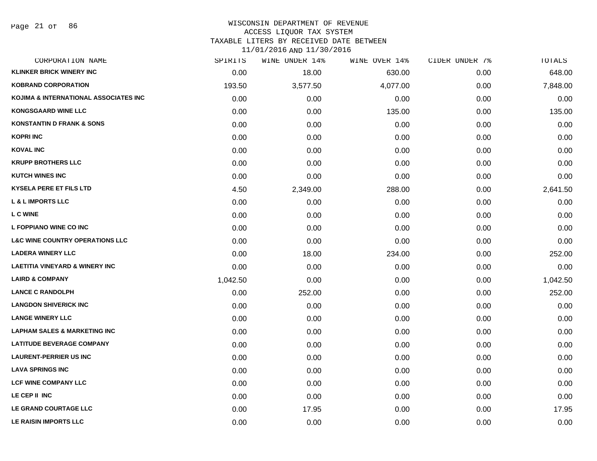# WISCONSIN DEPARTMENT OF REVENUE ACCESS LIQUOR TAX SYSTEM

TAXABLE LITERS BY RECEIVED DATE BETWEEN

| CORPORATION NAME                           | SPIRITS  | WINE UNDER 14% | WINE OVER 14% | CIDER UNDER 7% | TOTALS   |
|--------------------------------------------|----------|----------------|---------------|----------------|----------|
| <b>KLINKER BRICK WINERY INC</b>            | 0.00     | 18.00          | 630.00        | 0.00           | 648.00   |
| <b>KOBRAND CORPORATION</b>                 | 193.50   | 3,577.50       | 4,077.00      | 0.00           | 7,848.00 |
| KOJIMA & INTERNATIONAL ASSOCIATES INC      | 0.00     | 0.00           | 0.00          | 0.00           | 0.00     |
| <b>KONGSGAARD WINE LLC</b>                 | 0.00     | 0.00           | 135.00        | 0.00           | 135.00   |
| <b>KONSTANTIN D FRANK &amp; SONS</b>       | 0.00     | 0.00           | 0.00          | 0.00           | 0.00     |
| <b>KOPRI INC</b>                           | 0.00     | 0.00           | 0.00          | 0.00           | 0.00     |
| <b>KOVAL INC</b>                           | 0.00     | 0.00           | 0.00          | 0.00           | 0.00     |
| <b>KRUPP BROTHERS LLC</b>                  | 0.00     | 0.00           | 0.00          | 0.00           | 0.00     |
| <b>KUTCH WINES INC</b>                     | 0.00     | 0.00           | 0.00          | 0.00           | 0.00     |
| <b>KYSELA PERE ET FILS LTD</b>             | 4.50     | 2,349.00       | 288.00        | 0.00           | 2,641.50 |
| <b>L &amp; L IMPORTS LLC</b>               | 0.00     | 0.00           | 0.00          | 0.00           | 0.00     |
| <b>L C WINE</b>                            | 0.00     | 0.00           | 0.00          | 0.00           | 0.00     |
| L FOPPIANO WINE CO INC                     | 0.00     | 0.00           | 0.00          | 0.00           | 0.00     |
| <b>L&amp;C WINE COUNTRY OPERATIONS LLC</b> | 0.00     | 0.00           | 0.00          | 0.00           | 0.00     |
| <b>LADERA WINERY LLC</b>                   | 0.00     | 18.00          | 234.00        | 0.00           | 252.00   |
| <b>LAETITIA VINEYARD &amp; WINERY INC</b>  | 0.00     | 0.00           | 0.00          | 0.00           | 0.00     |
| <b>LAIRD &amp; COMPANY</b>                 | 1,042.50 | 0.00           | 0.00          | 0.00           | 1,042.50 |
| <b>LANCE C RANDOLPH</b>                    | 0.00     | 252.00         | 0.00          | 0.00           | 252.00   |
| <b>LANGDON SHIVERICK INC</b>               | 0.00     | 0.00           | 0.00          | 0.00           | 0.00     |
| <b>LANGE WINERY LLC</b>                    | 0.00     | 0.00           | 0.00          | 0.00           | 0.00     |
| <b>LAPHAM SALES &amp; MARKETING INC</b>    | 0.00     | 0.00           | 0.00          | 0.00           | 0.00     |
| <b>LATITUDE BEVERAGE COMPANY</b>           | 0.00     | 0.00           | 0.00          | 0.00           | 0.00     |
| <b>LAURENT-PERRIER US INC</b>              | 0.00     | 0.00           | 0.00          | 0.00           | 0.00     |
| <b>LAVA SPRINGS INC</b>                    | 0.00     | 0.00           | 0.00          | 0.00           | 0.00     |
| <b>LCF WINE COMPANY LLC</b>                | 0.00     | 0.00           | 0.00          | 0.00           | 0.00     |
| LE CEP II INC                              | 0.00     | 0.00           | 0.00          | 0.00           | 0.00     |
| LE GRAND COURTAGE LLC                      | 0.00     | 17.95          | 0.00          | 0.00           | 17.95    |
| LE RAISIN IMPORTS LLC                      | 0.00     | 0.00           | 0.00          | 0.00           | 0.00     |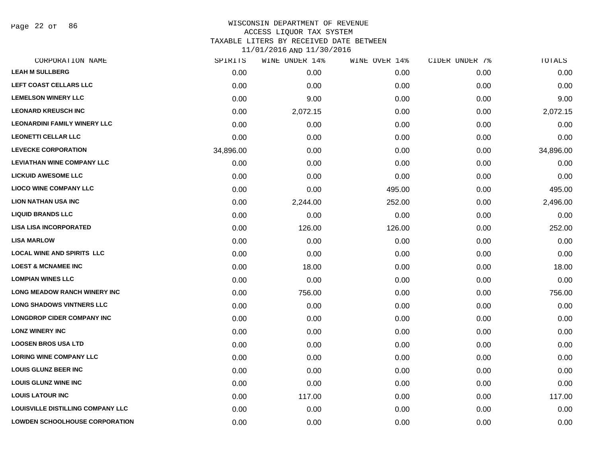Page 22 of 86

# WISCONSIN DEPARTMENT OF REVENUE ACCESS LIQUOR TAX SYSTEM TAXABLE LITERS BY RECEIVED DATE BETWEEN

| CORPORATION NAME                         | SPIRITS   | WINE UNDER 14% | WINE OVER 14% | CIDER UNDER 7% | TOTALS    |
|------------------------------------------|-----------|----------------|---------------|----------------|-----------|
| <b>LEAH M SULLBERG</b>                   | 0.00      | 0.00           | 0.00          | 0.00           | 0.00      |
| LEFT COAST CELLARS LLC                   | 0.00      | 0.00           | 0.00          | 0.00           | 0.00      |
| <b>LEMELSON WINERY LLC</b>               | 0.00      | 9.00           | 0.00          | 0.00           | 9.00      |
| <b>LEONARD KREUSCH INC</b>               | 0.00      | 2,072.15       | 0.00          | 0.00           | 2,072.15  |
| <b>LEONARDINI FAMILY WINERY LLC</b>      | 0.00      | 0.00           | 0.00          | 0.00           | 0.00      |
| <b>LEONETTI CELLAR LLC</b>               | 0.00      | 0.00           | 0.00          | 0.00           | 0.00      |
| <b>LEVECKE CORPORATION</b>               | 34,896.00 | 0.00           | 0.00          | 0.00           | 34,896.00 |
| <b>LEVIATHAN WINE COMPANY LLC</b>        | 0.00      | 0.00           | 0.00          | 0.00           | 0.00      |
| <b>LICKUID AWESOME LLC</b>               | 0.00      | 0.00           | 0.00          | 0.00           | 0.00      |
| <b>LIOCO WINE COMPANY LLC</b>            | 0.00      | 0.00           | 495.00        | 0.00           | 495.00    |
| <b>LION NATHAN USA INC</b>               | 0.00      | 2,244.00       | 252.00        | 0.00           | 2,496.00  |
| <b>LIQUID BRANDS LLC</b>                 | 0.00      | 0.00           | 0.00          | 0.00           | 0.00      |
| <b>LISA LISA INCORPORATED</b>            | 0.00      | 126.00         | 126.00        | 0.00           | 252.00    |
| <b>LISA MARLOW</b>                       | 0.00      | 0.00           | 0.00          | 0.00           | 0.00      |
| <b>LOCAL WINE AND SPIRITS LLC</b>        | 0.00      | 0.00           | 0.00          | 0.00           | 0.00      |
| <b>LOEST &amp; MCNAMEE INC</b>           | 0.00      | 18.00          | 0.00          | 0.00           | 18.00     |
| <b>LOMPIAN WINES LLC</b>                 | 0.00      | 0.00           | 0.00          | 0.00           | 0.00      |
| LONG MEADOW RANCH WINERY INC             | 0.00      | 756.00         | 0.00          | 0.00           | 756.00    |
| <b>LONG SHADOWS VINTNERS LLC</b>         | 0.00      | 0.00           | 0.00          | 0.00           | 0.00      |
| <b>LONGDROP CIDER COMPANY INC</b>        | 0.00      | 0.00           | 0.00          | 0.00           | 0.00      |
| <b>LONZ WINERY INC</b>                   | 0.00      | 0.00           | 0.00          | 0.00           | 0.00      |
| <b>LOOSEN BROS USA LTD</b>               | 0.00      | 0.00           | 0.00          | 0.00           | 0.00      |
| <b>LORING WINE COMPANY LLC</b>           | 0.00      | 0.00           | 0.00          | 0.00           | 0.00      |
| <b>LOUIS GLUNZ BEER INC</b>              | 0.00      | 0.00           | 0.00          | 0.00           | 0.00      |
| <b>LOUIS GLUNZ WINE INC</b>              | 0.00      | 0.00           | 0.00          | 0.00           | 0.00      |
| <b>LOUIS LATOUR INC</b>                  | 0.00      | 117.00         | 0.00          | 0.00           | 117.00    |
| <b>LOUISVILLE DISTILLING COMPANY LLC</b> | 0.00      | 0.00           | 0.00          | 0.00           | 0.00      |
| <b>LOWDEN SCHOOLHOUSE CORPORATION</b>    | 0.00      | 0.00           | 0.00          | 0.00           | 0.00      |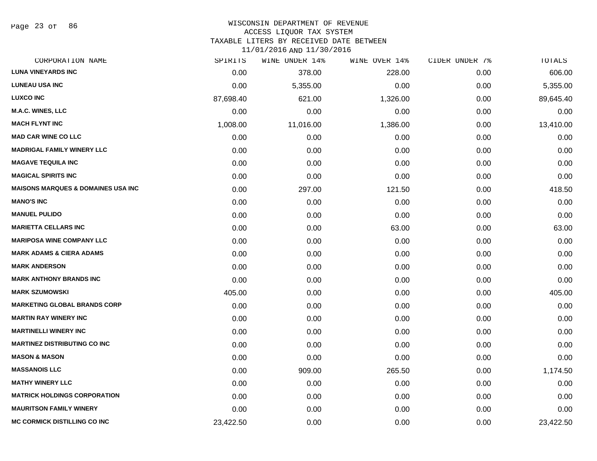Page 23 of 86

#### WISCONSIN DEPARTMENT OF REVENUE ACCESS LIQUOR TAX SYSTEM

TAXABLE LITERS BY RECEIVED DATE BETWEEN

| CORPORATION NAME                               | SPIRITS   | WINE UNDER 14% | WINE OVER 14% | CIDER UNDER 7% | TOTALS    |
|------------------------------------------------|-----------|----------------|---------------|----------------|-----------|
| <b>LUNA VINEYARDS INC</b>                      | 0.00      | 378.00         | 228.00        | 0.00           | 606.00    |
| <b>LUNEAU USA INC</b>                          | 0.00      | 5,355.00       | 0.00          | 0.00           | 5,355.00  |
| <b>LUXCO INC</b>                               | 87,698.40 | 621.00         | 1,326.00      | 0.00           | 89,645.40 |
| <b>M.A.C. WINES, LLC</b>                       | 0.00      | 0.00           | 0.00          | 0.00           | 0.00      |
| <b>MACH FLYNT INC</b>                          | 1,008.00  | 11,016.00      | 1,386.00      | 0.00           | 13,410.00 |
| <b>MAD CAR WINE CO LLC</b>                     | 0.00      | 0.00           | 0.00          | 0.00           | 0.00      |
| <b>MADRIGAL FAMILY WINERY LLC</b>              | 0.00      | 0.00           | 0.00          | 0.00           | 0.00      |
| <b>MAGAVE TEQUILA INC</b>                      | 0.00      | 0.00           | 0.00          | 0.00           | 0.00      |
| <b>MAGICAL SPIRITS INC</b>                     | 0.00      | 0.00           | 0.00          | 0.00           | 0.00      |
| <b>MAISONS MARQUES &amp; DOMAINES USA INC.</b> | 0.00      | 297.00         | 121.50        | 0.00           | 418.50    |
| <b>MANO'S INC</b>                              | 0.00      | 0.00           | 0.00          | 0.00           | 0.00      |
| <b>MANUEL PULIDO</b>                           | 0.00      | 0.00           | 0.00          | 0.00           | 0.00      |
| <b>MARIETTA CELLARS INC</b>                    | 0.00      | 0.00           | 63.00         | 0.00           | 63.00     |
| <b>MARIPOSA WINE COMPANY LLC</b>               | 0.00      | 0.00           | 0.00          | 0.00           | 0.00      |
| <b>MARK ADAMS &amp; CIERA ADAMS</b>            | 0.00      | 0.00           | 0.00          | 0.00           | 0.00      |
| <b>MARK ANDERSON</b>                           | 0.00      | 0.00           | 0.00          | 0.00           | 0.00      |
| <b>MARK ANTHONY BRANDS INC</b>                 | 0.00      | 0.00           | 0.00          | 0.00           | 0.00      |
| <b>MARK SZUMOWSKI</b>                          | 405.00    | 0.00           | 0.00          | 0.00           | 405.00    |
| <b>MARKETING GLOBAL BRANDS CORP</b>            | 0.00      | 0.00           | 0.00          | 0.00           | 0.00      |
| <b>MARTIN RAY WINERY INC</b>                   | 0.00      | 0.00           | 0.00          | 0.00           | 0.00      |
| <b>MARTINELLI WINERY INC</b>                   | 0.00      | 0.00           | 0.00          | 0.00           | 0.00      |
| <b>MARTINEZ DISTRIBUTING CO INC</b>            | 0.00      | 0.00           | 0.00          | 0.00           | 0.00      |
| <b>MASON &amp; MASON</b>                       | 0.00      | 0.00           | 0.00          | 0.00           | 0.00      |
| <b>MASSANOIS LLC</b>                           | 0.00      | 909.00         | 265.50        | 0.00           | 1,174.50  |
| <b>MATHY WINERY LLC</b>                        | 0.00      | 0.00           | 0.00          | 0.00           | 0.00      |
| <b>MATRICK HOLDINGS CORPORATION</b>            | 0.00      | 0.00           | 0.00          | 0.00           | 0.00      |
| <b>MAURITSON FAMILY WINERY</b>                 | 0.00      | 0.00           | 0.00          | 0.00           | 0.00      |
| <b>MC CORMICK DISTILLING CO INC</b>            | 23,422.50 | 0.00           | 0.00          | 0.00           | 23,422.50 |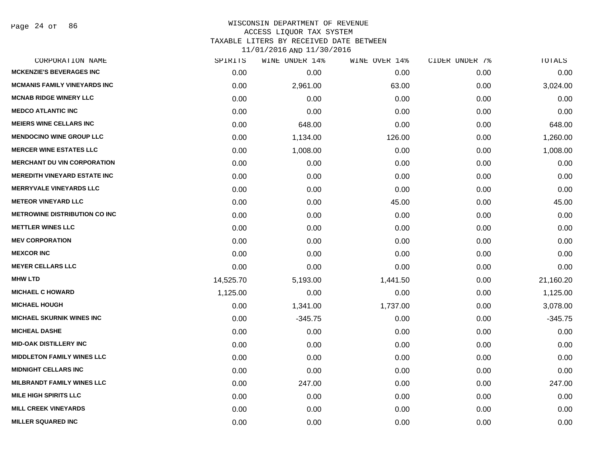Page 24 of 86

| CORPORATION NAME                     | SPIRITS   | WINE UNDER 14% | WINE OVER 14% | CIDER UNDER 7% | TOTALS    |
|--------------------------------------|-----------|----------------|---------------|----------------|-----------|
| <b>MCKENZIE'S BEVERAGES INC</b>      | 0.00      | 0.00           | 0.00          | 0.00           | 0.00      |
| <b>MCMANIS FAMILY VINEYARDS INC</b>  | 0.00      | 2,961.00       | 63.00         | 0.00           | 3,024.00  |
| <b>MCNAB RIDGE WINERY LLC</b>        | 0.00      | 0.00           | 0.00          | 0.00           | 0.00      |
| <b>MEDCO ATLANTIC INC</b>            | 0.00      | 0.00           | 0.00          | 0.00           | 0.00      |
| <b>MEIERS WINE CELLARS INC</b>       | 0.00      | 648.00         | 0.00          | 0.00           | 648.00    |
| <b>MENDOCINO WINE GROUP LLC</b>      | 0.00      | 1,134.00       | 126.00        | 0.00           | 1,260.00  |
| <b>MERCER WINE ESTATES LLC</b>       | 0.00      | 1,008.00       | 0.00          | 0.00           | 1,008.00  |
| <b>MERCHANT DU VIN CORPORATION</b>   | 0.00      | 0.00           | 0.00          | 0.00           | 0.00      |
| <b>MEREDITH VINEYARD ESTATE INC</b>  | 0.00      | 0.00           | 0.00          | 0.00           | 0.00      |
| <b>MERRYVALE VINEYARDS LLC</b>       | 0.00      | 0.00           | 0.00          | 0.00           | 0.00      |
| <b>METEOR VINEYARD LLC</b>           | 0.00      | 0.00           | 45.00         | 0.00           | 45.00     |
| <b>METROWINE DISTRIBUTION CO INC</b> | 0.00      | 0.00           | 0.00          | 0.00           | 0.00      |
| <b>METTLER WINES LLC</b>             | 0.00      | 0.00           | 0.00          | 0.00           | 0.00      |
| <b>MEV CORPORATION</b>               | 0.00      | 0.00           | 0.00          | 0.00           | 0.00      |
| <b>MEXCOR INC</b>                    | 0.00      | 0.00           | 0.00          | 0.00           | 0.00      |
| <b>MEYER CELLARS LLC</b>             | 0.00      | 0.00           | 0.00          | 0.00           | 0.00      |
| <b>MHW LTD</b>                       | 14,525.70 | 5,193.00       | 1,441.50      | 0.00           | 21,160.20 |
| <b>MICHAEL C HOWARD</b>              | 1,125.00  | 0.00           | 0.00          | 0.00           | 1,125.00  |
| <b>MICHAEL HOUGH</b>                 | 0.00      | 1,341.00       | 1,737.00      | 0.00           | 3,078.00  |
| <b>MICHAEL SKURNIK WINES INC</b>     | 0.00      | $-345.75$      | 0.00          | 0.00           | $-345.75$ |
| <b>MICHEAL DASHE</b>                 | 0.00      | 0.00           | 0.00          | 0.00           | 0.00      |
| <b>MID-OAK DISTILLERY INC</b>        | 0.00      | 0.00           | 0.00          | 0.00           | 0.00      |
| <b>MIDDLETON FAMILY WINES LLC</b>    | 0.00      | 0.00           | 0.00          | 0.00           | 0.00      |
| <b>MIDNIGHT CELLARS INC</b>          | 0.00      | 0.00           | 0.00          | 0.00           | 0.00      |
| <b>MILBRANDT FAMILY WINES LLC</b>    | 0.00      | 247.00         | 0.00          | 0.00           | 247.00    |
| <b>MILE HIGH SPIRITS LLC</b>         | 0.00      | 0.00           | 0.00          | 0.00           | 0.00      |
| <b>MILL CREEK VINEYARDS</b>          | 0.00      | 0.00           | 0.00          | 0.00           | 0.00      |
| <b>MILLER SQUARED INC</b>            | 0.00      | 0.00           | 0.00          | 0.00           | 0.00      |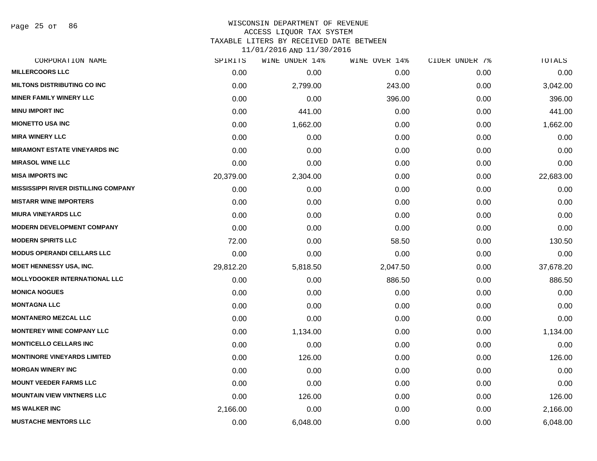Page 25 of 86

#### WISCONSIN DEPARTMENT OF REVENUE ACCESS LIQUOR TAX SYSTEM TAXABLE LITERS BY RECEIVED DATE BETWEEN

| CORPORATION NAME                            | SPIRITS   | WINE UNDER 14% | WINE OVER 14% | CIDER UNDER 7% | TOTALS    |
|---------------------------------------------|-----------|----------------|---------------|----------------|-----------|
| <b>MILLERCOORS LLC</b>                      | 0.00      | 0.00           | 0.00          | 0.00           | 0.00      |
| <b>MILTONS DISTRIBUTING CO INC</b>          | 0.00      | 2,799.00       | 243.00        | 0.00           | 3,042.00  |
| <b>MINER FAMILY WINERY LLC</b>              | 0.00      | 0.00           | 396.00        | 0.00           | 396.00    |
| <b>MINU IMPORT INC</b>                      | 0.00      | 441.00         | 0.00          | 0.00           | 441.00    |
| <b>MIONETTO USA INC</b>                     | 0.00      | 1,662.00       | 0.00          | 0.00           | 1,662.00  |
| <b>MIRA WINERY LLC</b>                      | 0.00      | 0.00           | 0.00          | 0.00           | 0.00      |
| <b>MIRAMONT ESTATE VINEYARDS INC</b>        | 0.00      | 0.00           | 0.00          | 0.00           | 0.00      |
| <b>MIRASOL WINE LLC</b>                     | 0.00      | 0.00           | 0.00          | 0.00           | 0.00      |
| <b>MISA IMPORTS INC</b>                     | 20,379.00 | 2,304.00       | 0.00          | 0.00           | 22,683.00 |
| <b>MISSISSIPPI RIVER DISTILLING COMPANY</b> | 0.00      | 0.00           | 0.00          | 0.00           | 0.00      |
| <b>MISTARR WINE IMPORTERS</b>               | 0.00      | 0.00           | 0.00          | 0.00           | 0.00      |
| <b>MIURA VINEYARDS LLC</b>                  | 0.00      | 0.00           | 0.00          | 0.00           | 0.00      |
| <b>MODERN DEVELOPMENT COMPANY</b>           | 0.00      | 0.00           | 0.00          | 0.00           | 0.00      |
| <b>MODERN SPIRITS LLC</b>                   | 72.00     | 0.00           | 58.50         | 0.00           | 130.50    |
| <b>MODUS OPERANDI CELLARS LLC</b>           | 0.00      | 0.00           | 0.00          | 0.00           | 0.00      |
| MOET HENNESSY USA, INC.                     | 29,812.20 | 5,818.50       | 2,047.50      | 0.00           | 37,678.20 |
| <b>MOLLYDOOKER INTERNATIONAL LLC</b>        | 0.00      | 0.00           | 886.50        | 0.00           | 886.50    |
| <b>MONICA NOGUES</b>                        | 0.00      | 0.00           | 0.00          | 0.00           | 0.00      |
| <b>MONTAGNA LLC</b>                         | 0.00      | 0.00           | 0.00          | 0.00           | 0.00      |
| <b>MONTANERO MEZCAL LLC</b>                 | 0.00      | 0.00           | 0.00          | 0.00           | 0.00      |
| <b>MONTEREY WINE COMPANY LLC</b>            | 0.00      | 1,134.00       | 0.00          | 0.00           | 1,134.00  |
| <b>MONTICELLO CELLARS INC</b>               | 0.00      | 0.00           | 0.00          | 0.00           | 0.00      |
| <b>MONTINORE VINEYARDS LIMITED</b>          | 0.00      | 126.00         | 0.00          | 0.00           | 126.00    |
| <b>MORGAN WINERY INC</b>                    | 0.00      | 0.00           | 0.00          | 0.00           | 0.00      |
| <b>MOUNT VEEDER FARMS LLC</b>               | 0.00      | 0.00           | 0.00          | 0.00           | 0.00      |
| <b>MOUNTAIN VIEW VINTNERS LLC</b>           | 0.00      | 126.00         | 0.00          | 0.00           | 126.00    |
| <b>MS WALKER INC</b>                        | 2,166.00  | 0.00           | 0.00          | 0.00           | 2,166.00  |
| <b>MUSTACHE MENTORS LLC</b>                 | 0.00      | 6,048.00       | 0.00          | 0.00           | 6,048.00  |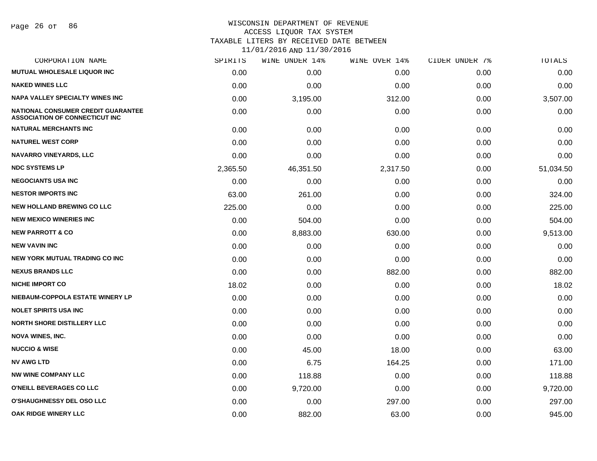Page 26 of 86

#### WISCONSIN DEPARTMENT OF REVENUE ACCESS LIQUOR TAX SYSTEM TAXABLE LITERS BY RECEIVED DATE BETWEEN

| CORPORATION NAME                                                                   | SPIRITS  | WINE UNDER 14% | WINE OVER 14% | CIDER UNDER 7% | TOTALS    |
|------------------------------------------------------------------------------------|----------|----------------|---------------|----------------|-----------|
| <b>MUTUAL WHOLESALE LIQUOR INC</b>                                                 | 0.00     | 0.00           | 0.00          | 0.00           | 0.00      |
| <b>NAKED WINES LLC</b>                                                             | 0.00     | 0.00           | 0.00          | 0.00           | 0.00      |
| <b>NAPA VALLEY SPECIALTY WINES INC</b>                                             | 0.00     | 3,195.00       | 312.00        | 0.00           | 3,507.00  |
| <b>NATIONAL CONSUMER CREDIT GUARANTEE</b><br><b>ASSOCIATION OF CONNECTICUT INC</b> | 0.00     | 0.00           | 0.00          | 0.00           | 0.00      |
| <b>NATURAL MERCHANTS INC</b>                                                       | 0.00     | 0.00           | 0.00          | 0.00           | 0.00      |
| <b>NATUREL WEST CORP</b>                                                           | 0.00     | 0.00           | 0.00          | 0.00           | 0.00      |
| <b>NAVARRO VINEYARDS, LLC</b>                                                      | 0.00     | 0.00           | 0.00          | 0.00           | 0.00      |
| <b>NDC SYSTEMS LP</b>                                                              | 2,365.50 | 46,351.50      | 2,317.50      | 0.00           | 51,034.50 |
| <b>NEGOCIANTS USA INC</b>                                                          | 0.00     | 0.00           | 0.00          | 0.00           | 0.00      |
| <b>NESTOR IMPORTS INC</b>                                                          | 63.00    | 261.00         | 0.00          | 0.00           | 324.00    |
| <b>NEW HOLLAND BREWING CO LLC</b>                                                  | 225.00   | 0.00           | 0.00          | 0.00           | 225.00    |
| <b>NEW MEXICO WINERIES INC.</b>                                                    | 0.00     | 504.00         | 0.00          | 0.00           | 504.00    |
| <b>NEW PARROTT &amp; CO</b>                                                        | 0.00     | 8,883.00       | 630.00        | 0.00           | 9,513.00  |
| <b>NEW VAVIN INC</b>                                                               | 0.00     | 0.00           | 0.00          | 0.00           | 0.00      |
| <b>NEW YORK MUTUAL TRADING CO INC</b>                                              | 0.00     | 0.00           | 0.00          | 0.00           | 0.00      |
| <b>NEXUS BRANDS LLC</b>                                                            | 0.00     | 0.00           | 882.00        | 0.00           | 882.00    |
| <b>NICHE IMPORT CO</b>                                                             | 18.02    | 0.00           | 0.00          | 0.00           | 18.02     |
| NIEBAUM-COPPOLA ESTATE WINERY LP                                                   | 0.00     | 0.00           | 0.00          | 0.00           | 0.00      |
| <b>NOLET SPIRITS USA INC</b>                                                       | 0.00     | 0.00           | 0.00          | 0.00           | 0.00      |
| <b>NORTH SHORE DISTILLERY LLC</b>                                                  | 0.00     | 0.00           | 0.00          | 0.00           | 0.00      |
| <b>NOVA WINES, INC.</b>                                                            | 0.00     | 0.00           | 0.00          | 0.00           | 0.00      |
| <b>NUCCIO &amp; WISE</b>                                                           | 0.00     | 45.00          | 18.00         | 0.00           | 63.00     |
| <b>NV AWG LTD</b>                                                                  | 0.00     | 6.75           | 164.25        | 0.00           | 171.00    |
| <b>NW WINE COMPANY LLC</b>                                                         | 0.00     | 118.88         | 0.00          | 0.00           | 118.88    |
| O'NEILL BEVERAGES CO LLC                                                           | 0.00     | 9,720.00       | 0.00          | 0.00           | 9,720.00  |
| <b>O'SHAUGHNESSY DEL OSO LLC</b>                                                   | 0.00     | 0.00           | 297.00        | 0.00           | 297.00    |
| OAK RIDGE WINERY LLC                                                               | 0.00     | 882.00         | 63.00         | 0.00           | 945.00    |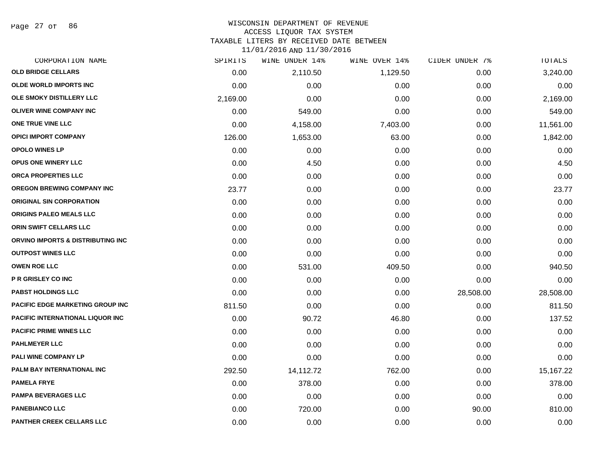Page 27 of 86

#### WISCONSIN DEPARTMENT OF REVENUE ACCESS LIQUOR TAX SYSTEM TAXABLE LITERS BY RECEIVED DATE BETWEEN

| CORPORATION NAME                        | SPIRITS  | WINE UNDER 14% | WINE OVER 14% | CIDER UNDER 7% | TOTALS    |
|-----------------------------------------|----------|----------------|---------------|----------------|-----------|
| <b>OLD BRIDGE CELLARS</b>               | 0.00     | 2,110.50       | 1,129.50      | 0.00           | 3,240.00  |
| OLDE WORLD IMPORTS INC                  | 0.00     | 0.00           | 0.00          | 0.00           | 0.00      |
| OLE SMOKY DISTILLERY LLC                | 2,169.00 | 0.00           | 0.00          | 0.00           | 2,169.00  |
| <b>OLIVER WINE COMPANY INC</b>          | 0.00     | 549.00         | 0.00          | 0.00           | 549.00    |
| ONE TRUE VINE LLC                       | 0.00     | 4,158.00       | 7,403.00      | 0.00           | 11,561.00 |
| <b>OPICI IMPORT COMPANY</b>             | 126.00   | 1,653.00       | 63.00         | 0.00           | 1,842.00  |
| <b>OPOLO WINES LP</b>                   | 0.00     | 0.00           | 0.00          | 0.00           | 0.00      |
| <b>OPUS ONE WINERY LLC</b>              | 0.00     | 4.50           | 0.00          | 0.00           | 4.50      |
| ORCA PROPERTIES LLC                     | 0.00     | 0.00           | 0.00          | 0.00           | 0.00      |
| <b>OREGON BREWING COMPANY INC</b>       | 23.77    | 0.00           | 0.00          | 0.00           | 23.77     |
| <b>ORIGINAL SIN CORPORATION</b>         | 0.00     | 0.00           | 0.00          | 0.00           | 0.00      |
| ORIGINS PALEO MEALS LLC                 | 0.00     | 0.00           | 0.00          | 0.00           | 0.00      |
| ORIN SWIFT CELLARS LLC                  | 0.00     | 0.00           | 0.00          | 0.00           | 0.00      |
| ORVINO IMPORTS & DISTRIBUTING INC       | 0.00     | 0.00           | 0.00          | 0.00           | 0.00      |
| <b>OUTPOST WINES LLC</b>                | 0.00     | 0.00           | 0.00          | 0.00           | 0.00      |
| <b>OWEN ROE LLC</b>                     | 0.00     | 531.00         | 409.50        | 0.00           | 940.50    |
| <b>P R GRISLEY CO INC</b>               | 0.00     | 0.00           | 0.00          | 0.00           | 0.00      |
| <b>PABST HOLDINGS LLC</b>               | 0.00     | 0.00           | 0.00          | 28,508.00      | 28,508.00 |
| PACIFIC EDGE MARKETING GROUP INC        | 811.50   | 0.00           | 0.00          | 0.00           | 811.50    |
| <b>PACIFIC INTERNATIONAL LIQUOR INC</b> | 0.00     | 90.72          | 46.80         | 0.00           | 137.52    |
| <b>PACIFIC PRIME WINES LLC</b>          | 0.00     | 0.00           | 0.00          | 0.00           | 0.00      |
| <b>PAHLMEYER LLC</b>                    | 0.00     | 0.00           | 0.00          | 0.00           | 0.00      |
| PALI WINE COMPANY LP                    | 0.00     | 0.00           | 0.00          | 0.00           | 0.00      |
| PALM BAY INTERNATIONAL INC              | 292.50   | 14,112.72      | 762.00        | 0.00           | 15,167.22 |
| <b>PAMELA FRYE</b>                      | 0.00     | 378.00         | 0.00          | 0.00           | 378.00    |
| <b>PAMPA BEVERAGES LLC</b>              | 0.00     | 0.00           | 0.00          | 0.00           | 0.00      |
| <b>PANEBIANCO LLC</b>                   | 0.00     | 720.00         | 0.00          | 90.00          | 810.00    |
| <b>PANTHER CREEK CELLARS LLC</b>        | 0.00     | 0.00           | 0.00          | 0.00           | 0.00      |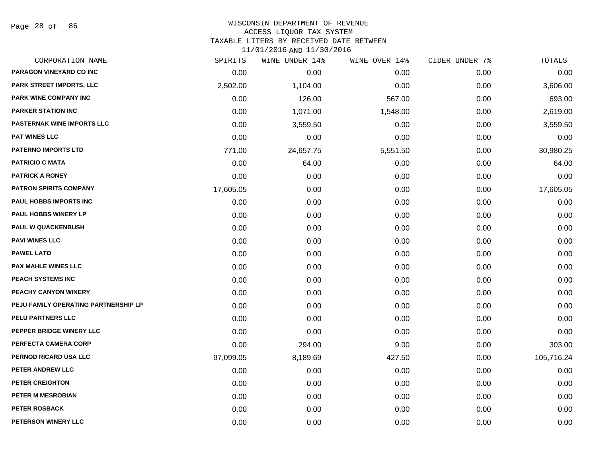Page 28 of 86

#### WISCONSIN DEPARTMENT OF REVENUE ACCESS LIQUOR TAX SYSTEM TAXABLE LITERS BY RECEIVED DATE BETWEEN

| CORPORATION NAME                     | SPIRITS   | WINE UNDER 14% | WINE OVER 14% | CIDER UNDER 7% | TOTALS     |
|--------------------------------------|-----------|----------------|---------------|----------------|------------|
| PARAGON VINEYARD CO INC              | 0.00      | 0.00           | 0.00          | 0.00           | 0.00       |
| PARK STREET IMPORTS, LLC             | 2,502.00  | 1,104.00       | 0.00          | 0.00           | 3,606.00   |
| PARK WINE COMPANY INC                | 0.00      | 126.00         | 567.00        | 0.00           | 693.00     |
| <b>PARKER STATION INC</b>            | 0.00      | 1,071.00       | 1,548.00      | 0.00           | 2,619.00   |
| <b>PASTERNAK WINE IMPORTS LLC</b>    | 0.00      | 3,559.50       | 0.00          | 0.00           | 3,559.50   |
| <b>PAT WINES LLC</b>                 | 0.00      | 0.00           | 0.00          | 0.00           | 0.00       |
| <b>PATERNO IMPORTS LTD</b>           | 771.00    | 24,657.75      | 5,551.50      | 0.00           | 30,980.25  |
| <b>PATRICIO C MATA</b>               | 0.00      | 64.00          | 0.00          | 0.00           | 64.00      |
| <b>PATRICK A RONEY</b>               | 0.00      | 0.00           | 0.00          | 0.00           | 0.00       |
| <b>PATRON SPIRITS COMPANY</b>        | 17,605.05 | 0.00           | 0.00          | 0.00           | 17,605.05  |
| <b>PAUL HOBBS IMPORTS INC</b>        | 0.00      | 0.00           | 0.00          | 0.00           | 0.00       |
| <b>PAUL HOBBS WINERY LP</b>          | 0.00      | 0.00           | 0.00          | 0.00           | 0.00       |
| <b>PAUL W QUACKENBUSH</b>            | 0.00      | 0.00           | 0.00          | 0.00           | 0.00       |
| <b>PAVI WINES LLC</b>                | 0.00      | 0.00           | 0.00          | 0.00           | 0.00       |
| <b>PAWEL LATO</b>                    | 0.00      | 0.00           | 0.00          | 0.00           | 0.00       |
| <b>PAX MAHLE WINES LLC</b>           | 0.00      | 0.00           | 0.00          | 0.00           | 0.00       |
| PEACH SYSTEMS INC                    | 0.00      | 0.00           | 0.00          | 0.00           | 0.00       |
| PEACHY CANYON WINERY                 | 0.00      | 0.00           | 0.00          | 0.00           | 0.00       |
| PEJU FAMILY OPERATING PARTNERSHIP LP | 0.00      | 0.00           | 0.00          | 0.00           | 0.00       |
| <b>PELU PARTNERS LLC</b>             | 0.00      | 0.00           | 0.00          | 0.00           | 0.00       |
| PEPPER BRIDGE WINERY LLC             | 0.00      | 0.00           | 0.00          | 0.00           | 0.00       |
| PERFECTA CAMERA CORP                 | 0.00      | 294.00         | 9.00          | 0.00           | 303.00     |
| PERNOD RICARD USA LLC                | 97,099.05 | 8,189.69       | 427.50        | 0.00           | 105,716.24 |
| PETER ANDREW LLC                     | 0.00      | 0.00           | 0.00          | 0.00           | 0.00       |
| <b>PETER CREIGHTON</b>               | 0.00      | 0.00           | 0.00          | 0.00           | 0.00       |
| PETER M MESROBIAN                    | 0.00      | 0.00           | 0.00          | 0.00           | 0.00       |
| PETER ROSBACK                        | 0.00      | 0.00           | 0.00          | 0.00           | 0.00       |
| PETERSON WINERY LLC                  | 0.00      | 0.00           | 0.00          | 0.00           | 0.00       |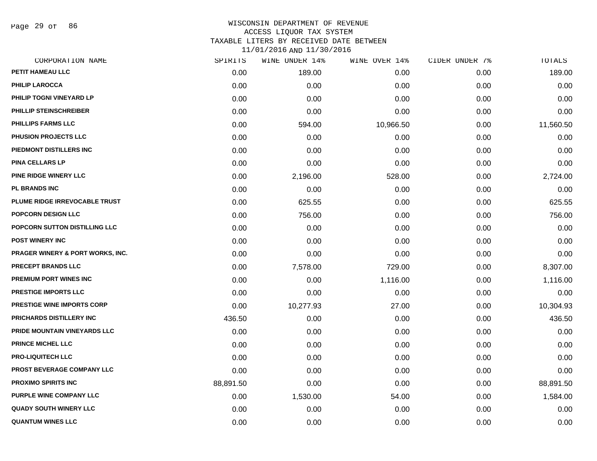Page 29 of 86

| CORPORATION NAME                 | SPIRITS   | WINE UNDER 14% | WINE OVER 14% | CIDER UNDER 7% | TOTALS    |
|----------------------------------|-----------|----------------|---------------|----------------|-----------|
| PETIT HAMEAU LLC                 | 0.00      | 189.00         | 0.00          | 0.00           | 189.00    |
| <b>PHILIP LAROCCA</b>            | 0.00      | 0.00           | 0.00          | 0.00           | 0.00      |
| PHILIP TOGNI VINEYARD LP         | 0.00      | 0.00           | 0.00          | 0.00           | 0.00      |
| PHILLIP STEINSCHREIBER           | 0.00      | 0.00           | 0.00          | 0.00           | 0.00      |
| PHILLIPS FARMS LLC               | 0.00      | 594.00         | 10,966.50     | 0.00           | 11,560.50 |
| PHUSION PROJECTS LLC             | 0.00      | 0.00           | 0.00          | 0.00           | 0.00      |
| PIEDMONT DISTILLERS INC          | 0.00      | 0.00           | 0.00          | 0.00           | 0.00      |
| <b>PINA CELLARS LP</b>           | 0.00      | 0.00           | 0.00          | 0.00           | 0.00      |
| PINE RIDGE WINERY LLC            | 0.00      | 2,196.00       | 528.00        | 0.00           | 2,724.00  |
| PL BRANDS INC                    | 0.00      | 0.00           | 0.00          | 0.00           | 0.00      |
| PLUME RIDGE IRREVOCABLE TRUST    | 0.00      | 625.55         | 0.00          | 0.00           | 625.55    |
| POPCORN DESIGN LLC               | 0.00      | 756.00         | 0.00          | 0.00           | 756.00    |
| POPCORN SUTTON DISTILLING LLC    | 0.00      | 0.00           | 0.00          | 0.00           | 0.00      |
| <b>POST WINERY INC</b>           | 0.00      | 0.00           | 0.00          | 0.00           | 0.00      |
| PRAGER WINERY & PORT WORKS, INC. | 0.00      | 0.00           | 0.00          | 0.00           | 0.00      |
| <b>PRECEPT BRANDS LLC</b>        | 0.00      | 7,578.00       | 729.00        | 0.00           | 8,307.00  |
| PREMIUM PORT WINES INC           | 0.00      | 0.00           | 1,116.00      | 0.00           | 1,116.00  |
| <b>PRESTIGE IMPORTS LLC</b>      | 0.00      | 0.00           | 0.00          | 0.00           | 0.00      |
| PRESTIGE WINE IMPORTS CORP       | 0.00      | 10,277.93      | 27.00         | 0.00           | 10,304.93 |
| PRICHARDS DISTILLERY INC         | 436.50    | 0.00           | 0.00          | 0.00           | 436.50    |
| PRIDE MOUNTAIN VINEYARDS LLC     | 0.00      | 0.00           | 0.00          | 0.00           | 0.00      |
| PRINCE MICHEL LLC                | 0.00      | 0.00           | 0.00          | 0.00           | 0.00      |
| <b>PRO-LIQUITECH LLC</b>         | 0.00      | 0.00           | 0.00          | 0.00           | 0.00      |
| PROST BEVERAGE COMPANY LLC       | 0.00      | 0.00           | 0.00          | 0.00           | 0.00      |
| <b>PROXIMO SPIRITS INC</b>       | 88,891.50 | 0.00           | 0.00          | 0.00           | 88,891.50 |
| PURPLE WINE COMPANY LLC          | 0.00      | 1,530.00       | 54.00         | 0.00           | 1,584.00  |
| <b>QUADY SOUTH WINERY LLC</b>    | 0.00      | 0.00           | 0.00          | 0.00           | 0.00      |
| <b>QUANTUM WINES LLC</b>         | 0.00      | 0.00           | 0.00          | 0.00           | 0.00      |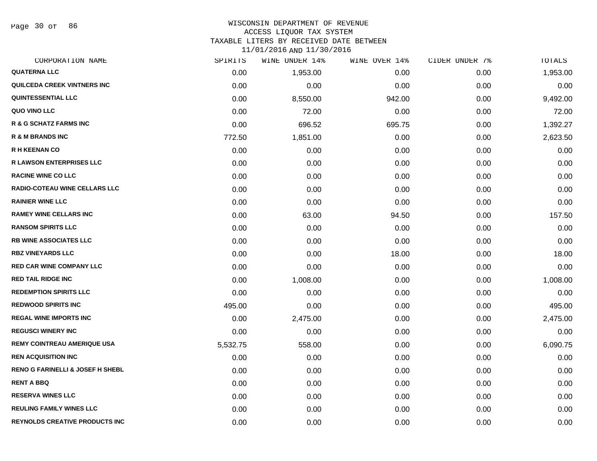Page 30 of 86

#### WISCONSIN DEPARTMENT OF REVENUE ACCESS LIQUOR TAX SYSTEM

TAXABLE LITERS BY RECEIVED DATE BETWEEN

| CORPORATION NAME                            | SPIRITS  | WINE UNDER 14% | WINE OVER 14% | CIDER UNDER 7% | TOTALS   |
|---------------------------------------------|----------|----------------|---------------|----------------|----------|
| <b>QUATERNA LLC</b>                         | 0.00     | 1,953.00       | 0.00          | 0.00           | 1,953.00 |
| <b>QUILCEDA CREEK VINTNERS INC</b>          | 0.00     | 0.00           | 0.00          | 0.00           | 0.00     |
| <b>QUINTESSENTIAL LLC</b>                   | 0.00     | 8,550.00       | 942.00        | 0.00           | 9,492.00 |
| QUO VINO LLC                                | 0.00     | 72.00          | 0.00          | 0.00           | 72.00    |
| R & G SCHATZ FARMS INC                      | 0.00     | 696.52         | 695.75        | 0.00           | 1,392.27 |
| R & M BRANDS INC                            | 772.50   | 1,851.00       | 0.00          | 0.00           | 2,623.50 |
| <b>R H KEENAN CO</b>                        | 0.00     | 0.00           | 0.00          | 0.00           | 0.00     |
| <b>R LAWSON ENTERPRISES LLC</b>             | 0.00     | 0.00           | 0.00          | 0.00           | 0.00     |
| <b>RACINE WINE CO LLC</b>                   | 0.00     | 0.00           | 0.00          | 0.00           | 0.00     |
| <b>RADIO-COTEAU WINE CELLARS LLC</b>        | 0.00     | 0.00           | 0.00          | 0.00           | 0.00     |
| <b>RAINIER WINE LLC</b>                     | 0.00     | 0.00           | 0.00          | 0.00           | 0.00     |
| <b>RAMEY WINE CELLARS INC</b>               | 0.00     | 63.00          | 94.50         | 0.00           | 157.50   |
| <b>RANSOM SPIRITS LLC</b>                   | 0.00     | 0.00           | 0.00          | 0.00           | 0.00     |
| RB WINE ASSOCIATES LLC                      | 0.00     | 0.00           | 0.00          | 0.00           | 0.00     |
| <b>RBZ VINEYARDS LLC</b>                    | 0.00     | 0.00           | 18.00         | 0.00           | 18.00    |
| <b>RED CAR WINE COMPANY LLC</b>             | 0.00     | 0.00           | 0.00          | 0.00           | 0.00     |
| <b>RED TAIL RIDGE INC</b>                   | 0.00     | 1,008.00       | 0.00          | 0.00           | 1,008.00 |
| <b>REDEMPTION SPIRITS LLC</b>               | 0.00     | 0.00           | 0.00          | 0.00           | 0.00     |
| <b>REDWOOD SPIRITS INC</b>                  | 495.00   | 0.00           | 0.00          | 0.00           | 495.00   |
| <b>REGAL WINE IMPORTS INC</b>               | 0.00     | 2,475.00       | 0.00          | 0.00           | 2,475.00 |
| <b>REGUSCI WINERY INC</b>                   | 0.00     | 0.00           | 0.00          | 0.00           | 0.00     |
| <b>REMY COINTREAU AMERIQUE USA</b>          | 5,532.75 | 558.00         | 0.00          | 0.00           | 6,090.75 |
| <b>REN ACQUISITION INC</b>                  | 0.00     | 0.00           | 0.00          | 0.00           | 0.00     |
| <b>RENO G FARINELLI &amp; JOSEF H SHEBL</b> | 0.00     | 0.00           | 0.00          | 0.00           | 0.00     |
| <b>RENT A BBQ</b>                           | 0.00     | 0.00           | 0.00          | 0.00           | 0.00     |
| <b>RESERVA WINES LLC</b>                    | 0.00     | 0.00           | 0.00          | 0.00           | 0.00     |
| <b>REULING FAMILY WINES LLC</b>             | 0.00     | 0.00           | 0.00          | 0.00           | 0.00     |
| <b>REYNOLDS CREATIVE PRODUCTS INC</b>       | 0.00     | 0.00           | 0.00          | 0.00           | 0.00     |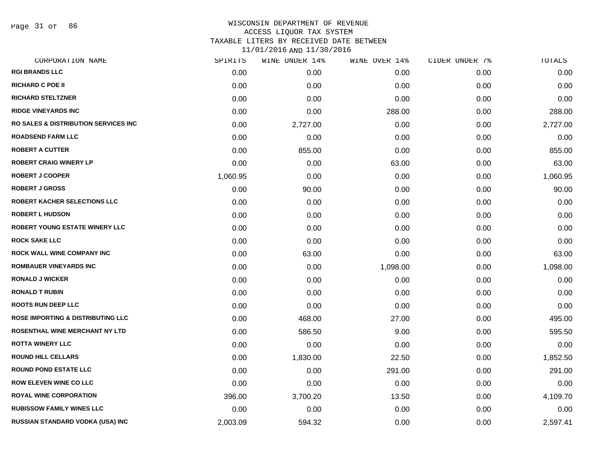Page 31 of 86

#### WISCONSIN DEPARTMENT OF REVENUE ACCESS LIQUOR TAX SYSTEM TAXABLE LITERS BY RECEIVED DATE BETWEEN

| CORPORATION NAME                             | SPIRITS  | WINE UNDER 14% | WINE OVER 14% | CIDER UNDER 7% | <b>TOTALS</b> |
|----------------------------------------------|----------|----------------|---------------|----------------|---------------|
| <b>RGI BRANDS LLC</b>                        | 0.00     | 0.00           | 0.00          | 0.00           | 0.00          |
| <b>RICHARD C POE II</b>                      | 0.00     | 0.00           | 0.00          | 0.00           | 0.00          |
| <b>RICHARD STELTZNER</b>                     | 0.00     | 0.00           | 0.00          | 0.00           | 0.00          |
| <b>RIDGE VINEYARDS INC</b>                   | 0.00     | 0.00           | 288.00        | 0.00           | 288.00        |
| RO SALES & DISTRIBUTION SERVICES INC         | 0.00     | 2,727.00       | 0.00          | 0.00           | 2,727.00      |
| <b>ROADSEND FARM LLC</b>                     | 0.00     | 0.00           | 0.00          | 0.00           | 0.00          |
| <b>ROBERT A CUTTER</b>                       | 0.00     | 855.00         | 0.00          | 0.00           | 855.00        |
| <b>ROBERT CRAIG WINERY LP</b>                | 0.00     | 0.00           | 63.00         | 0.00           | 63.00         |
| <b>ROBERT J COOPER</b>                       | 1,060.95 | 0.00           | 0.00          | 0.00           | 1,060.95      |
| <b>ROBERT J GROSS</b>                        | 0.00     | 90.00          | 0.00          | 0.00           | 90.00         |
| ROBERT KACHER SELECTIONS LLC                 | 0.00     | 0.00           | 0.00          | 0.00           | 0.00          |
| <b>ROBERT L HUDSON</b>                       | 0.00     | 0.00           | 0.00          | 0.00           | 0.00          |
| <b>ROBERT YOUNG ESTATE WINERY LLC</b>        | 0.00     | 0.00           | 0.00          | 0.00           | 0.00          |
| <b>ROCK SAKE LLC</b>                         | 0.00     | 0.00           | 0.00          | 0.00           | 0.00          |
| <b>ROCK WALL WINE COMPANY INC</b>            | 0.00     | 63.00          | 0.00          | 0.00           | 63.00         |
| <b>ROMBAUER VINEYARDS INC</b>                | 0.00     | 0.00           | 1,098.00      | 0.00           | 1,098.00      |
| <b>RONALD J WICKER</b>                       | 0.00     | 0.00           | 0.00          | 0.00           | 0.00          |
| <b>RONALD T RUBIN</b>                        | 0.00     | 0.00           | 0.00          | 0.00           | 0.00          |
| <b>ROOTS RUN DEEP LLC</b>                    | 0.00     | 0.00           | 0.00          | 0.00           | 0.00          |
| <b>ROSE IMPORTING &amp; DISTRIBUTING LLC</b> | 0.00     | 468.00         | 27.00         | 0.00           | 495.00        |
| ROSENTHAL WINE MERCHANT NY LTD               | 0.00     | 586.50         | 9.00          | 0.00           | 595.50        |
| <b>ROTTA WINERY LLC</b>                      | 0.00     | 0.00           | 0.00          | 0.00           | 0.00          |
| <b>ROUND HILL CELLARS</b>                    | 0.00     | 1,830.00       | 22.50         | 0.00           | 1,852.50      |
| <b>ROUND POND ESTATE LLC</b>                 | 0.00     | 0.00           | 291.00        | 0.00           | 291.00        |
| <b>ROW ELEVEN WINE CO LLC</b>                | 0.00     | 0.00           | 0.00          | 0.00           | 0.00          |
| <b>ROYAL WINE CORPORATION</b>                | 396.00   | 3,700.20       | 13.50         | 0.00           | 4,109.70      |
| <b>RUBISSOW FAMILY WINES LLC</b>             | 0.00     | 0.00           | 0.00          | 0.00           | 0.00          |
| <b>RUSSIAN STANDARD VODKA (USA) INC</b>      | 2,003.09 | 594.32         | 0.00          | 0.00           | 2,597.41      |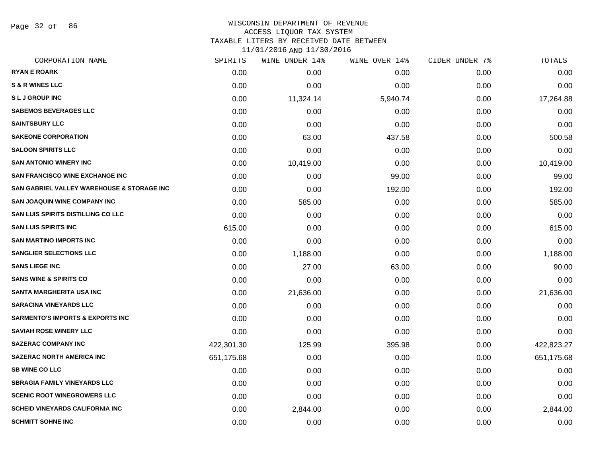Page 32 of 86

#### WISCONSIN DEPARTMENT OF REVENUE ACCESS LIQUOR TAX SYSTEM

TAXABLE LITERS BY RECEIVED DATE BETWEEN

| CORPORATION NAME                            | SPIRITS    | WINE UNDER 14% | WINE OVER 14% | CIDER UNDER 7% | TOTALS     |
|---------------------------------------------|------------|----------------|---------------|----------------|------------|
| <b>RYAN E ROARK</b>                         | 0.00       | 0.00           | 0.00          | 0.00           | 0.00       |
| <b>S &amp; R WINES LLC</b>                  | 0.00       | 0.00           | 0.00          | 0.00           | 0.00       |
| <b>SLJ GROUP INC</b>                        | 0.00       | 11,324.14      | 5,940.74      | 0.00           | 17,264.88  |
| <b>SABEMOS BEVERAGES LLC</b>                | 0.00       | 0.00           | 0.00          | 0.00           | 0.00       |
| <b>SAINTSBURY LLC</b>                       | 0.00       | 0.00           | 0.00          | 0.00           | 0.00       |
| <b>SAKEONE CORPORATION</b>                  | 0.00       | 63.00          | 437.58        | 0.00           | 500.58     |
| <b>SALOON SPIRITS LLC</b>                   | 0.00       | 0.00           | 0.00          | 0.00           | 0.00       |
| <b>SAN ANTONIO WINERY INC</b>               | 0.00       | 10,419.00      | 0.00          | 0.00           | 10,419.00  |
| <b>SAN FRANCISCO WINE EXCHANGE INC</b>      | 0.00       | 0.00           | 99.00         | 0.00           | 99.00      |
| SAN GABRIEL VALLEY WAREHOUSE & STORAGE INC  | 0.00       | 0.00           | 192.00        | 0.00           | 192.00     |
| <b>SAN JOAQUIN WINE COMPANY INC</b>         | 0.00       | 585.00         | 0.00          | 0.00           | 585.00     |
| <b>SAN LUIS SPIRITS DISTILLING CO LLC</b>   | 0.00       | 0.00           | 0.00          | 0.00           | 0.00       |
| <b>SAN LUIS SPIRITS INC</b>                 | 615.00     | 0.00           | 0.00          | 0.00           | 615.00     |
| <b>SAN MARTINO IMPORTS INC</b>              | 0.00       | 0.00           | 0.00          | 0.00           | 0.00       |
| <b>SANGLIER SELECTIONS LLC</b>              | 0.00       | 1,188.00       | 0.00          | 0.00           | 1,188.00   |
| <b>SANS LIEGE INC</b>                       | 0.00       | 27.00          | 63.00         | 0.00           | 90.00      |
| <b>SANS WINE &amp; SPIRITS CO</b>           | 0.00       | 0.00           | 0.00          | 0.00           | 0.00       |
| SANTA MARGHERITA USA INC                    | 0.00       | 21,636.00      | 0.00          | 0.00           | 21,636.00  |
| <b>SARACINA VINEYARDS LLC</b>               | 0.00       | 0.00           | 0.00          | 0.00           | 0.00       |
| <b>SARMENTO'S IMPORTS &amp; EXPORTS INC</b> | 0.00       | 0.00           | 0.00          | 0.00           | 0.00       |
| <b>SAVIAH ROSE WINERY LLC</b>               | 0.00       | 0.00           | 0.00          | 0.00           | 0.00       |
| <b>SAZERAC COMPANY INC</b>                  | 422,301.30 | 125.99         | 395.98        | 0.00           | 422,823.27 |
| <b>SAZERAC NORTH AMERICA INC</b>            | 651,175.68 | 0.00           | 0.00          | 0.00           | 651,175.68 |
| <b>SB WINE CO LLC</b>                       | 0.00       | 0.00           | 0.00          | 0.00           | 0.00       |
| <b>SBRAGIA FAMILY VINEYARDS LLC</b>         | 0.00       | 0.00           | 0.00          | 0.00           | 0.00       |
| <b>SCENIC ROOT WINEGROWERS LLC</b>          | 0.00       | 0.00           | 0.00          | 0.00           | 0.00       |
| <b>SCHEID VINEYARDS CALIFORNIA INC</b>      | 0.00       | 2,844.00       | 0.00          | 0.00           | 2,844.00   |
| <b>SCHMITT SOHNE INC</b>                    | 0.00       | 0.00           | 0.00          | 0.00           | 0.00       |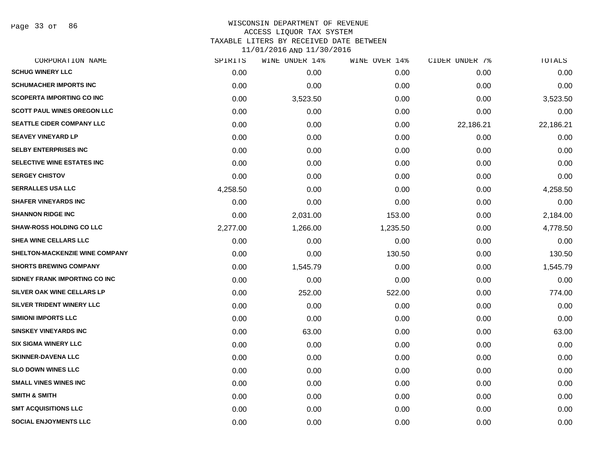Page 33 of 86

| CORPORATION NAME                   | SPIRITS  | WINE UNDER 14% | WINE OVER 14% | CIDER UNDER 7% | TOTALS    |
|------------------------------------|----------|----------------|---------------|----------------|-----------|
| <b>SCHUG WINERY LLC</b>            | 0.00     | 0.00           | 0.00          | 0.00           | 0.00      |
| <b>SCHUMACHER IMPORTS INC</b>      | 0.00     | 0.00           | 0.00          | 0.00           | 0.00      |
| <b>SCOPERTA IMPORTING CO INC</b>   | 0.00     | 3,523.50       | 0.00          | 0.00           | 3,523.50  |
| <b>SCOTT PAUL WINES OREGON LLC</b> | 0.00     | 0.00           | 0.00          | 0.00           | 0.00      |
| <b>SEATTLE CIDER COMPANY LLC</b>   | 0.00     | 0.00           | 0.00          | 22,186.21      | 22,186.21 |
| <b>SEAVEY VINEYARD LP</b>          | 0.00     | 0.00           | 0.00          | 0.00           | 0.00      |
| <b>SELBY ENTERPRISES INC</b>       | 0.00     | 0.00           | 0.00          | 0.00           | 0.00      |
| <b>SELECTIVE WINE ESTATES INC</b>  | 0.00     | 0.00           | 0.00          | 0.00           | 0.00      |
| <b>SERGEY CHISTOV</b>              | 0.00     | 0.00           | 0.00          | 0.00           | 0.00      |
| <b>SERRALLES USA LLC</b>           | 4,258.50 | 0.00           | 0.00          | 0.00           | 4,258.50  |
| <b>SHAFER VINEYARDS INC</b>        | 0.00     | 0.00           | 0.00          | 0.00           | 0.00      |
| <b>SHANNON RIDGE INC</b>           | 0.00     | 2,031.00       | 153.00        | 0.00           | 2,184.00  |
| <b>SHAW-ROSS HOLDING CO LLC</b>    | 2,277.00 | 1,266.00       | 1,235.50      | 0.00           | 4,778.50  |
| SHEA WINE CELLARS LLC              | 0.00     | 0.00           | 0.00          | 0.00           | 0.00      |
| SHELTON-MACKENZIE WINE COMPANY     | 0.00     | 0.00           | 130.50        | 0.00           | 130.50    |
| <b>SHORTS BREWING COMPANY</b>      | 0.00     | 1,545.79       | 0.00          | 0.00           | 1,545.79  |
| SIDNEY FRANK IMPORTING CO INC      | 0.00     | 0.00           | 0.00          | 0.00           | 0.00      |
| SILVER OAK WINE CELLARS LP         | 0.00     | 252.00         | 522.00        | 0.00           | 774.00    |
| SILVER TRIDENT WINERY LLC          | 0.00     | 0.00           | 0.00          | 0.00           | 0.00      |
| <b>SIMIONI IMPORTS LLC</b>         | 0.00     | 0.00           | 0.00          | 0.00           | 0.00      |
| <b>SINSKEY VINEYARDS INC</b>       | 0.00     | 63.00          | 0.00          | 0.00           | 63.00     |
| <b>SIX SIGMA WINERY LLC</b>        | 0.00     | 0.00           | 0.00          | 0.00           | 0.00      |
| <b>SKINNER-DAVENA LLC</b>          | 0.00     | 0.00           | 0.00          | 0.00           | 0.00      |
| <b>SLO DOWN WINES LLC</b>          | 0.00     | 0.00           | 0.00          | 0.00           | 0.00      |
| <b>SMALL VINES WINES INC</b>       | 0.00     | 0.00           | 0.00          | 0.00           | 0.00      |
| <b>SMITH &amp; SMITH</b>           | 0.00     | 0.00           | 0.00          | 0.00           | 0.00      |
| <b>SMT ACQUISITIONS LLC</b>        | 0.00     | 0.00           | 0.00          | 0.00           | 0.00      |
| <b>SOCIAL ENJOYMENTS LLC</b>       | 0.00     | 0.00           | 0.00          | 0.00           | 0.00      |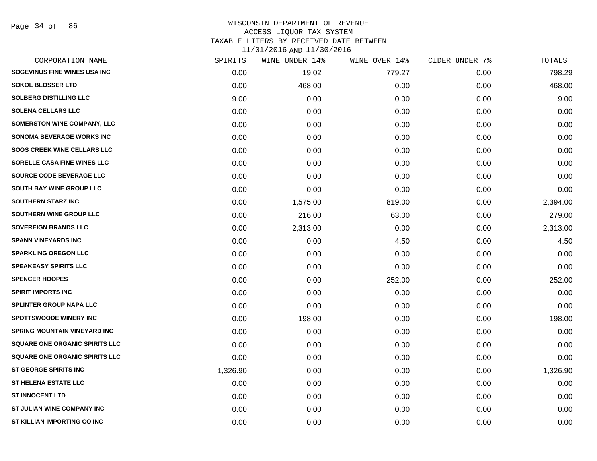| CORPORATION NAME                      | SPIRITS  | WINE UNDER 14% | WINE OVER 14% | CIDER UNDER 7% | TOTALS   |
|---------------------------------------|----------|----------------|---------------|----------------|----------|
| SOGEVINUS FINE WINES USA INC          | 0.00     | 19.02          | 779.27        | 0.00           | 798.29   |
| <b>SOKOL BLOSSER LTD</b>              | 0.00     | 468.00         | 0.00          | 0.00           | 468.00   |
| <b>SOLBERG DISTILLING LLC</b>         | 9.00     | 0.00           | 0.00          | 0.00           | 9.00     |
| <b>SOLENA CELLARS LLC</b>             | 0.00     | 0.00           | 0.00          | 0.00           | 0.00     |
| SOMERSTON WINE COMPANY, LLC           | 0.00     | 0.00           | 0.00          | 0.00           | 0.00     |
| <b>SONOMA BEVERAGE WORKS INC</b>      | 0.00     | 0.00           | 0.00          | 0.00           | 0.00     |
| <b>SOOS CREEK WINE CELLARS LLC</b>    | 0.00     | 0.00           | 0.00          | 0.00           | 0.00     |
| SORELLE CASA FINE WINES LLC           | 0.00     | 0.00           | 0.00          | 0.00           | 0.00     |
| SOURCE CODE BEVERAGE LLC              | 0.00     | 0.00           | 0.00          | 0.00           | 0.00     |
| <b>SOUTH BAY WINE GROUP LLC</b>       | 0.00     | 0.00           | 0.00          | 0.00           | 0.00     |
| <b>SOUTHERN STARZ INC</b>             | 0.00     | 1,575.00       | 819.00        | 0.00           | 2,394.00 |
| SOUTHERN WINE GROUP LLC               | 0.00     | 216.00         | 63.00         | 0.00           | 279.00   |
| <b>SOVEREIGN BRANDS LLC</b>           | 0.00     | 2,313.00       | 0.00          | 0.00           | 2,313.00 |
| <b>SPANN VINEYARDS INC</b>            | 0.00     | 0.00           | 4.50          | 0.00           | 4.50     |
| <b>SPARKLING OREGON LLC</b>           | 0.00     | 0.00           | 0.00          | 0.00           | 0.00     |
| <b>SPEAKEASY SPIRITS LLC</b>          | 0.00     | 0.00           | 0.00          | 0.00           | 0.00     |
| <b>SPENCER HOOPES</b>                 | 0.00     | 0.00           | 252.00        | 0.00           | 252.00   |
| <b>SPIRIT IMPORTS INC</b>             | 0.00     | 0.00           | 0.00          | 0.00           | 0.00     |
| <b>SPLINTER GROUP NAPA LLC</b>        | 0.00     | 0.00           | 0.00          | 0.00           | 0.00     |
| <b>SPOTTSWOODE WINERY INC</b>         | 0.00     | 198.00         | 0.00          | 0.00           | 198.00   |
| <b>SPRING MOUNTAIN VINEYARD INC</b>   | 0.00     | 0.00           | 0.00          | 0.00           | 0.00     |
| SQUARE ONE ORGANIC SPIRITS LLC        | 0.00     | 0.00           | 0.00          | 0.00           | 0.00     |
| <b>SQUARE ONE ORGANIC SPIRITS LLC</b> | 0.00     | 0.00           | 0.00          | 0.00           | 0.00     |
| <b>ST GEORGE SPIRITS INC</b>          | 1,326.90 | 0.00           | 0.00          | 0.00           | 1,326.90 |
| <b>ST HELENA ESTATE LLC</b>           | 0.00     | 0.00           | 0.00          | 0.00           | 0.00     |
| <b>ST INNOCENT LTD</b>                | 0.00     | 0.00           | 0.00          | 0.00           | 0.00     |
| ST JULIAN WINE COMPANY INC            | 0.00     | 0.00           | 0.00          | 0.00           | 0.00     |
| ST KILLIAN IMPORTING CO INC           | 0.00     | 0.00           | 0.00          | 0.00           | 0.00     |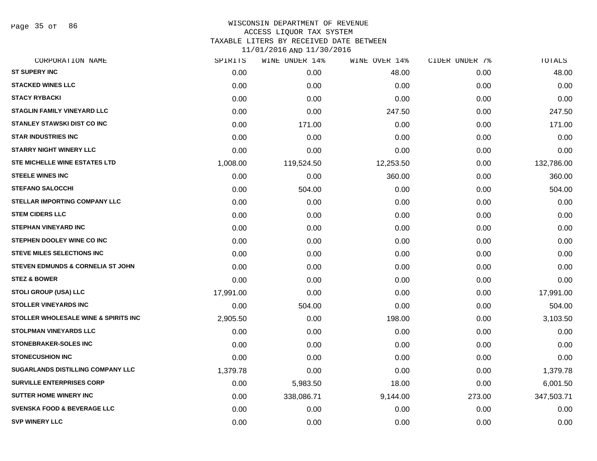Page 35 of 86

| CORPORATION NAME                             | SPIRITS   | WINE UNDER 14% | WINE OVER 14% | CIDER UNDER 7% | TOTALS     |
|----------------------------------------------|-----------|----------------|---------------|----------------|------------|
| <b>ST SUPERY INC</b>                         | 0.00      | 0.00           | 48.00         | 0.00           | 48.00      |
| <b>STACKED WINES LLC</b>                     | 0.00      | 0.00           | 0.00          | 0.00           | 0.00       |
| <b>STACY RYBACKI</b>                         | 0.00      | 0.00           | 0.00          | 0.00           | 0.00       |
| <b>STAGLIN FAMILY VINEYARD LLC</b>           | 0.00      | 0.00           | 247.50        | 0.00           | 247.50     |
| <b>STANLEY STAWSKI DIST CO INC</b>           | 0.00      | 171.00         | 0.00          | 0.00           | 171.00     |
| <b>STAR INDUSTRIES INC</b>                   | 0.00      | 0.00           | 0.00          | 0.00           | 0.00       |
| <b>STARRY NIGHT WINERY LLC</b>               | 0.00      | 0.00           | 0.00          | 0.00           | 0.00       |
| <b>STE MICHELLE WINE ESTATES LTD</b>         | 1,008.00  | 119,524.50     | 12,253.50     | 0.00           | 132,786.00 |
| <b>STEELE WINES INC</b>                      | 0.00      | 0.00           | 360.00        | 0.00           | 360.00     |
| <b>STEFANO SALOCCHI</b>                      | 0.00      | 504.00         | 0.00          | 0.00           | 504.00     |
| <b>STELLAR IMPORTING COMPANY LLC</b>         | 0.00      | 0.00           | 0.00          | 0.00           | 0.00       |
| <b>STEM CIDERS LLC</b>                       | 0.00      | 0.00           | 0.00          | 0.00           | 0.00       |
| <b>STEPHAN VINEYARD INC</b>                  | 0.00      | 0.00           | 0.00          | 0.00           | 0.00       |
| STEPHEN DOOLEY WINE CO INC                   | 0.00      | 0.00           | 0.00          | 0.00           | 0.00       |
| <b>STEVE MILES SELECTIONS INC</b>            | 0.00      | 0.00           | 0.00          | 0.00           | 0.00       |
| <b>STEVEN EDMUNDS &amp; CORNELIA ST JOHN</b> | 0.00      | 0.00           | 0.00          | 0.00           | 0.00       |
| <b>STEZ &amp; BOWER</b>                      | 0.00      | 0.00           | 0.00          | 0.00           | 0.00       |
| STOLI GROUP (USA) LLC                        | 17,991.00 | 0.00           | 0.00          | 0.00           | 17,991.00  |
| <b>STOLLER VINEYARDS INC</b>                 | 0.00      | 504.00         | 0.00          | 0.00           | 504.00     |
| STOLLER WHOLESALE WINE & SPIRITS INC         | 2,905.50  | 0.00           | 198.00        | 0.00           | 3,103.50   |
| <b>STOLPMAN VINEYARDS LLC</b>                | 0.00      | 0.00           | 0.00          | 0.00           | 0.00       |
| <b>STONEBRAKER-SOLES INC</b>                 | 0.00      | 0.00           | 0.00          | 0.00           | 0.00       |
| <b>STONECUSHION INC</b>                      | 0.00      | 0.00           | 0.00          | 0.00           | 0.00       |
| SUGARLANDS DISTILLING COMPANY LLC            | 1,379.78  | 0.00           | 0.00          | 0.00           | 1,379.78   |
| <b>SURVILLE ENTERPRISES CORP</b>             | 0.00      | 5,983.50       | 18.00         | 0.00           | 6,001.50   |
| <b>SUTTER HOME WINERY INC</b>                | 0.00      | 338,086.71     | 9,144.00      | 273.00         | 347,503.71 |
| <b>SVENSKA FOOD &amp; BEVERAGE LLC</b>       | 0.00      | 0.00           | 0.00          | 0.00           | 0.00       |
| <b>SVP WINERY LLC</b>                        | 0.00      | 0.00           | 0.00          | 0.00           | 0.00       |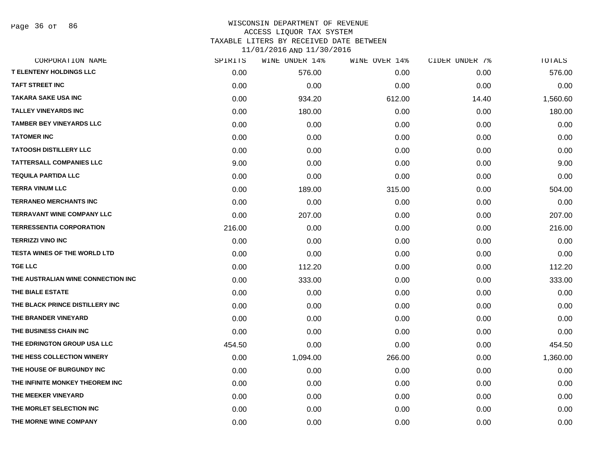| CORPORATION NAME                    | SPIRITS | WINE UNDER 14% | WINE OVER 14% | CIDER UNDER 7% | TOTALS   |
|-------------------------------------|---------|----------------|---------------|----------------|----------|
| <b>T ELENTENY HOLDINGS LLC</b>      | 0.00    | 576.00         | 0.00          | 0.00           | 576.00   |
| <b>TAFT STREET INC</b>              | 0.00    | 0.00           | 0.00          | 0.00           | 0.00     |
| <b>TAKARA SAKE USA INC</b>          | 0.00    | 934.20         | 612.00        | 14.40          | 1,560.60 |
| <b>TALLEY VINEYARDS INC</b>         | 0.00    | 180.00         | 0.00          | 0.00           | 180.00   |
| <b>TAMBER BEY VINEYARDS LLC</b>     | 0.00    | 0.00           | 0.00          | 0.00           | 0.00     |
| <b>TATOMER INC</b>                  | 0.00    | 0.00           | 0.00          | 0.00           | 0.00     |
| <b>TATOOSH DISTILLERY LLC</b>       | 0.00    | 0.00           | 0.00          | 0.00           | 0.00     |
| <b>TATTERSALL COMPANIES LLC</b>     | 9.00    | 0.00           | 0.00          | 0.00           | 9.00     |
| <b>TEQUILA PARTIDA LLC</b>          | 0.00    | 0.00           | 0.00          | 0.00           | 0.00     |
| <b>TERRA VINUM LLC</b>              | 0.00    | 189.00         | 315.00        | 0.00           | 504.00   |
| <b>TERRANEO MERCHANTS INC</b>       | 0.00    | 0.00           | 0.00          | 0.00           | 0.00     |
| <b>TERRAVANT WINE COMPANY LLC</b>   | 0.00    | 207.00         | 0.00          | 0.00           | 207.00   |
| <b>TERRESSENTIA CORPORATION</b>     | 216.00  | 0.00           | 0.00          | 0.00           | 216.00   |
| <b>TERRIZZI VINO INC</b>            | 0.00    | 0.00           | 0.00          | 0.00           | 0.00     |
| <b>TESTA WINES OF THE WORLD LTD</b> | 0.00    | 0.00           | 0.00          | 0.00           | 0.00     |
| <b>TGE LLC</b>                      | 0.00    | 112.20         | 0.00          | 0.00           | 112.20   |
| THE AUSTRALIAN WINE CONNECTION INC  | 0.00    | 333.00         | 0.00          | 0.00           | 333.00   |
| THE BIALE ESTATE                    | 0.00    | 0.00           | 0.00          | 0.00           | 0.00     |
| THE BLACK PRINCE DISTILLERY INC     | 0.00    | 0.00           | 0.00          | 0.00           | 0.00     |
| THE BRANDER VINEYARD                | 0.00    | 0.00           | 0.00          | 0.00           | 0.00     |
| THE BUSINESS CHAIN INC              | 0.00    | 0.00           | 0.00          | 0.00           | 0.00     |
| THE EDRINGTON GROUP USA LLC         | 454.50  | 0.00           | 0.00          | 0.00           | 454.50   |
| THE HESS COLLECTION WINERY          | 0.00    | 1,094.00       | 266.00        | 0.00           | 1,360.00 |
| THE HOUSE OF BURGUNDY INC           | 0.00    | 0.00           | 0.00          | 0.00           | 0.00     |
| THE INFINITE MONKEY THEOREM INC     | 0.00    | 0.00           | 0.00          | 0.00           | 0.00     |
| THE MEEKER VINEYARD                 | 0.00    | 0.00           | 0.00          | 0.00           | 0.00     |
| THE MORLET SELECTION INC            | 0.00    | 0.00           | 0.00          | 0.00           | 0.00     |
| THE MORNE WINE COMPANY              | 0.00    | 0.00           | 0.00          | 0.00           | 0.00     |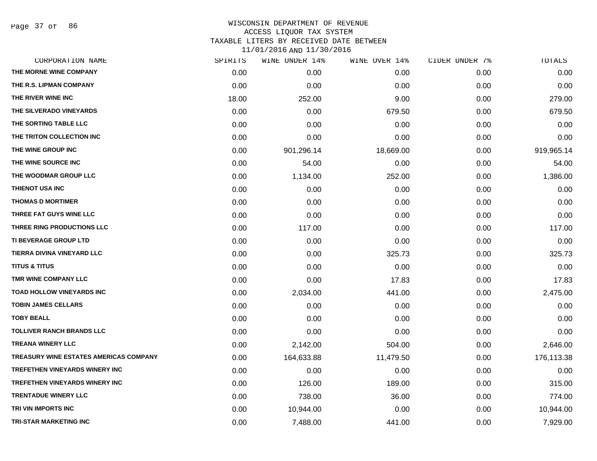Page 37 of 86

| CORPORATION NAME                       | SPIRITS | WINE UNDER 14% | WINE OVER 14% | CIDER UNDER 7% | TOTALS     |
|----------------------------------------|---------|----------------|---------------|----------------|------------|
| THE MORNE WINE COMPANY                 | 0.00    | 0.00           | 0.00          | 0.00           | 0.00       |
| THE R.S. LIPMAN COMPANY                | 0.00    | 0.00           | 0.00          | 0.00           | 0.00       |
| THE RIVER WINE INC                     | 18.00   | 252.00         | 9.00          | 0.00           | 279.00     |
| THE SILVERADO VINEYARDS                | 0.00    | 0.00           | 679.50        | 0.00           | 679.50     |
| THE SORTING TABLE LLC                  | 0.00    | 0.00           | 0.00          | 0.00           | 0.00       |
| THE TRITON COLLECTION INC              | 0.00    | 0.00           | 0.00          | 0.00           | 0.00       |
| THE WINE GROUP INC                     | 0.00    | 901,296.14     | 18,669.00     | 0.00           | 919,965.14 |
| THE WINE SOURCE INC                    | 0.00    | 54.00          | 0.00          | 0.00           | 54.00      |
| THE WOODMAR GROUP LLC                  | 0.00    | 1,134.00       | 252.00        | 0.00           | 1,386.00   |
| THIENOT USA INC                        | 0.00    | 0.00           | 0.00          | 0.00           | 0.00       |
| <b>THOMAS D MORTIMER</b>               | 0.00    | 0.00           | 0.00          | 0.00           | 0.00       |
| THREE FAT GUYS WINE LLC                | 0.00    | 0.00           | 0.00          | 0.00           | 0.00       |
| THREE RING PRODUCTIONS LLC             | 0.00    | 117.00         | 0.00          | 0.00           | 117.00     |
| <b>TI BEVERAGE GROUP LTD</b>           | 0.00    | 0.00           | 0.00          | 0.00           | 0.00       |
| TIERRA DIVINA VINEYARD LLC             | 0.00    | 0.00           | 325.73        | 0.00           | 325.73     |
| <b>TITUS &amp; TITUS</b>               | 0.00    | 0.00           | 0.00          | 0.00           | 0.00       |
| <b>TMR WINE COMPANY LLC</b>            | 0.00    | 0.00           | 17.83         | 0.00           | 17.83      |
| TOAD HOLLOW VINEYARDS INC              | 0.00    | 2,034.00       | 441.00        | 0.00           | 2,475.00   |
| <b>TOBIN JAMES CELLARS</b>             | 0.00    | 0.00           | 0.00          | 0.00           | 0.00       |
| <b>TOBY BEALL</b>                      | 0.00    | 0.00           | 0.00          | 0.00           | 0.00       |
| <b>TOLLIVER RANCH BRANDS LLC</b>       | 0.00    | 0.00           | 0.00          | 0.00           | 0.00       |
| <b>TREANA WINERY LLC</b>               | 0.00    | 2,142.00       | 504.00        | 0.00           | 2,646.00   |
| TREASURY WINE ESTATES AMERICAS COMPANY | 0.00    | 164,633.88     | 11,479.50     | 0.00           | 176,113.38 |
| <b>TREFETHEN VINEYARDS WINERY INC</b>  | 0.00    | 0.00           | 0.00          | 0.00           | 0.00       |
| <b>TREFETHEN VINEYARDS WINERY INC</b>  | 0.00    | 126.00         | 189.00        | 0.00           | 315.00     |
| <b>TRENTADUE WINERY LLC</b>            | 0.00    | 738.00         | 36.00         | 0.00           | 774.00     |
| TRI VIN IMPORTS INC                    | 0.00    | 10,944.00      | 0.00          | 0.00           | 10,944.00  |
| <b>TRI-STAR MARKETING INC</b>          | 0.00    | 7,488.00       | 441.00        | 0.00           | 7,929.00   |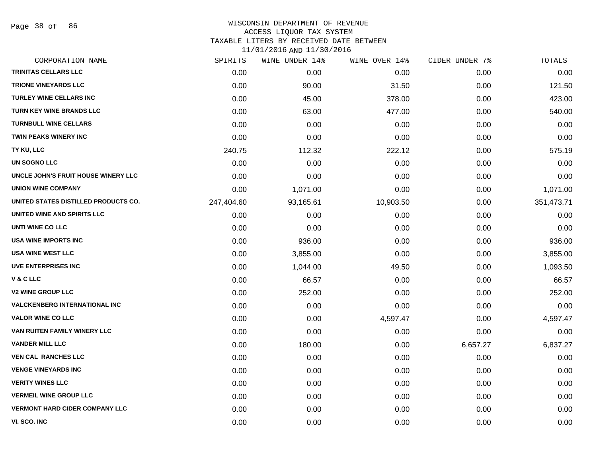Page 38 of 86

# WISCONSIN DEPARTMENT OF REVENUE ACCESS LIQUOR TAX SYSTEM TAXABLE LITERS BY RECEIVED DATE BETWEEN

| CORPORATION NAME                      | SPIRITS    | WINE UNDER 14% | WINE OVER 14% | CIDER UNDER 7% | TOTALS     |
|---------------------------------------|------------|----------------|---------------|----------------|------------|
| <b>TRINITAS CELLARS LLC</b>           | 0.00       | 0.00           | 0.00          | 0.00           | 0.00       |
| <b>TRIONE VINEYARDS LLC</b>           | 0.00       | 90.00          | 31.50         | 0.00           | 121.50     |
| <b>TURLEY WINE CELLARS INC</b>        | 0.00       | 45.00          | 378.00        | 0.00           | 423.00     |
| TURN KEY WINE BRANDS LLC              | 0.00       | 63.00          | 477.00        | 0.00           | 540.00     |
| <b>TURNBULL WINE CELLARS</b>          | 0.00       | 0.00           | 0.00          | 0.00           | 0.00       |
| <b>TWIN PEAKS WINERY INC</b>          | 0.00       | 0.00           | 0.00          | 0.00           | 0.00       |
| TY KU, LLC                            | 240.75     | 112.32         | 222.12        | 0.00           | 575.19     |
| <b>UN SOGNO LLC</b>                   | 0.00       | 0.00           | 0.00          | 0.00           | 0.00       |
| UNCLE JOHN'S FRUIT HOUSE WINERY LLC   | 0.00       | 0.00           | 0.00          | 0.00           | 0.00       |
| <b>UNION WINE COMPANY</b>             | 0.00       | 1,071.00       | 0.00          | 0.00           | 1,071.00   |
| UNITED STATES DISTILLED PRODUCTS CO.  | 247,404.60 | 93,165.61      | 10,903.50     | 0.00           | 351,473.71 |
| UNITED WINE AND SPIRITS LLC           | 0.00       | 0.00           | 0.00          | 0.00           | 0.00       |
| UNTI WINE CO LLC                      | 0.00       | 0.00           | 0.00          | 0.00           | 0.00       |
| <b>USA WINE IMPORTS INC</b>           | 0.00       | 936.00         | 0.00          | 0.00           | 936.00     |
| <b>USA WINE WEST LLC</b>              | 0.00       | 3,855.00       | 0.00          | 0.00           | 3,855.00   |
| <b>UVE ENTERPRISES INC</b>            | 0.00       | 1,044.00       | 49.50         | 0.00           | 1,093.50   |
| <b>V&amp;CLLC</b>                     | 0.00       | 66.57          | 0.00          | 0.00           | 66.57      |
| <b>V2 WINE GROUP LLC</b>              | 0.00       | 252.00         | 0.00          | 0.00           | 252.00     |
| <b>VALCKENBERG INTERNATIONAL INC</b>  | 0.00       | 0.00           | 0.00          | 0.00           | 0.00       |
| <b>VALOR WINE CO LLC</b>              | 0.00       | 0.00           | 4,597.47      | 0.00           | 4,597.47   |
| VAN RUITEN FAMILY WINERY LLC          | 0.00       | 0.00           | 0.00          | 0.00           | 0.00       |
| <b>VANDER MILL LLC</b>                | 0.00       | 180.00         | 0.00          | 6,657.27       | 6,837.27   |
| <b>VEN CAL RANCHES LLC</b>            | 0.00       | 0.00           | 0.00          | 0.00           | 0.00       |
| <b>VENGE VINEYARDS INC</b>            | 0.00       | 0.00           | 0.00          | 0.00           | 0.00       |
| <b>VERITY WINES LLC</b>               | 0.00       | 0.00           | 0.00          | 0.00           | 0.00       |
| <b>VERMEIL WINE GROUP LLC</b>         | 0.00       | 0.00           | 0.00          | 0.00           | 0.00       |
| <b>VERMONT HARD CIDER COMPANY LLC</b> | 0.00       | 0.00           | 0.00          | 0.00           | 0.00       |
| VI. SCO. INC                          | 0.00       | 0.00           | 0.00          | 0.00           | 0.00       |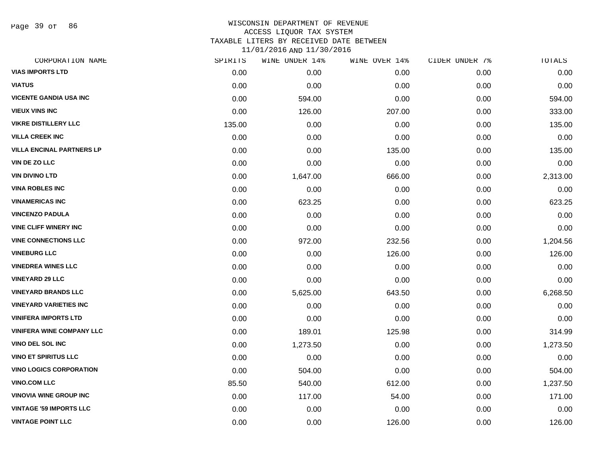Page 39 of 86

| CORPORATION NAME                 | SPIRITS | WINE UNDER 14% | WINE OVER 14% | CIDER UNDER 7% | TOTALS   |
|----------------------------------|---------|----------------|---------------|----------------|----------|
| <b>VIAS IMPORTS LTD</b>          | 0.00    | 0.00           | 0.00          | 0.00           | 0.00     |
| <b>VIATUS</b>                    | 0.00    | 0.00           | 0.00          | 0.00           | 0.00     |
| <b>VICENTE GANDIA USA INC</b>    | 0.00    | 594.00         | 0.00          | 0.00           | 594.00   |
| <b>VIEUX VINS INC</b>            | 0.00    | 126.00         | 207.00        | 0.00           | 333.00   |
| <b>VIKRE DISTILLERY LLC</b>      | 135.00  | 0.00           | 0.00          | 0.00           | 135.00   |
| <b>VILLA CREEK INC</b>           | 0.00    | 0.00           | 0.00          | 0.00           | 0.00     |
| <b>VILLA ENCINAL PARTNERS LP</b> | 0.00    | 0.00           | 135.00        | 0.00           | 135.00   |
| VIN DE ZO LLC                    | 0.00    | 0.00           | 0.00          | 0.00           | 0.00     |
| <b>VIN DIVINO LTD</b>            | 0.00    | 1,647.00       | 666.00        | 0.00           | 2,313.00 |
| <b>VINA ROBLES INC</b>           | 0.00    | 0.00           | 0.00          | 0.00           | 0.00     |
| <b>VINAMERICAS INC</b>           | 0.00    | 623.25         | 0.00          | 0.00           | 623.25   |
| <b>VINCENZO PADULA</b>           | 0.00    | 0.00           | 0.00          | 0.00           | 0.00     |
| <b>VINE CLIFF WINERY INC</b>     | 0.00    | 0.00           | 0.00          | 0.00           | 0.00     |
| <b>VINE CONNECTIONS LLC</b>      | 0.00    | 972.00         | 232.56        | 0.00           | 1,204.56 |
| <b>VINEBURG LLC</b>              | 0.00    | 0.00           | 126.00        | 0.00           | 126.00   |
| <b>VINEDREA WINES LLC</b>        | 0.00    | 0.00           | 0.00          | 0.00           | 0.00     |
| <b>VINEYARD 29 LLC</b>           | 0.00    | 0.00           | 0.00          | 0.00           | 0.00     |
| <b>VINEYARD BRANDS LLC</b>       | 0.00    | 5,625.00       | 643.50        | 0.00           | 6,268.50 |
| <b>VINEYARD VARIETIES INC</b>    | 0.00    | 0.00           | 0.00          | 0.00           | 0.00     |
| <b>VINIFERA IMPORTS LTD</b>      | 0.00    | 0.00           | 0.00          | 0.00           | 0.00     |
| <b>VINIFERA WINE COMPANY LLC</b> | 0.00    | 189.01         | 125.98        | 0.00           | 314.99   |
| <b>VINO DEL SOL INC</b>          | 0.00    | 1,273.50       | 0.00          | 0.00           | 1,273.50 |
| <b>VINO ET SPIRITUS LLC</b>      | 0.00    | 0.00           | 0.00          | 0.00           | 0.00     |
| <b>VINO LOGICS CORPORATION</b>   | 0.00    | 504.00         | 0.00          | 0.00           | 504.00   |
| <b>VINO.COM LLC</b>              | 85.50   | 540.00         | 612.00        | 0.00           | 1,237.50 |
| <b>VINOVIA WINE GROUP INC</b>    | 0.00    | 117.00         | 54.00         | 0.00           | 171.00   |
| <b>VINTAGE '59 IMPORTS LLC</b>   | 0.00    | 0.00           | 0.00          | 0.00           | 0.00     |
| <b>VINTAGE POINT LLC</b>         | 0.00    | 0.00           | 126.00        | 0.00           | 126.00   |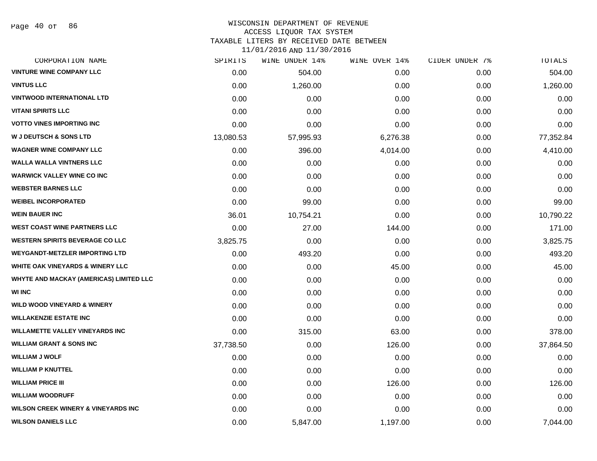Page 40 of 86

## WISCONSIN DEPARTMENT OF REVENUE ACCESS LIQUOR TAX SYSTEM TAXABLE LITERS BY RECEIVED DATE BETWEEN

| CORPORATION NAME                               | SPIRITS   | WINE UNDER 14% | WINE OVER 14% | CIDER UNDER 7% | TOTALS    |
|------------------------------------------------|-----------|----------------|---------------|----------------|-----------|
| <b>VINTURE WINE COMPANY LLC</b>                | 0.00      | 504.00         | 0.00          | 0.00           | 504.00    |
| <b>VINTUS LLC</b>                              | 0.00      | 1,260.00       | 0.00          | 0.00           | 1,260.00  |
| <b>VINTWOOD INTERNATIONAL LTD</b>              | 0.00      | 0.00           | 0.00          | 0.00           | 0.00      |
| <b>VITANI SPIRITS LLC</b>                      | 0.00      | 0.00           | 0.00          | 0.00           | 0.00      |
| <b>VOTTO VINES IMPORTING INC</b>               | 0.00      | 0.00           | 0.00          | 0.00           | 0.00      |
| <b>W J DEUTSCH &amp; SONS LTD</b>              | 13,080.53 | 57,995.93      | 6,276.38      | 0.00           | 77,352.84 |
| <b>WAGNER WINE COMPANY LLC</b>                 | 0.00      | 396.00         | 4,014.00      | 0.00           | 4,410.00  |
| <b>WALLA WALLA VINTNERS LLC</b>                | 0.00      | 0.00           | 0.00          | 0.00           | 0.00      |
| <b>WARWICK VALLEY WINE CO INC</b>              | 0.00      | 0.00           | 0.00          | 0.00           | 0.00      |
| <b>WEBSTER BARNES LLC</b>                      | 0.00      | 0.00           | 0.00          | 0.00           | 0.00      |
| <b>WEIBEL INCORPORATED</b>                     | 0.00      | 99.00          | 0.00          | 0.00           | 99.00     |
| <b>WEIN BAUER INC</b>                          | 36.01     | 10,754.21      | 0.00          | 0.00           | 10,790.22 |
| <b>WEST COAST WINE PARTNERS LLC</b>            | 0.00      | 27.00          | 144.00        | 0.00           | 171.00    |
| <b>WESTERN SPIRITS BEVERAGE CO LLC</b>         | 3,825.75  | 0.00           | 0.00          | 0.00           | 3,825.75  |
| <b>WEYGANDT-METZLER IMPORTING LTD</b>          | 0.00      | 493.20         | 0.00          | 0.00           | 493.20    |
| <b>WHITE OAK VINEYARDS &amp; WINERY LLC</b>    | 0.00      | 0.00           | 45.00         | 0.00           | 45.00     |
| <b>WHYTE AND MACKAY (AMERICAS) LIMITED LLC</b> | 0.00      | 0.00           | 0.00          | 0.00           | 0.00      |
| <b>WI INC</b>                                  | 0.00      | 0.00           | 0.00          | 0.00           | 0.00      |
| <b>WILD WOOD VINEYARD &amp; WINERY</b>         | 0.00      | 0.00           | 0.00          | 0.00           | 0.00      |
| <b>WILLAKENZIE ESTATE INC</b>                  | 0.00      | 0.00           | 0.00          | 0.00           | 0.00      |
| <b>WILLAMETTE VALLEY VINEYARDS INC</b>         | 0.00      | 315.00         | 63.00         | 0.00           | 378.00    |
| <b>WILLIAM GRANT &amp; SONS INC</b>            | 37,738.50 | 0.00           | 126.00        | 0.00           | 37,864.50 |
| <b>WILLIAM J WOLF</b>                          | 0.00      | 0.00           | 0.00          | 0.00           | 0.00      |
| <b>WILLIAM P KNUTTEL</b>                       | 0.00      | 0.00           | 0.00          | 0.00           | 0.00      |
| <b>WILLIAM PRICE III</b>                       | 0.00      | 0.00           | 126.00        | 0.00           | 126.00    |
| <b>WILLIAM WOODRUFF</b>                        | 0.00      | 0.00           | 0.00          | 0.00           | 0.00      |
| <b>WILSON CREEK WINERY &amp; VINEYARDS INC</b> | 0.00      | 0.00           | 0.00          | 0.00           | 0.00      |
| <b>WILSON DANIELS LLC</b>                      | 0.00      | 5,847.00       | 1,197.00      | 0.00           | 7,044.00  |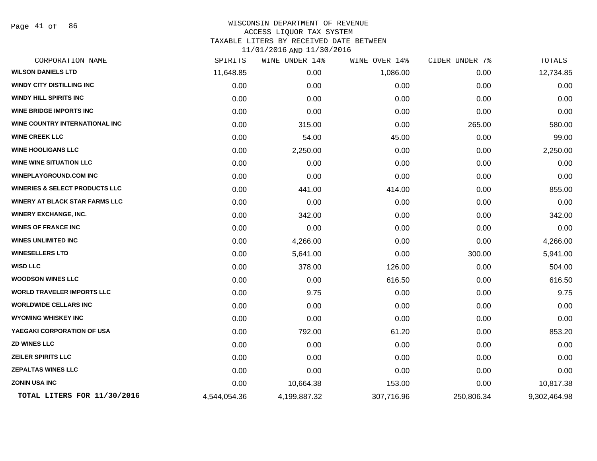Page 41 of 86

### WISCONSIN DEPARTMENT OF REVENUE ACCESS LIQUOR TAX SYSTEM TAXABLE LITERS BY RECEIVED DATE BETWEEN

| CORPORATION NAME                          | SPIRITS      | <b>WINE UNDER 14%</b> | WINE OVER 14% | CIDER UNDER 7% | TOTALS       |
|-------------------------------------------|--------------|-----------------------|---------------|----------------|--------------|
| <b>WILSON DANIELS LTD</b>                 | 11,648.85    | 0.00                  | 1,086.00      | 0.00           | 12,734.85    |
| <b>WINDY CITY DISTILLING INC</b>          | 0.00         | 0.00                  | 0.00          | 0.00           | 0.00         |
| <b>WINDY HILL SPIRITS INC</b>             | 0.00         | 0.00                  | 0.00          | 0.00           | 0.00         |
| <b>WINE BRIDGE IMPORTS INC</b>            | 0.00         | 0.00                  | 0.00          | 0.00           | 0.00         |
| WINE COUNTRY INTERNATIONAL INC            | 0.00         | 315.00                | 0.00          | 265.00         | 580.00       |
| <b>WINE CREEK LLC</b>                     | 0.00         | 54.00                 | 45.00         | 0.00           | 99.00        |
| <b>WINE HOOLIGANS LLC</b>                 | 0.00         | 2,250.00              | 0.00          | 0.00           | 2,250.00     |
| <b>WINE WINE SITUATION LLC</b>            | 0.00         | 0.00                  | 0.00          | 0.00           | 0.00         |
| <b>WINEPLAYGROUND.COM INC</b>             | 0.00         | 0.00                  | 0.00          | 0.00           | 0.00         |
| <b>WINERIES &amp; SELECT PRODUCTS LLC</b> | 0.00         | 441.00                | 414.00        | 0.00           | 855.00       |
| WINERY AT BLACK STAR FARMS LLC            | 0.00         | 0.00                  | 0.00          | 0.00           | 0.00         |
| <b>WINERY EXCHANGE, INC.</b>              | 0.00         | 342.00                | 0.00          | 0.00           | 342.00       |
| <b>WINES OF FRANCE INC</b>                | 0.00         | 0.00                  | 0.00          | 0.00           | 0.00         |
| <b>WINES UNLIMITED INC</b>                | 0.00         | 4,266.00              | 0.00          | 0.00           | 4,266.00     |
| <b>WINESELLERS LTD</b>                    | 0.00         | 5,641.00              | 0.00          | 300.00         | 5,941.00     |
| <b>WISD LLC</b>                           | 0.00         | 378.00                | 126.00        | 0.00           | 504.00       |
| <b>WOODSON WINES LLC</b>                  | 0.00         | 0.00                  | 616.50        | 0.00           | 616.50       |
| <b>WORLD TRAVELER IMPORTS LLC</b>         | 0.00         | 9.75                  | 0.00          | 0.00           | 9.75         |
| <b>WORLDWIDE CELLARS INC</b>              | 0.00         | 0.00                  | 0.00          | 0.00           | 0.00         |
| <b>WYOMING WHISKEY INC</b>                | 0.00         | 0.00                  | 0.00          | 0.00           | 0.00         |
| YAEGAKI CORPORATION OF USA                | 0.00         | 792.00                | 61.20         | 0.00           | 853.20       |
| <b>ZD WINES LLC</b>                       | 0.00         | 0.00                  | 0.00          | 0.00           | 0.00         |
| <b>ZEILER SPIRITS LLC</b>                 | 0.00         | 0.00                  | 0.00          | 0.00           | 0.00         |
| <b>ZEPALTAS WINES LLC</b>                 | 0.00         | 0.00                  | 0.00          | 0.00           | 0.00         |
| <b>ZONIN USA INC</b>                      | 0.00         | 10,664.38             | 153.00        | 0.00           | 10,817.38    |
| TOTAL LITERS FOR 11/30/2016               | 4,544,054.36 | 4,199,887.32          | 307,716.96    | 250,806.34     | 9,302,464.98 |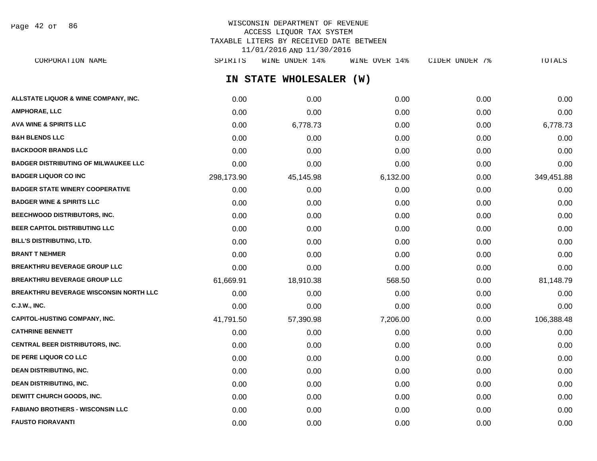Page 42 of 86

# WISCONSIN DEPARTMENT OF REVENUE ACCESS LIQUOR TAX SYSTEM TAXABLE LITERS BY RECEIVED DATE BETWEEN 11/01/2016 AND 11/30/2016

**IN STATE WHOLESALER (W) ALLSTATE LIQUOR & WINE COMPANY, INC.**  $0.00$   $0.00$   $0.00$   $0.00$   $0.00$   $0.00$   $0.00$   $0.00$   $0.00$   $0.00$   $0.00$   $0.00$ **AMPHORAE, LLC** 0.00 0.00 0.00 0.00 0.00 **AVA WINE & SPIRITS LLC** 0.00 6,778.73 0.00 0.00 6,778.73 **B&H BLENDS LLC** 0.00 0.00 0.00 0.00 0.00 **BACKDOOR BRANDS LLC** 0.00 0.00 0.00 0.00 0.00 **BADGER DISTRIBUTING OF MILWAUKEE LLC** 0.00 0.00 0.00 0.00 0.00 **BADGER LIQUOR CO INC** 2001 298,173.90 45,145.98 6,132.00 6,132.00 6,132.00 549,451.88 **BADGER STATE WINERY COOPERATIVE** 0.00 0.00 0.00 0.00 0.00 **BADGER WINE & SPIRITS LLC**  $\begin{array}{ccc} 0.00 & 0.00 & 0.00 \\ 0.00 & 0.00 & 0.00 \end{array}$ **BEECHWOOD DISTRIBUTORS, INC.** 0.00 0.00 0.00 0.00 0.00 **BEER CAPITOL DISTRIBUTING LLC** 0.00 0.00 0.00 0.00 0.00 **BILL'S DISTRIBUTING, LTD.** 0.00 0.00 0.00 0.00 0.00 **BRANT T NEHMER** 0.00 0.00 0.00 0.00 0.00 **BREAKTHRU BEVERAGE GROUP LLC** 0.00 0.00 0.00 0.00 0.00 **BREAKTHRU BEVERAGE GROUP LLC** 61,669.91 18,910.38 568.50 0.00 81,148.79 **BREAKTHRU BEVERAGE WISCONSIN NORTH LLC** 0.00 0.00 0.00 0.00 0.00 **C.J.W., INC.** 0.00 0.00 0.00 0.00 0.00 **CAPITOL-HUSTING COMPANY, INC.** 41,791.50 57,390.98 7,206.00 0.00 106,388.48 **CATHRINE BENNETT** 0.00 0.00 0.00 0.00 0.00 **CENTRAL BEER DISTRIBUTORS, INC.** 0.00 0.00 0.00 0.00 0.00 **DE PERE LIQUOR CO LLC** 0.00 0.00 0.00 0.00 0.00 **DEAN DISTRIBUTING, INC.** 0.00 0.00 0.00 0.00 0.00 **DEAN DISTRIBUTING, INC.** 0.00 0.00 0.00 0.00 0.00 **DEWITT CHURCH GOODS, INC.** 0.00 0.00 0.00 0.00 0.00 **FABIANO BROTHERS - WISCONSIN LLC** 0.00 0.00 0.00 0.00 0.00 CORPORATION NAME SPIRITS WINE UNDER 14% WINE OVER 14% CIDER UNDER 7% TOTALS

**FAUSTO FIORAVANTI** 0.00 0.00 0.00 0.00 0.00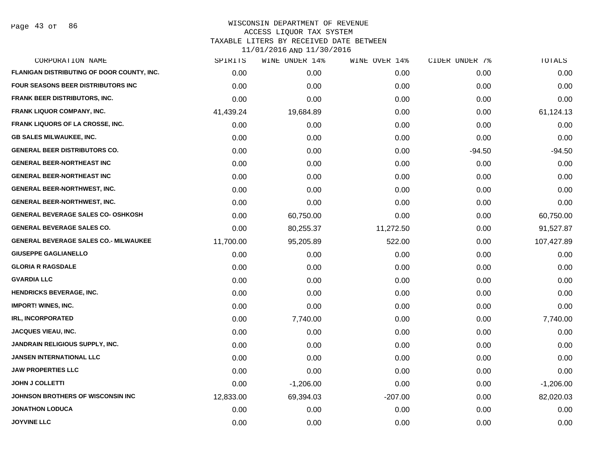Page 43 of 86

| FLANIGAN DISTRIBUTING OF DOOR COUNTY, INC.<br>0.00<br>0.00<br><b>FOUR SEASONS BEER DISTRIBUTORS INC</b><br>0.00<br>0.00<br><b>FRANK BEER DISTRIBUTORS, INC.</b><br>0.00<br>0.00<br><b>FRANK LIQUOR COMPANY, INC.</b><br>41,439.24<br>19,684.89 | 0.00<br>0.00<br>0.00<br>0.00<br>0.00<br>0.00<br>0.00 | 0.00<br>0.00<br>0.00<br>0.00<br>0.00<br>0.00 | 0.00<br>0.00<br>0.00<br>61,124.13<br>0.00 |
|------------------------------------------------------------------------------------------------------------------------------------------------------------------------------------------------------------------------------------------------|------------------------------------------------------|----------------------------------------------|-------------------------------------------|
|                                                                                                                                                                                                                                                |                                                      |                                              |                                           |
|                                                                                                                                                                                                                                                |                                                      |                                              |                                           |
|                                                                                                                                                                                                                                                |                                                      |                                              |                                           |
|                                                                                                                                                                                                                                                |                                                      |                                              |                                           |
| <b>FRANK LIQUORS OF LA CROSSE, INC.</b><br>0.00<br>0.00                                                                                                                                                                                        |                                                      |                                              |                                           |
| <b>GB SALES MILWAUKEE, INC.</b><br>0.00<br>0.00                                                                                                                                                                                                |                                                      |                                              | 0.00                                      |
| <b>GENERAL BEER DISTRIBUTORS CO.</b><br>0.00<br>0.00                                                                                                                                                                                           |                                                      | $-94.50$                                     | $-94.50$                                  |
| <b>GENERAL BEER-NORTHEAST INC</b><br>0.00<br>0.00                                                                                                                                                                                              | 0.00                                                 | 0.00                                         | 0.00                                      |
| <b>GENERAL BEER-NORTHEAST INC</b><br>0.00<br>0.00                                                                                                                                                                                              | 0.00                                                 | 0.00                                         | 0.00                                      |
| <b>GENERAL BEER-NORTHWEST, INC.</b><br>0.00<br>0.00                                                                                                                                                                                            | 0.00                                                 | 0.00                                         | 0.00                                      |
| <b>GENERAL BEER-NORTHWEST, INC.</b><br>0.00<br>0.00                                                                                                                                                                                            | 0.00                                                 | 0.00                                         | 0.00                                      |
| <b>GENERAL BEVERAGE SALES CO- OSHKOSH</b><br>0.00<br>60,750.00                                                                                                                                                                                 | 0.00                                                 | 0.00                                         | 60,750.00                                 |
| <b>GENERAL BEVERAGE SALES CO.</b><br>0.00<br>80,255.37                                                                                                                                                                                         | 11,272.50                                            | 0.00                                         | 91,527.87                                 |
| <b>GENERAL BEVERAGE SALES CO.- MILWAUKEE</b><br>11,700.00<br>95,205.89                                                                                                                                                                         | 522.00                                               | 0.00                                         | 107,427.89                                |
| <b>GIUSEPPE GAGLIANELLO</b><br>0.00<br>0.00                                                                                                                                                                                                    | 0.00                                                 | 0.00                                         | 0.00                                      |
| <b>GLORIA R RAGSDALE</b><br>0.00<br>0.00                                                                                                                                                                                                       | 0.00                                                 | 0.00                                         | 0.00                                      |
| <b>GVARDIA LLC</b><br>0.00<br>0.00                                                                                                                                                                                                             | 0.00                                                 | 0.00                                         | 0.00                                      |
| <b>HENDRICKS BEVERAGE, INC.</b><br>0.00<br>0.00                                                                                                                                                                                                | 0.00                                                 | 0.00                                         | 0.00                                      |
| <b>IMPORT! WINES, INC.</b><br>0.00<br>0.00                                                                                                                                                                                                     | 0.00                                                 | 0.00                                         | 0.00                                      |
| <b>IRL, INCORPORATED</b><br>0.00<br>7,740.00                                                                                                                                                                                                   | 0.00                                                 | 0.00                                         | 7,740.00                                  |
| JACQUES VIEAU, INC.<br>0.00<br>0.00                                                                                                                                                                                                            | 0.00                                                 | 0.00                                         | 0.00                                      |
| JANDRAIN RELIGIOUS SUPPLY, INC.<br>0.00<br>0.00                                                                                                                                                                                                | 0.00                                                 | 0.00                                         | 0.00                                      |
| <b>JANSEN INTERNATIONAL LLC</b><br>0.00<br>0.00                                                                                                                                                                                                | 0.00                                                 | 0.00                                         | 0.00                                      |
| <b>JAW PROPERTIES LLC</b><br>0.00<br>0.00                                                                                                                                                                                                      | 0.00                                                 | 0.00                                         | 0.00                                      |
| <b>JOHN J COLLETTI</b><br>0.00<br>$-1,206.00$                                                                                                                                                                                                  | 0.00                                                 | 0.00                                         | $-1,206.00$                               |
| JOHNSON BROTHERS OF WISCONSIN INC<br>12,833.00<br>69,394.03                                                                                                                                                                                    | $-207.00$                                            | 0.00                                         | 82,020.03                                 |
| <b>JONATHON LODUCA</b><br>0.00<br>0.00                                                                                                                                                                                                         | 0.00                                                 | 0.00                                         | 0.00                                      |
| <b>JOYVINE LLC</b><br>0.00<br>0.00                                                                                                                                                                                                             | 0.00                                                 | 0.00                                         | 0.00                                      |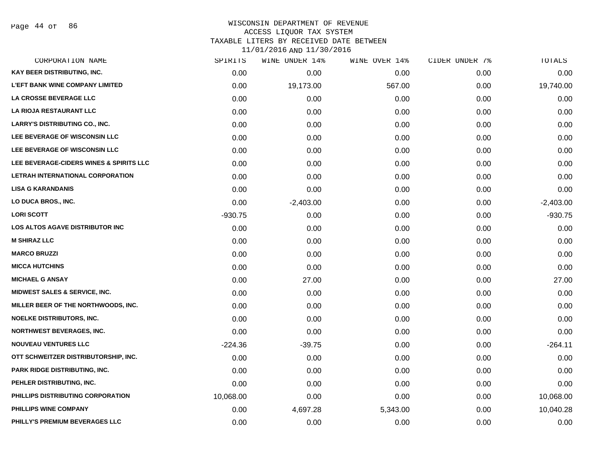Page 44 of 86

# WISCONSIN DEPARTMENT OF REVENUE ACCESS LIQUOR TAX SYSTEM

TAXABLE LITERS BY RECEIVED DATE BETWEEN

| CORPORATION NAME                         | SPIRITS   | WINE UNDER 14% | WINE OVER 14% | CIDER UNDER 7% | TOTALS      |
|------------------------------------------|-----------|----------------|---------------|----------------|-------------|
| KAY BEER DISTRIBUTING, INC.              | 0.00      | 0.00           | 0.00          | 0.00           | 0.00        |
| <b>L'EFT BANK WINE COMPANY LIMITED</b>   | 0.00      | 19,173.00      | 567.00        | 0.00           | 19,740.00   |
| LA CROSSE BEVERAGE LLC                   | 0.00      | 0.00           | 0.00          | 0.00           | 0.00        |
| <b>LA RIOJA RESTAURANT LLC</b>           | 0.00      | 0.00           | 0.00          | 0.00           | 0.00        |
| LARRY'S DISTRIBUTING CO., INC.           | 0.00      | 0.00           | 0.00          | 0.00           | 0.00        |
| LEE BEVERAGE OF WISCONSIN LLC            | 0.00      | 0.00           | 0.00          | 0.00           | 0.00        |
| LEE BEVERAGE OF WISCONSIN LLC            | 0.00      | 0.00           | 0.00          | 0.00           | 0.00        |
| LEE BEVERAGE-CIDERS WINES & SPIRITS LLC  | 0.00      | 0.00           | 0.00          | 0.00           | 0.00        |
| LETRAH INTERNATIONAL CORPORATION         | 0.00      | 0.00           | 0.00          | 0.00           | 0.00        |
| <b>LISA G KARANDANIS</b>                 | 0.00      | 0.00           | 0.00          | 0.00           | 0.00        |
| LO DUCA BROS., INC.                      | 0.00      | $-2,403.00$    | 0.00          | 0.00           | $-2,403.00$ |
| <b>LORI SCOTT</b>                        | $-930.75$ | 0.00           | 0.00          | 0.00           | $-930.75$   |
| <b>LOS ALTOS AGAVE DISTRIBUTOR INC</b>   | 0.00      | 0.00           | 0.00          | 0.00           | 0.00        |
| <b>M SHIRAZ LLC</b>                      | 0.00      | 0.00           | 0.00          | 0.00           | 0.00        |
| <b>MARCO BRUZZI</b>                      | 0.00      | 0.00           | 0.00          | 0.00           | 0.00        |
| <b>MICCA HUTCHINS</b>                    | 0.00      | 0.00           | 0.00          | 0.00           | 0.00        |
| <b>MICHAEL G ANSAY</b>                   | 0.00      | 27.00          | 0.00          | 0.00           | 27.00       |
| <b>MIDWEST SALES &amp; SERVICE, INC.</b> | 0.00      | 0.00           | 0.00          | 0.00           | 0.00        |
| MILLER BEER OF THE NORTHWOODS, INC.      | 0.00      | 0.00           | 0.00          | 0.00           | 0.00        |
| <b>NOELKE DISTRIBUTORS, INC.</b>         | 0.00      | 0.00           | 0.00          | 0.00           | 0.00        |
| <b>NORTHWEST BEVERAGES, INC.</b>         | 0.00      | 0.00           | 0.00          | 0.00           | 0.00        |
| <b>NOUVEAU VENTURES LLC</b>              | $-224.36$ | $-39.75$       | 0.00          | 0.00           | $-264.11$   |
| OTT SCHWEITZER DISTRIBUTORSHIP, INC.     | 0.00      | 0.00           | 0.00          | 0.00           | 0.00        |
| <b>PARK RIDGE DISTRIBUTING, INC.</b>     | 0.00      | 0.00           | 0.00          | 0.00           | 0.00        |
| PEHLER DISTRIBUTING, INC.                | 0.00      | 0.00           | 0.00          | 0.00           | 0.00        |
| PHILLIPS DISTRIBUTING CORPORATION        | 10,068.00 | 0.00           | 0.00          | 0.00           | 10,068.00   |
| PHILLIPS WINE COMPANY                    | 0.00      | 4,697.28       | 5,343.00      | 0.00           | 10,040.28   |
| PHILLY'S PREMIUM BEVERAGES LLC           | 0.00      | 0.00           | 0.00          | 0.00           | 0.00        |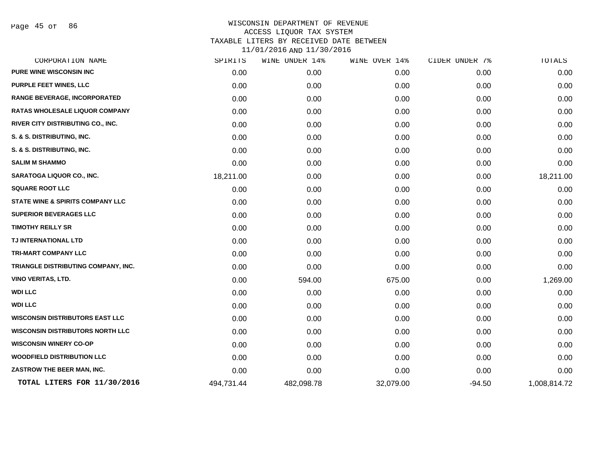Page 45 of 86

| CORPORATION NAME                            | SPIRITS    | WINE UNDER 14% | WINE OVER 14% | CIDER UNDER 7% | TOTALS       |
|---------------------------------------------|------------|----------------|---------------|----------------|--------------|
| <b>PURE WINE WISCONSIN INC</b>              | 0.00       | 0.00           | 0.00          | 0.00           | 0.00         |
| <b>PURPLE FEET WINES, LLC</b>               | 0.00       | 0.00           | 0.00          | 0.00           | 0.00         |
| <b>RANGE BEVERAGE, INCORPORATED</b>         | 0.00       | 0.00           | 0.00          | 0.00           | 0.00         |
| RATAS WHOLESALE LIQUOR COMPANY              | 0.00       | 0.00           | 0.00          | 0.00           | 0.00         |
| <b>RIVER CITY DISTRIBUTING CO., INC.</b>    | 0.00       | 0.00           | 0.00          | 0.00           | 0.00         |
| S. & S. DISTRIBUTING, INC.                  | 0.00       | 0.00           | 0.00          | 0.00           | 0.00         |
| S. & S. DISTRIBUTING, INC.                  | 0.00       | 0.00           | 0.00          | 0.00           | 0.00         |
| <b>SALIM M SHAMMO</b>                       | 0.00       | 0.00           | 0.00          | 0.00           | 0.00         |
| <b>SARATOGA LIQUOR CO., INC.</b>            | 18,211.00  | 0.00           | 0.00          | 0.00           | 18,211.00    |
| <b>SQUARE ROOT LLC</b>                      | 0.00       | 0.00           | 0.00          | 0.00           | 0.00         |
| <b>STATE WINE &amp; SPIRITS COMPANY LLC</b> | 0.00       | 0.00           | 0.00          | 0.00           | 0.00         |
| <b>SUPERIOR BEVERAGES LLC</b>               | 0.00       | 0.00           | 0.00          | 0.00           | 0.00         |
| <b>TIMOTHY REILLY SR</b>                    | 0.00       | 0.00           | 0.00          | 0.00           | 0.00         |
| TJ INTERNATIONAL LTD                        | 0.00       | 0.00           | 0.00          | 0.00           | 0.00         |
| TRI-MART COMPANY LLC                        | 0.00       | 0.00           | 0.00          | 0.00           | 0.00         |
| TRIANGLE DISTRIBUTING COMPANY, INC.         | 0.00       | 0.00           | 0.00          | 0.00           | 0.00         |
| <b>VINO VERITAS, LTD.</b>                   | 0.00       | 594.00         | 675.00        | 0.00           | 1,269.00     |
| <b>WDI LLC</b>                              | 0.00       | 0.00           | 0.00          | 0.00           | 0.00         |
| <b>WDI LLC</b>                              | 0.00       | 0.00           | 0.00          | 0.00           | 0.00         |
| <b>WISCONSIN DISTRIBUTORS EAST LLC</b>      | 0.00       | 0.00           | 0.00          | 0.00           | 0.00         |
| <b>WISCONSIN DISTRIBUTORS NORTH LLC</b>     | 0.00       | 0.00           | 0.00          | 0.00           | 0.00         |
| <b>WISCONSIN WINERY CO-OP</b>               | 0.00       | 0.00           | 0.00          | 0.00           | 0.00         |
| <b>WOODFIELD DISTRIBUTION LLC</b>           | 0.00       | 0.00           | 0.00          | 0.00           | 0.00         |
| ZASTROW THE BEER MAN, INC.                  | 0.00       | 0.00           | 0.00          | 0.00           | 0.00         |
| TOTAL LITERS FOR 11/30/2016                 | 494,731.44 | 482,098.78     | 32,079.00     | $-94.50$       | 1,008,814.72 |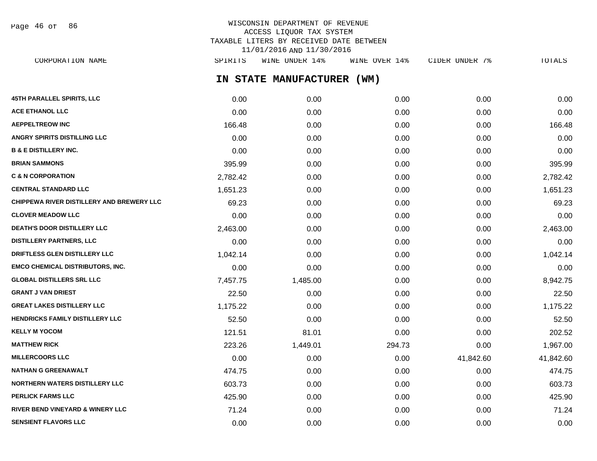WISCONSIN DEPARTMENT OF REVENUE ACCESS LIQUOR TAX SYSTEM TAXABLE LITERS BY RECEIVED DATE BETWEEN 11/01/2016 AND 11/30/2016 CORPORATION NAME SPIRITS WINE UNDER 14% WINE OVER 14% CIDER UNDER 7% TOTALS Page 46 of 86

**IN STATE MANUFACTURER (WM)**

| 45TH PARALLEL SPIRITS, LLC                | 0.00     | 0.00     | 0.00   | 0.00      | 0.00      |
|-------------------------------------------|----------|----------|--------|-----------|-----------|
| <b>ACE ETHANOL LLC</b>                    | 0.00     | 0.00     | 0.00   | 0.00      | 0.00      |
| <b>AEPPELTREOW INC</b>                    | 166.48   | 0.00     | 0.00   | 0.00      | 166.48    |
| ANGRY SPIRITS DISTILLING LLC              | 0.00     | 0.00     | 0.00   | 0.00      | 0.00      |
| <b>B &amp; E DISTILLERY INC.</b>          | 0.00     | 0.00     | 0.00   | 0.00      | 0.00      |
| <b>BRIAN SAMMONS</b>                      | 395.99   | 0.00     | 0.00   | 0.00      | 395.99    |
| <b>C &amp; N CORPORATION</b>              | 2,782.42 | 0.00     | 0.00   | 0.00      | 2,782.42  |
| <b>CENTRAL STANDARD LLC</b>               | 1,651.23 | 0.00     | 0.00   | 0.00      | 1,651.23  |
| CHIPPEWA RIVER DISTILLERY AND BREWERY LLC | 69.23    | 0.00     | 0.00   | 0.00      | 69.23     |
| <b>CLOVER MEADOW LLC</b>                  | 0.00     | 0.00     | 0.00   | 0.00      | 0.00      |
| <b>DEATH'S DOOR DISTILLERY LLC</b>        | 2,463.00 | 0.00     | 0.00   | 0.00      | 2,463.00  |
| DISTILLERY PARTNERS, LLC                  | 0.00     | 0.00     | 0.00   | 0.00      | 0.00      |
| DRIFTLESS GLEN DISTILLERY LLC             | 1,042.14 | 0.00     | 0.00   | 0.00      | 1,042.14  |
| <b>EMCO CHEMICAL DISTRIBUTORS, INC.</b>   | 0.00     | 0.00     | 0.00   | 0.00      | 0.00      |
| <b>GLOBAL DISTILLERS SRL LLC</b>          | 7,457.75 | 1,485.00 | 0.00   | 0.00      | 8,942.75  |
| <b>GRANT J VAN DRIEST</b>                 | 22.50    | 0.00     | 0.00   | 0.00      | 22.50     |
| <b>GREAT LAKES DISTILLERY LLC</b>         | 1,175.22 | 0.00     | 0.00   | 0.00      | 1,175.22  |
| HENDRICKS FAMILY DISTILLERY LLC           | 52.50    | 0.00     | 0.00   | 0.00      | 52.50     |
| <b>KELLY M YOCOM</b>                      | 121.51   | 81.01    | 0.00   | 0.00      | 202.52    |
| <b>MATTHEW RICK</b>                       | 223.26   | 1,449.01 | 294.73 | 0.00      | 1,967.00  |
| <b>MILLERCOORS LLC</b>                    | 0.00     | 0.00     | 0.00   | 41,842.60 | 41,842.60 |
| <b>NATHAN G GREENAWALT</b>                | 474.75   | 0.00     | 0.00   | 0.00      | 474.75    |
| <b>NORTHERN WATERS DISTILLERY LLC</b>     | 603.73   | 0.00     | 0.00   | 0.00      | 603.73    |
| <b>PERLICK FARMS LLC</b>                  | 425.90   | 0.00     | 0.00   | 0.00      | 425.90    |
| RIVER BEND VINEYARD & WINERY LLC          | 71.24    | 0.00     | 0.00   | 0.00      | 71.24     |
| <b>SENSIENT FLAVORS LLC</b>               | 0.00     | 0.00     | 0.00   | 0.00      | 0.00      |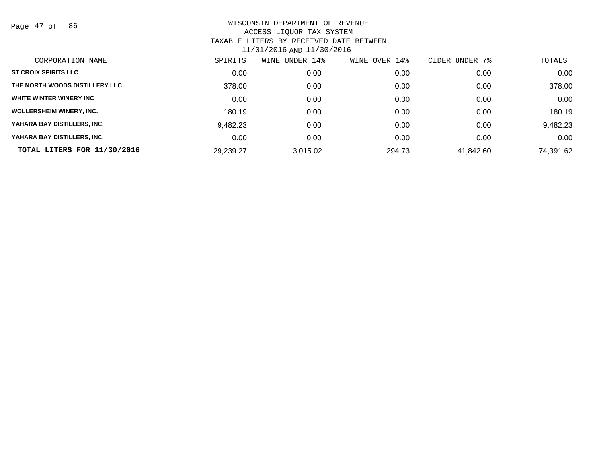Page 47 of 86

| CORPORATION NAME                | SPIRITS   | UNDER 14%<br>WINE | OVER 14%<br>WINE | UNDER 7%<br>CIDER | TOTALS    |
|---------------------------------|-----------|-------------------|------------------|-------------------|-----------|
| <b>ST CROIX SPIRITS LLC</b>     | 0.00      | 0.00              | 0.00             | 0.00              | 0.00      |
| THE NORTH WOODS DISTILLERY LLC  | 378.00    | 0.00              | 0.00             | 0.00              | 378.00    |
| WHITE WINTER WINERY INC         | 0.00      | 0.00              | 0.00             | 0.00              | 0.00      |
| <b>WOLLERSHEIM WINERY, INC.</b> | 180.19    | 0.00              | 0.00             | 0.00              | 180.19    |
| YAHARA BAY DISTILLERS, INC.     | 9,482.23  | 0.00              | 0.00             | 0.00              | 9,482.23  |
| YAHARA BAY DISTILLERS, INC.     | 0.00      | 0.00              | 0.00             | 0.00              | 0.00      |
| TOTAL LITERS FOR 11/30/2016     | 29,239.27 | 3.015.02          | 294.73           | 41,842.60         | 74,391.62 |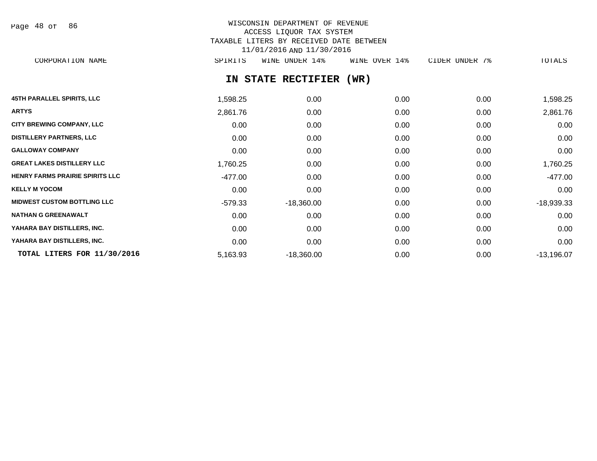Page 48 of 86

# WISCONSIN DEPARTMENT OF REVENUE ACCESS LIQUOR TAX SYSTEM TAXABLE LITERS BY RECEIVED DATE BETWEEN 11/01/2016 AND 11/30/2016

CORPORATION NAME SPIRITS WINE UNDER 14% WINE OVER 14% CIDER UNDER 7% TOTALS

# **IN STATE RECTIFIER (WR)**

| <b>45TH PARALLEL SPIRITS, LLC</b>      | 1,598.25  | 0.00         | 0.00 | 0.00 | 1,598.25     |
|----------------------------------------|-----------|--------------|------|------|--------------|
| <b>ARTYS</b>                           | 2,861.76  | 0.00         | 0.00 | 0.00 | 2,861.76     |
| <b>CITY BREWING COMPANY, LLC</b>       | 0.00      | 0.00         | 0.00 | 0.00 | 0.00         |
| <b>DISTILLERY PARTNERS, LLC</b>        | 0.00      | 0.00         | 0.00 | 0.00 | 0.00         |
| <b>GALLOWAY COMPANY</b>                | 0.00      | 0.00         | 0.00 | 0.00 | 0.00         |
| <b>GREAT LAKES DISTILLERY LLC</b>      | 1,760.25  | 0.00         | 0.00 | 0.00 | 1,760.25     |
| <b>HENRY FARMS PRAIRIE SPIRITS LLC</b> | -477.00   | 0.00         | 0.00 | 0.00 | -477.00      |
| <b>KELLY M YOCOM</b>                   | 0.00      | 0.00         | 0.00 | 0.00 | 0.00         |
| <b>MIDWEST CUSTOM BOTTLING LLC</b>     | $-579.33$ | $-18,360.00$ | 0.00 | 0.00 | $-18,939.33$ |
| <b>NATHAN G GREENAWALT</b>             | 0.00      | 0.00         | 0.00 | 0.00 | 0.00         |
| YAHARA BAY DISTILLERS, INC.            | 0.00      | 0.00         | 0.00 | 0.00 | 0.00         |
| YAHARA BAY DISTILLERS, INC.            | 0.00      | 0.00         | 0.00 | 0.00 | 0.00         |
| TOTAL LITERS FOR 11/30/2016            | 5,163.93  | $-18,360.00$ | 0.00 | 0.00 | $-13,196.07$ |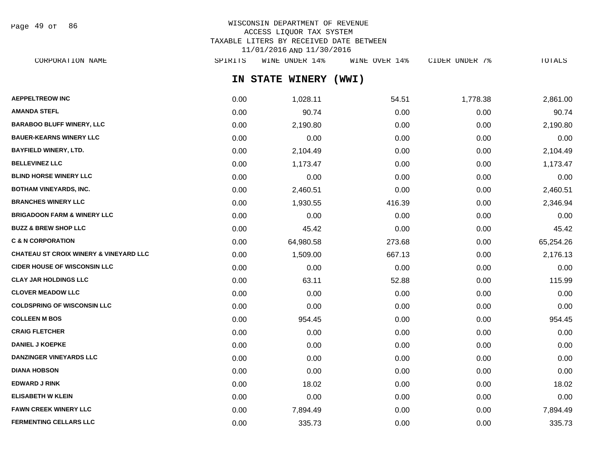Page 49 of 86

# WISCONSIN DEPARTMENT OF REVENUE ACCESS LIQUOR TAX SYSTEM TAXABLE LITERS BY RECEIVED DATE BETWEEN 11/01/2016 AND 11/30/2016

**IN STATE WINERY (WWI) AEPPELTREOW INC** 2,861.00 **1,028.11 54.51 1,028.11** 54.51 54.57 54.57 54.58 2,861.00 **AMANDA STEFL** 0.00 90.74 0.00 0.00 90.74 **BARABOO BLUFF WINERY, LLC** 0.00 2,190.80 0.00 0.00 2,190.80 **BAUER-KEARNS WINERY LLC** 0.00 0.00 0.00 0.00 0.00 **BAYFIELD WINERY, LTD.** 0.00 2,104.49 0.00 0.00 2,104.49 **BELLEVINEZ LLC** 0.00 1,173.47 0.00 0.00 1,173.47 **BLIND HORSE WINERY LLC** 0.00 0.00 0.00 0.00 0.00 **BOTHAM VINEYARDS, INC.** 0.00 2,460.51 0.00 0.00 2,460.51 **BRANCHES WINERY LLC** 0.00 1,930.55 416.39 0.00 2,346.94 **BRIGADOON FARM & WINERY LLC** 0.00 0.00 0.00 0.00 0.00 **BUZZ & BREW SHOP LLC** 25.42 **0.00** 45.42 0.00 0.00 45.42 0.00 0.00 0.00 0.00 0.00 0.00 45.42 **C & N CORPORATION** 0.00 64,980.58 273.68 0.00 65,254.26 **CHATEAU ST CROIX WINERY & VINEYARD LLC** 0.00 1,509.00 667.13 0.00 2,176.13 **CIDER HOUSE OF WISCONSIN LLC**  $0.00$   $0.00$   $0.00$   $0.00$   $0.00$   $0.00$   $0.00$   $0.00$   $0.00$   $0.00$   $0.00$   $0.00$   $0.00$   $0.00$   $0.00$   $0.00$   $0.00$   $0.00$   $0.00$   $0.00$   $0.00$   $0.00$   $0.00$   $0.00$   $0.00$   $0.00$   $0.00$   $0$ **CLAY JAR HOLDINGS LLC** 0.00 63.11 52.88 0.00 115.99 **CLOVER MEADOW LLC** 0.00 0.00 0.00 0.00 0.00 **COLDSPRING OF WISCONSIN LLC** 0.00 0.00 0.00 0.00 0.00 **COLLEEN M BOS** 0.00 954.45 0.00 0.00 954.45 **CRAIG FLETCHER** 0.00 0.00 0.00 0.00 0.00 **DANIEL J KOEPKE** 0.00 0.00 0.00 0.00 0.00 **DANZINGER VINEYARDS LLC** 0.00 0.00 0.00 0.00 0.00 **DIANA HOBSON** 0.00 0.00 0.00 0.00 0.00 **EDWARD J RINK** 0.00 18.02 0.00 0.00 18.02 **ELISABETH W KLEIN** 0.00 0.00 0.00 0.00 0.00 CORPORATION NAME SPIRITS WINE UNDER 14% WINE OVER 14% CIDER UNDER 7% TOTALS

**FAWN CREEK WINERY LLC** 0.00 7,894.49 0.00 0.00 7,894.49 **FERMENTING CELLARS LLC** 0.00 335.73 0.00 0.00 335.73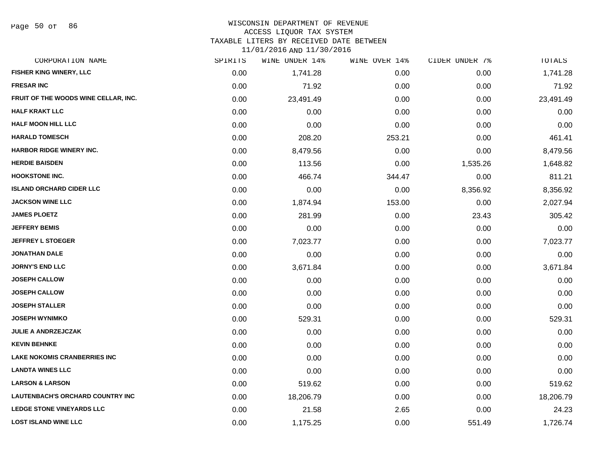Page 50 of 86

# WISCONSIN DEPARTMENT OF REVENUE

#### ACCESS LIQUOR TAX SYSTEM

TAXABLE LITERS BY RECEIVED DATE BETWEEN

| CORPORATION NAME                        | SPIRITS | WINE UNDER 14% | WINE OVER 14% | CIDER UNDER 7% | TOTALS    |
|-----------------------------------------|---------|----------------|---------------|----------------|-----------|
| <b>FISHER KING WINERY, LLC</b>          | 0.00    | 1,741.28       | 0.00          | 0.00           | 1,741.28  |
| <b>FRESAR INC</b>                       | 0.00    | 71.92          | 0.00          | 0.00           | 71.92     |
| FRUIT OF THE WOODS WINE CELLAR, INC.    | 0.00    | 23,491.49      | 0.00          | 0.00           | 23,491.49 |
| <b>HALF KRAKT LLC</b>                   | 0.00    | 0.00           | 0.00          | 0.00           | 0.00      |
| <b>HALF MOON HILL LLC</b>               | 0.00    | 0.00           | 0.00          | 0.00           | 0.00      |
| <b>HARALD TOMESCH</b>                   | 0.00    | 208.20         | 253.21        | 0.00           | 461.41    |
| <b>HARBOR RIDGE WINERY INC.</b>         | 0.00    | 8,479.56       | 0.00          | 0.00           | 8,479.56  |
| <b>HERDIE BAISDEN</b>                   | 0.00    | 113.56         | 0.00          | 1,535.26       | 1,648.82  |
| <b>HOOKSTONE INC.</b>                   | 0.00    | 466.74         | 344.47        | 0.00           | 811.21    |
| <b>ISLAND ORCHARD CIDER LLC</b>         | 0.00    | 0.00           | 0.00          | 8,356.92       | 8,356.92  |
| <b>JACKSON WINE LLC</b>                 | 0.00    | 1,874.94       | 153.00        | 0.00           | 2,027.94  |
| <b>JAMES PLOETZ</b>                     | 0.00    | 281.99         | 0.00          | 23.43          | 305.42    |
| <b>JEFFERY BEMIS</b>                    | 0.00    | 0.00           | 0.00          | 0.00           | 0.00      |
| <b>JEFFREY L STOEGER</b>                | 0.00    | 7,023.77       | 0.00          | 0.00           | 7,023.77  |
| <b>JONATHAN DALE</b>                    | 0.00    | 0.00           | 0.00          | 0.00           | 0.00      |
| <b>JORNY'S END LLC</b>                  | 0.00    | 3,671.84       | 0.00          | 0.00           | 3,671.84  |
| <b>JOSEPH CALLOW</b>                    | 0.00    | 0.00           | 0.00          | 0.00           | 0.00      |
| <b>JOSEPH CALLOW</b>                    | 0.00    | 0.00           | 0.00          | 0.00           | 0.00      |
| <b>JOSEPH STALLER</b>                   | 0.00    | 0.00           | 0.00          | 0.00           | 0.00      |
| <b>JOSEPH WYNIMKO</b>                   | 0.00    | 529.31         | 0.00          | 0.00           | 529.31    |
| <b>JULIE A ANDRZEJCZAK</b>              | 0.00    | 0.00           | 0.00          | 0.00           | 0.00      |
| <b>KEVIN BEHNKE</b>                     | 0.00    | 0.00           | 0.00          | 0.00           | 0.00      |
| <b>LAKE NOKOMIS CRANBERRIES INC</b>     | 0.00    | 0.00           | 0.00          | 0.00           | 0.00      |
| <b>LANDTA WINES LLC</b>                 | 0.00    | 0.00           | 0.00          | 0.00           | 0.00      |
| <b>LARSON &amp; LARSON</b>              | 0.00    | 519.62         | 0.00          | 0.00           | 519.62    |
| <b>LAUTENBACH'S ORCHARD COUNTRY INC</b> | 0.00    | 18,206.79      | 0.00          | 0.00           | 18,206.79 |
| <b>LEDGE STONE VINEYARDS LLC</b>        | 0.00    | 21.58          | 2.65          | 0.00           | 24.23     |
| <b>LOST ISLAND WINE LLC</b>             | 0.00    | 1,175.25       | 0.00          | 551.49         | 1,726.74  |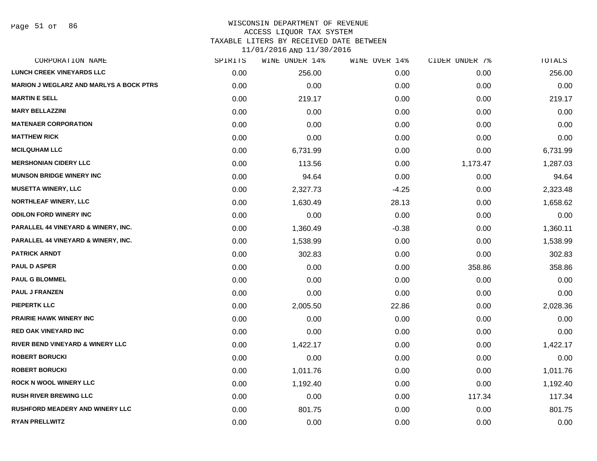#### WISCONSIN DEPARTMENT OF REVENUE ACCESS LIQUOR TAX SYSTEM

TAXABLE LITERS BY RECEIVED DATE BETWEEN

| CORPORATION NAME                               | SPIRITS | WINE UNDER 14% | WINE OVER 14% | CIDER UNDER 7% | TOTALS   |
|------------------------------------------------|---------|----------------|---------------|----------------|----------|
| <b>LUNCH CREEK VINEYARDS LLC</b>               | 0.00    | 256.00         | 0.00          | 0.00           | 256.00   |
| <b>MARION J WEGLARZ AND MARLYS A BOCK PTRS</b> | 0.00    | 0.00           | 0.00          | 0.00           | 0.00     |
| <b>MARTIN E SELL</b>                           | 0.00    | 219.17         | 0.00          | 0.00           | 219.17   |
| <b>MARY BELLAZZINI</b>                         | 0.00    | 0.00           | 0.00          | 0.00           | 0.00     |
| <b>MATENAER CORPORATION</b>                    | 0.00    | 0.00           | 0.00          | 0.00           | 0.00     |
| <b>MATTHEW RICK</b>                            | 0.00    | 0.00           | 0.00          | 0.00           | 0.00     |
| <b>MCILQUHAM LLC</b>                           | 0.00    | 6,731.99       | 0.00          | 0.00           | 6,731.99 |
| <b>MERSHONIAN CIDERY LLC</b>                   | 0.00    | 113.56         | 0.00          | 1,173.47       | 1,287.03 |
| <b>MUNSON BRIDGE WINERY INC</b>                | 0.00    | 94.64          | 0.00          | 0.00           | 94.64    |
| <b>MUSETTA WINERY, LLC</b>                     | 0.00    | 2,327.73       | $-4.25$       | 0.00           | 2,323.48 |
| <b>NORTHLEAF WINERY, LLC</b>                   | 0.00    | 1,630.49       | 28.13         | 0.00           | 1,658.62 |
| <b>ODILON FORD WINERY INC</b>                  | 0.00    | 0.00           | 0.00          | 0.00           | 0.00     |
| PARALLEL 44 VINEYARD & WINERY, INC.            | 0.00    | 1,360.49       | $-0.38$       | 0.00           | 1,360.11 |
| <b>PARALLEL 44 VINEYARD &amp; WINERY, INC.</b> | 0.00    | 1,538.99       | 0.00          | 0.00           | 1,538.99 |
| <b>PATRICK ARNDT</b>                           | 0.00    | 302.83         | 0.00          | 0.00           | 302.83   |
| <b>PAUL D ASPER</b>                            | 0.00    | 0.00           | 0.00          | 358.86         | 358.86   |
| <b>PAUL G BLOMMEL</b>                          | 0.00    | 0.00           | 0.00          | 0.00           | 0.00     |
| <b>PAUL J FRANZEN</b>                          | 0.00    | 0.00           | 0.00          | 0.00           | 0.00     |
| <b>PIEPERTK LLC</b>                            | 0.00    | 2,005.50       | 22.86         | 0.00           | 2,028.36 |
| <b>PRAIRIE HAWK WINERY INC.</b>                | 0.00    | 0.00           | 0.00          | 0.00           | 0.00     |
| <b>RED OAK VINEYARD INC</b>                    | 0.00    | 0.00           | 0.00          | 0.00           | 0.00     |
| RIVER BEND VINEYARD & WINERY LLC               | 0.00    | 1,422.17       | 0.00          | 0.00           | 1,422.17 |
| <b>ROBERT BORUCKI</b>                          | 0.00    | 0.00           | 0.00          | 0.00           | 0.00     |
| <b>ROBERT BORUCKI</b>                          | 0.00    | 1,011.76       | 0.00          | 0.00           | 1,011.76 |
| <b>ROCK N WOOL WINERY LLC</b>                  | 0.00    | 1,192.40       | 0.00          | 0.00           | 1,192.40 |
| <b>RUSH RIVER BREWING LLC</b>                  | 0.00    | 0.00           | 0.00          | 117.34         | 117.34   |
| <b>RUSHFORD MEADERY AND WINERY LLC</b>         | 0.00    | 801.75         | 0.00          | 0.00           | 801.75   |
| <b>RYAN PRELLWITZ</b>                          | 0.00    | 0.00           | 0.00          | 0.00           | 0.00     |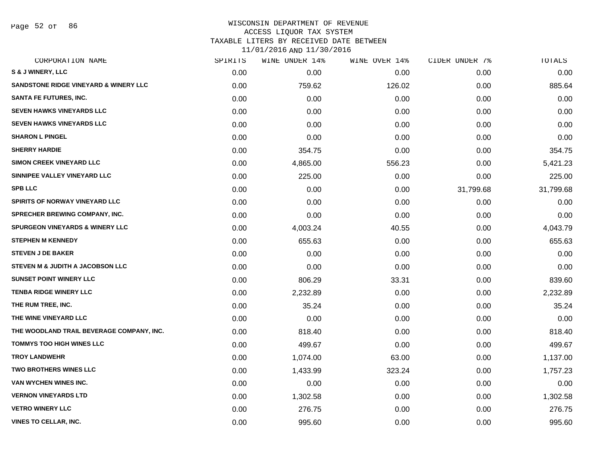Page 52 of 86

### WISCONSIN DEPARTMENT OF REVENUE ACCESS LIQUOR TAX SYSTEM TAXABLE LITERS BY RECEIVED DATE BETWEEN

| CORPORATION NAME                                 | SPIRITS | WINE UNDER 14% | WINE OVER 14% | CIDER UNDER 7% | TOTALS    |
|--------------------------------------------------|---------|----------------|---------------|----------------|-----------|
| <b>S &amp; J WINERY, LLC</b>                     | 0.00    | 0.00           | 0.00          | 0.00           | 0.00      |
| <b>SANDSTONE RIDGE VINEYARD &amp; WINERY LLC</b> | 0.00    | 759.62         | 126.02        | 0.00           | 885.64    |
| <b>SANTA FE FUTURES, INC.</b>                    | 0.00    | 0.00           | 0.00          | 0.00           | 0.00      |
| <b>SEVEN HAWKS VINEYARDS LLC</b>                 | 0.00    | 0.00           | 0.00          | 0.00           | 0.00      |
| <b>SEVEN HAWKS VINEYARDS LLC</b>                 | 0.00    | 0.00           | 0.00          | 0.00           | 0.00      |
| <b>SHARON L PINGEL</b>                           | 0.00    | 0.00           | 0.00          | 0.00           | 0.00      |
| <b>SHERRY HARDIE</b>                             | 0.00    | 354.75         | 0.00          | 0.00           | 354.75    |
| <b>SIMON CREEK VINEYARD LLC</b>                  | 0.00    | 4,865.00       | 556.23        | 0.00           | 5,421.23  |
| SINNIPEE VALLEY VINEYARD LLC                     | 0.00    | 225.00         | 0.00          | 0.00           | 225.00    |
| <b>SPB LLC</b>                                   | 0.00    | 0.00           | 0.00          | 31,799.68      | 31,799.68 |
| SPIRITS OF NORWAY VINEYARD LLC                   | 0.00    | 0.00           | 0.00          | 0.00           | 0.00      |
| SPRECHER BREWING COMPANY, INC.                   | 0.00    | 0.00           | 0.00          | 0.00           | 0.00      |
| <b>SPURGEON VINEYARDS &amp; WINERY LLC</b>       | 0.00    | 4,003.24       | 40.55         | 0.00           | 4,043.79  |
| <b>STEPHEN M KENNEDY</b>                         | 0.00    | 655.63         | 0.00          | 0.00           | 655.63    |
| <b>STEVEN J DE BAKER</b>                         | 0.00    | 0.00           | 0.00          | 0.00           | 0.00      |
| STEVEN M & JUDITH A JACOBSON LLC                 | 0.00    | 0.00           | 0.00          | 0.00           | 0.00      |
| <b>SUNSET POINT WINERY LLC</b>                   | 0.00    | 806.29         | 33.31         | 0.00           | 839.60    |
| <b>TENBA RIDGE WINERY LLC</b>                    | 0.00    | 2,232.89       | 0.00          | 0.00           | 2,232.89  |
| THE RUM TREE, INC.                               | 0.00    | 35.24          | 0.00          | 0.00           | 35.24     |
| THE WINE VINEYARD LLC                            | 0.00    | 0.00           | 0.00          | 0.00           | 0.00      |
| THE WOODLAND TRAIL BEVERAGE COMPANY, INC.        | 0.00    | 818.40         | 0.00          | 0.00           | 818.40    |
| <b>TOMMYS TOO HIGH WINES LLC</b>                 | 0.00    | 499.67         | 0.00          | 0.00           | 499.67    |
| <b>TROY LANDWEHR</b>                             | 0.00    | 1,074.00       | 63.00         | 0.00           | 1,137.00  |
| <b>TWO BROTHERS WINES LLC</b>                    | 0.00    | 1,433.99       | 323.24        | 0.00           | 1,757.23  |
| <b>VAN WYCHEN WINES INC.</b>                     | 0.00    | 0.00           | 0.00          | 0.00           | 0.00      |
| <b>VERNON VINEYARDS LTD</b>                      | 0.00    | 1,302.58       | 0.00          | 0.00           | 1,302.58  |
| <b>VETRO WINERY LLC</b>                          | 0.00    | 276.75         | 0.00          | 0.00           | 276.75    |
| <b>VINES TO CELLAR, INC.</b>                     | 0.00    | 995.60         | 0.00          | 0.00           | 995.60    |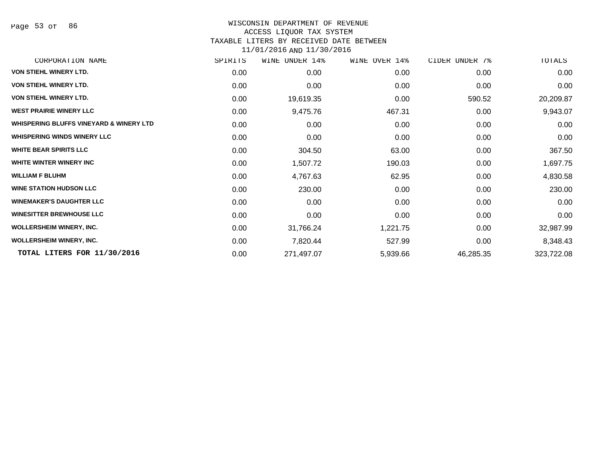# WISCONSIN DEPARTMENT OF REVENUE

#### ACCESS LIQUOR TAX SYSTEM

TAXABLE LITERS BY RECEIVED DATE BETWEEN

| CORPORATION NAME                                   | SPIRITS | WINE UNDER 14% | WINE OVER 14% | CIDER UNDER 7% | TOTALS     |
|----------------------------------------------------|---------|----------------|---------------|----------------|------------|
| VON STIEHL WINERY LTD.                             | 0.00    | 0.00           | 0.00          | 0.00           | 0.00       |
| VON STIEHL WINERY LTD.                             | 0.00    | 0.00           | 0.00          | 0.00           | 0.00       |
| VON STIEHL WINERY LTD.                             | 0.00    | 19,619.35      | 0.00          | 590.52         | 20,209.87  |
| <b>WEST PRAIRIE WINERY LLC</b>                     | 0.00    | 9,475.76       | 467.31        | 0.00           | 9,943.07   |
| <b>WHISPERING BLUFFS VINEYARD &amp; WINERY LTD</b> | 0.00    | 0.00           | 0.00          | 0.00           | 0.00       |
| <b>WHISPERING WINDS WINERY LLC</b>                 | 0.00    | 0.00           | 0.00          | 0.00           | 0.00       |
| <b>WHITE BEAR SPIRITS LLC</b>                      | 0.00    | 304.50         | 63.00         | 0.00           | 367.50     |
| WHITE WINTER WINERY INC                            | 0.00    | 1,507.72       | 190.03        | 0.00           | 1,697.75   |
| <b>WILLIAM F BLUHM</b>                             | 0.00    | 4,767.63       | 62.95         | 0.00           | 4,830.58   |
| <b>WINE STATION HUDSON LLC</b>                     | 0.00    | 230.00         | 0.00          | 0.00           | 230.00     |
| <b>WINEMAKER'S DAUGHTER LLC</b>                    | 0.00    | 0.00           | 0.00          | 0.00           | 0.00       |
| <b>WINESITTER BREWHOUSE LLC</b>                    | 0.00    | 0.00           | 0.00          | 0.00           | 0.00       |
| <b>WOLLERSHEIM WINERY, INC.</b>                    | 0.00    | 31,766.24      | 1,221.75      | 0.00           | 32,987.99  |
| <b>WOLLERSHEIM WINERY, INC.</b>                    | 0.00    | 7,820.44       | 527.99        | 0.00           | 8,348.43   |
| TOTAL LITERS FOR 11/30/2016                        | 0.00    | 271,497.07     | 5,939.66      | 46,285.35      | 323,722.08 |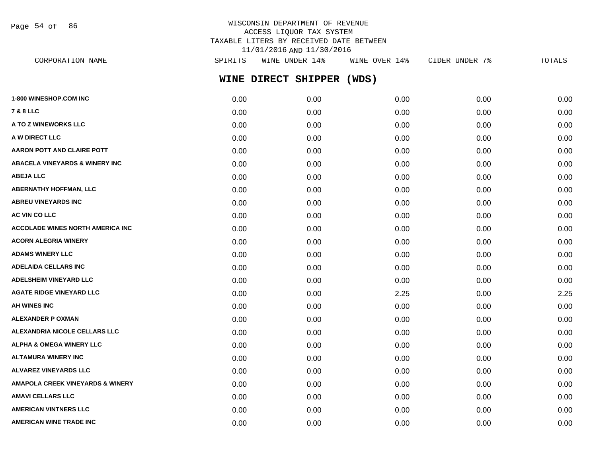Page 54 of 86

# WISCONSIN DEPARTMENT OF REVENUE ACCESS LIQUOR TAX SYSTEM TAXABLE LITERS BY RECEIVED DATE BETWEEN 11/01/2016 AND 11/30/2016

| CORPORATION NAME                          | SPIRITS | WINE UNDER 14%      | WINE OVER 14% | CIDER UNDER 7% | TOTALS |
|-------------------------------------------|---------|---------------------|---------------|----------------|--------|
|                                           |         | WINE DIRECT SHIPPER | (WDS)         |                |        |
| <b>1-800 WINESHOP.COM INC</b>             | 0.00    | 0.00                | 0.00          | 0.00           | 0.00   |
| 7 & 8 LLC                                 | 0.00    | 0.00                | 0.00          | 0.00           | 0.00   |
| <b>A TO Z WINEWORKS LLC</b>               | 0.00    | 0.00                | 0.00          | 0.00           | 0.00   |
| <b>A W DIRECT LLC</b>                     | 0.00    | 0.00                | 0.00          | 0.00           | 0.00   |
| <b>AARON POTT AND CLAIRE POTT</b>         | 0.00    | 0.00                | 0.00          | 0.00           | 0.00   |
| <b>ABACELA VINEYARDS &amp; WINERY INC</b> | 0.00    | 0.00                | 0.00          | 0.00           | 0.00   |
| <b>ABEJA LLC</b>                          | 0.00    | 0.00                | 0.00          | 0.00           | 0.00   |
| <b>ABERNATHY HOFFMAN, LLC</b>             | 0.00    | 0.00                | 0.00          | 0.00           | 0.00   |
| <b>ABREU VINEYARDS INC</b>                | 0.00    | 0.00                | 0.00          | 0.00           | 0.00   |
| <b>AC VIN CO LLC</b>                      | 0.00    | 0.00                | 0.00          | 0.00           | 0.00   |
| <b>ACCOLADE WINES NORTH AMERICA INC</b>   | 0.00    | 0.00                | 0.00          | 0.00           | 0.00   |
| <b>ACORN ALEGRIA WINERY</b>               | 0.00    | 0.00                | 0.00          | 0.00           | 0.00   |
| <b>ADAMS WINERY LLC</b>                   | 0.00    | 0.00                | 0.00          | 0.00           | 0.00   |
| <b>ADELAIDA CELLARS INC</b>               | 0.00    | 0.00                | 0.00          | 0.00           | 0.00   |
| <b>ADELSHEIM VINEYARD LLC</b>             | 0.00    | 0.00                | 0.00          | 0.00           | 0.00   |
| <b>AGATE RIDGE VINEYARD LLC</b>           | 0.00    | 0.00                | 2.25          | 0.00           | 2.25   |
| <b>AH WINES INC</b>                       | 0.00    | 0.00                | 0.00          | 0.00           | 0.00   |
| ALEXANDER P OXMAN                         | 0.00    | 0.00                | 0.00          | 0.00           | 0.00   |
| <b>ALEXANDRIA NICOLE CELLARS LLC</b>      | 0.00    | 0.00                | 0.00          | 0.00           | 0.00   |
| <b>ALPHA &amp; OMEGA WINERY LLC</b>       | 0.00    | 0.00                | 0.00          | 0.00           | 0.00   |
| ALTAMURA WINERY INC                       | 0.00    | 0.00                | 0.00          | 0.00           | 0.00   |
| <b>ALVAREZ VINEYARDS LLC</b>              | 0.00    | 0.00                | 0.00          | 0.00           | 0.00   |
| AMAPOLA CREEK VINEYARDS & WINERY          | 0.00    | 0.00                | 0.00          | 0.00           | 0.00   |
| AMAVI CELLARS LLC                         | 0.00    | 0.00                | 0.00          | 0.00           | 0.00   |
| <b>AMERICAN VINTNERS LLC</b>              | 0.00    | 0.00                | 0.00          | 0.00           | 0.00   |

**AMERICAN WINE TRADE INC** 0.00 0.00 0.00 0.00 0.00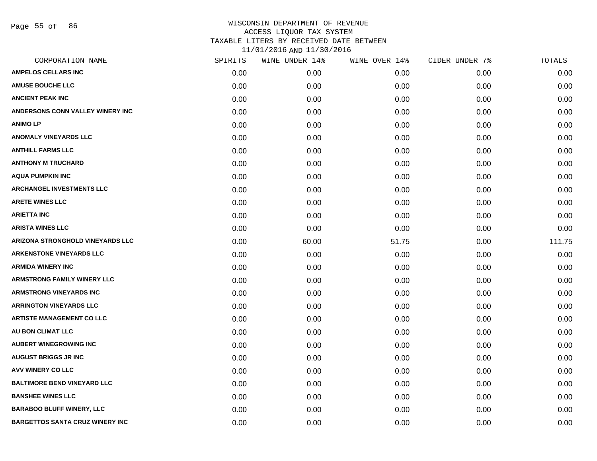| CORPORATION NAME                       | SPIRITS | WINE UNDER 14% | WINE OVER 14% | CIDER UNDER 7% | TOTALS |
|----------------------------------------|---------|----------------|---------------|----------------|--------|
| <b>AMPELOS CELLARS INC</b>             | 0.00    | 0.00           | 0.00          | 0.00           | 0.00   |
| <b>AMUSE BOUCHE LLC</b>                | 0.00    | 0.00           | 0.00          | 0.00           | 0.00   |
| <b>ANCIENT PEAK INC</b>                | 0.00    | 0.00           | 0.00          | 0.00           | 0.00   |
| ANDERSONS CONN VALLEY WINERY INC       | 0.00    | 0.00           | 0.00          | 0.00           | 0.00   |
| <b>ANIMOLP</b>                         | 0.00    | 0.00           | 0.00          | 0.00           | 0.00   |
| <b>ANOMALY VINEYARDS LLC</b>           | 0.00    | 0.00           | 0.00          | 0.00           | 0.00   |
| <b>ANTHILL FARMS LLC</b>               | 0.00    | 0.00           | 0.00          | 0.00           | 0.00   |
| <b>ANTHONY M TRUCHARD</b>              | 0.00    | 0.00           | 0.00          | 0.00           | 0.00   |
| <b>AQUA PUMPKIN INC</b>                | 0.00    | 0.00           | 0.00          | 0.00           | 0.00   |
| <b>ARCHANGEL INVESTMENTS LLC</b>       | 0.00    | 0.00           | 0.00          | 0.00           | 0.00   |
| <b>ARETE WINES LLC</b>                 | 0.00    | 0.00           | 0.00          | 0.00           | 0.00   |
| <b>ARIETTA INC</b>                     | 0.00    | 0.00           | 0.00          | 0.00           | 0.00   |
| <b>ARISTA WINES LLC</b>                | 0.00    | 0.00           | 0.00          | 0.00           | 0.00   |
| ARIZONA STRONGHOLD VINEYARDS LLC       | 0.00    | 60.00          | 51.75         | 0.00           | 111.75 |
| <b>ARKENSTONE VINEYARDS LLC</b>        | 0.00    | 0.00           | 0.00          | 0.00           | 0.00   |
| <b>ARMIDA WINERY INC</b>               | 0.00    | 0.00           | 0.00          | 0.00           | 0.00   |
| <b>ARMSTRONG FAMILY WINERY LLC</b>     | 0.00    | 0.00           | 0.00          | 0.00           | 0.00   |
| <b>ARMSTRONG VINEYARDS INC</b>         | 0.00    | 0.00           | 0.00          | 0.00           | 0.00   |
| <b>ARRINGTON VINEYARDS LLC</b>         | 0.00    | 0.00           | 0.00          | 0.00           | 0.00   |
| <b>ARTISTE MANAGEMENT CO LLC</b>       | 0.00    | 0.00           | 0.00          | 0.00           | 0.00   |
| <b>AU BON CLIMAT LLC</b>               | 0.00    | 0.00           | 0.00          | 0.00           | 0.00   |
| <b>AUBERT WINEGROWING INC</b>          | 0.00    | 0.00           | 0.00          | 0.00           | 0.00   |
| <b>AUGUST BRIGGS JR INC</b>            | 0.00    | 0.00           | 0.00          | 0.00           | 0.00   |
| AVV WINERY CO LLC                      | 0.00    | 0.00           | 0.00          | 0.00           | 0.00   |
| <b>BALTIMORE BEND VINEYARD LLC</b>     | 0.00    | 0.00           | 0.00          | 0.00           | 0.00   |
| <b>BANSHEE WINES LLC</b>               | 0.00    | 0.00           | 0.00          | 0.00           | 0.00   |
| <b>BARABOO BLUFF WINERY, LLC</b>       | 0.00    | 0.00           | 0.00          | 0.00           | 0.00   |
| <b>BARGETTOS SANTA CRUZ WINERY INC</b> | 0.00    | 0.00           | 0.00          | 0.00           | 0.00   |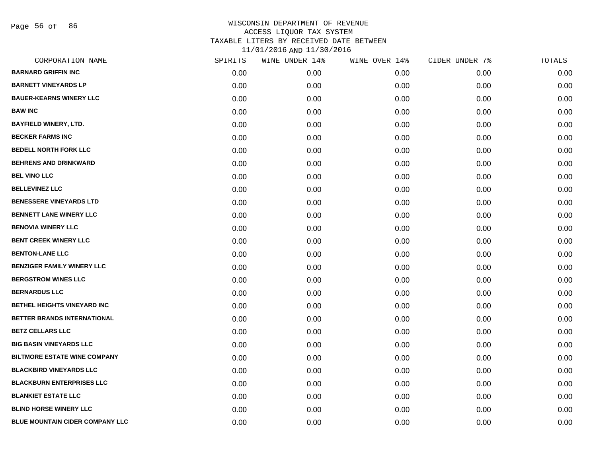Page 56 of 86

| CORPORATION NAME                       | SPIRITS | WINE UNDER 14% | WINE OVER 14% | CIDER UNDER 7% | TOTALS |
|----------------------------------------|---------|----------------|---------------|----------------|--------|
| <b>BARNARD GRIFFIN INC</b>             | 0.00    | 0.00           | 0.00          | 0.00           | 0.00   |
| <b>BARNETT VINEYARDS LP</b>            | 0.00    | 0.00           | 0.00          | 0.00           | 0.00   |
| <b>BAUER-KEARNS WINERY LLC</b>         | 0.00    | 0.00           | 0.00          | 0.00           | 0.00   |
| <b>BAW INC</b>                         | 0.00    | 0.00           | 0.00          | 0.00           | 0.00   |
| <b>BAYFIELD WINERY, LTD.</b>           | 0.00    | 0.00           | 0.00          | 0.00           | 0.00   |
| <b>BECKER FARMS INC</b>                | 0.00    | 0.00           | 0.00          | 0.00           | 0.00   |
| <b>BEDELL NORTH FORK LLC</b>           | 0.00    | 0.00           | 0.00          | 0.00           | 0.00   |
| <b>BEHRENS AND DRINKWARD</b>           | 0.00    | 0.00           | 0.00          | 0.00           | 0.00   |
| <b>BEL VINO LLC</b>                    | 0.00    | 0.00           | 0.00          | 0.00           | 0.00   |
| <b>BELLEVINEZ LLC</b>                  | 0.00    | 0.00           | 0.00          | 0.00           | 0.00   |
| <b>BENESSERE VINEYARDS LTD</b>         | 0.00    | 0.00           | 0.00          | 0.00           | 0.00   |
| <b>BENNETT LANE WINERY LLC</b>         | 0.00    | 0.00           | 0.00          | 0.00           | 0.00   |
| <b>BENOVIA WINERY LLC</b>              | 0.00    | 0.00           | 0.00          | 0.00           | 0.00   |
| <b>BENT CREEK WINERY LLC</b>           | 0.00    | 0.00           | 0.00          | 0.00           | 0.00   |
| <b>BENTON-LANE LLC</b>                 | 0.00    | 0.00           | 0.00          | 0.00           | 0.00   |
| <b>BENZIGER FAMILY WINERY LLC</b>      | 0.00    | 0.00           | 0.00          | 0.00           | 0.00   |
| <b>BERGSTROM WINES LLC</b>             | 0.00    | 0.00           | 0.00          | 0.00           | 0.00   |
| <b>BERNARDUS LLC</b>                   | 0.00    | 0.00           | 0.00          | 0.00           | 0.00   |
| <b>BETHEL HEIGHTS VINEYARD INC</b>     | 0.00    | 0.00           | 0.00          | 0.00           | 0.00   |
| BETTER BRANDS INTERNATIONAL            | 0.00    | 0.00           | 0.00          | 0.00           | 0.00   |
| <b>BETZ CELLARS LLC</b>                | 0.00    | 0.00           | 0.00          | 0.00           | 0.00   |
| <b>BIG BASIN VINEYARDS LLC</b>         | 0.00    | 0.00           | 0.00          | 0.00           | 0.00   |
| <b>BILTMORE ESTATE WINE COMPANY</b>    | 0.00    | 0.00           | 0.00          | 0.00           | 0.00   |
| <b>BLACKBIRD VINEYARDS LLC</b>         | 0.00    | 0.00           | 0.00          | 0.00           | 0.00   |
| <b>BLACKBURN ENTERPRISES LLC</b>       | 0.00    | 0.00           | 0.00          | 0.00           | 0.00   |
| <b>BLANKIET ESTATE LLC</b>             | 0.00    | 0.00           | 0.00          | 0.00           | 0.00   |
| <b>BLIND HORSE WINERY LLC</b>          | 0.00    | 0.00           | 0.00          | 0.00           | 0.00   |
| <b>BLUE MOUNTAIN CIDER COMPANY LLC</b> | 0.00    | 0.00           | 0.00          | 0.00           | 0.00   |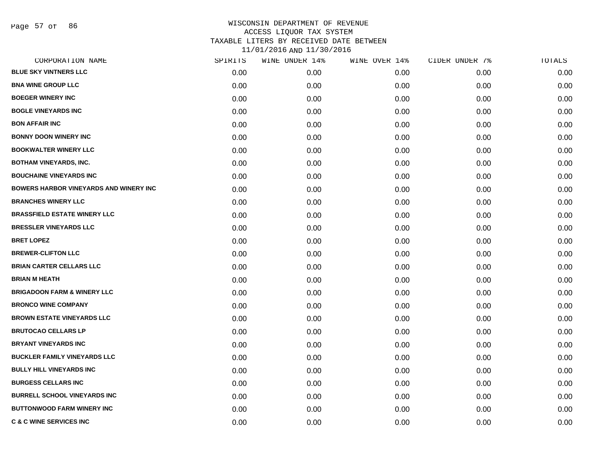Page 57 of 86

| CORPORATION NAME                              | SPIRITS | WINE UNDER 14% | WINE OVER 14% | CIDER UNDER 7% | TOTALS |
|-----------------------------------------------|---------|----------------|---------------|----------------|--------|
| <b>BLUE SKY VINTNERS LLC</b>                  | 0.00    | 0.00           | 0.00          | 0.00           | 0.00   |
| <b>BNA WINE GROUP LLC</b>                     | 0.00    | 0.00           | 0.00          | 0.00           | 0.00   |
| <b>BOEGER WINERY INC</b>                      | 0.00    | 0.00           | 0.00          | 0.00           | 0.00   |
| <b>BOGLE VINEYARDS INC</b>                    | 0.00    | 0.00           | 0.00          | 0.00           | 0.00   |
| <b>BON AFFAIR INC</b>                         | 0.00    | 0.00           | 0.00          | 0.00           | 0.00   |
| <b>BONNY DOON WINERY INC</b>                  | 0.00    | 0.00           | 0.00          | 0.00           | 0.00   |
| <b>BOOKWALTER WINERY LLC</b>                  | 0.00    | 0.00           | 0.00          | 0.00           | 0.00   |
| <b>BOTHAM VINEYARDS, INC.</b>                 | 0.00    | 0.00           | 0.00          | 0.00           | 0.00   |
| <b>BOUCHAINE VINEYARDS INC</b>                | 0.00    | 0.00           | 0.00          | 0.00           | 0.00   |
| <b>BOWERS HARBOR VINEYARDS AND WINERY INC</b> | 0.00    | 0.00           | 0.00          | 0.00           | 0.00   |
| <b>BRANCHES WINERY LLC</b>                    | 0.00    | 0.00           | 0.00          | 0.00           | 0.00   |
| <b>BRASSFIELD ESTATE WINERY LLC</b>           | 0.00    | 0.00           | 0.00          | 0.00           | 0.00   |
| <b>BRESSLER VINEYARDS LLC</b>                 | 0.00    | 0.00           | 0.00          | 0.00           | 0.00   |
| <b>BRET LOPEZ</b>                             | 0.00    | 0.00           | 0.00          | 0.00           | 0.00   |
| <b>BREWER-CLIFTON LLC</b>                     | 0.00    | 0.00           | 0.00          | 0.00           | 0.00   |
| <b>BRIAN CARTER CELLARS LLC</b>               | 0.00    | 0.00           | 0.00          | 0.00           | 0.00   |
| <b>BRIAN M HEATH</b>                          | 0.00    | 0.00           | 0.00          | 0.00           | 0.00   |
| <b>BRIGADOON FARM &amp; WINERY LLC</b>        | 0.00    | 0.00           | 0.00          | 0.00           | 0.00   |
| <b>BRONCO WINE COMPANY</b>                    | 0.00    | 0.00           | 0.00          | 0.00           | 0.00   |
| <b>BROWN ESTATE VINEYARDS LLC</b>             | 0.00    | 0.00           | 0.00          | 0.00           | 0.00   |
| <b>BRUTOCAO CELLARS LP</b>                    | 0.00    | 0.00           | 0.00          | 0.00           | 0.00   |
| <b>BRYANT VINEYARDS INC</b>                   | 0.00    | 0.00           | 0.00          | 0.00           | 0.00   |
| <b>BUCKLER FAMILY VINEYARDS LLC</b>           | 0.00    | 0.00           | 0.00          | 0.00           | 0.00   |
| <b>BULLY HILL VINEYARDS INC</b>               | 0.00    | 0.00           | 0.00          | 0.00           | 0.00   |
| <b>BURGESS CELLARS INC</b>                    | 0.00    | 0.00           | 0.00          | 0.00           | 0.00   |
| <b>BURRELL SCHOOL VINEYARDS INC</b>           | 0.00    | 0.00           | 0.00          | 0.00           | 0.00   |
| <b>BUTTONWOOD FARM WINERY INC</b>             | 0.00    | 0.00           | 0.00          | 0.00           | 0.00   |
| <b>C &amp; C WINE SERVICES INC</b>            | 0.00    | 0.00           | 0.00          | 0.00           | 0.00   |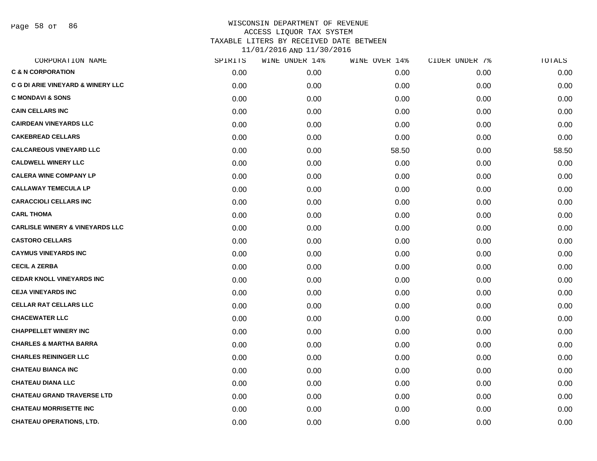Page 58 of 86

| CORPORATION NAME                           | SPIRITS | WINE UNDER 14% | WINE OVER 14% | CIDER UNDER 7% | TOTALS |
|--------------------------------------------|---------|----------------|---------------|----------------|--------|
| <b>C &amp; N CORPORATION</b>               | 0.00    | 0.00           | 0.00          | 0.00           | 0.00   |
| C G DI ARIE VINEYARD & WINERY LLC          | 0.00    | 0.00           | 0.00          | 0.00           | 0.00   |
| <b>C MONDAVI &amp; SONS</b>                | 0.00    | 0.00           | 0.00          | 0.00           | 0.00   |
| <b>CAIN CELLARS INC</b>                    | 0.00    | 0.00           | 0.00          | 0.00           | 0.00   |
| <b>CAIRDEAN VINEYARDS LLC</b>              | 0.00    | 0.00           | 0.00          | 0.00           | 0.00   |
| <b>CAKEBREAD CELLARS</b>                   | 0.00    | 0.00           | 0.00          | 0.00           | 0.00   |
| <b>CALCAREOUS VINEYARD LLC</b>             | 0.00    | 0.00           | 58.50         | 0.00           | 58.50  |
| <b>CALDWELL WINERY LLC</b>                 | 0.00    | 0.00           | 0.00          | 0.00           | 0.00   |
| <b>CALERA WINE COMPANY LP</b>              | 0.00    | 0.00           | 0.00          | 0.00           | 0.00   |
| <b>CALLAWAY TEMECULA LP</b>                | 0.00    | 0.00           | 0.00          | 0.00           | 0.00   |
| <b>CARACCIOLI CELLARS INC</b>              | 0.00    | 0.00           | 0.00          | 0.00           | 0.00   |
| <b>CARL THOMA</b>                          | 0.00    | 0.00           | 0.00          | 0.00           | 0.00   |
| <b>CARLISLE WINERY &amp; VINEYARDS LLC</b> | 0.00    | 0.00           | 0.00          | 0.00           | 0.00   |
| <b>CASTORO CELLARS</b>                     | 0.00    | 0.00           | 0.00          | 0.00           | 0.00   |
| <b>CAYMUS VINEYARDS INC</b>                | 0.00    | 0.00           | 0.00          | 0.00           | 0.00   |
| <b>CECIL A ZERBA</b>                       | 0.00    | 0.00           | 0.00          | 0.00           | 0.00   |
| <b>CEDAR KNOLL VINEYARDS INC</b>           | 0.00    | 0.00           | 0.00          | 0.00           | 0.00   |
| <b>CEJA VINEYARDS INC</b>                  | 0.00    | 0.00           | 0.00          | 0.00           | 0.00   |
| <b>CELLAR RAT CELLARS LLC</b>              | 0.00    | 0.00           | 0.00          | 0.00           | 0.00   |
| <b>CHACEWATER LLC</b>                      | 0.00    | 0.00           | 0.00          | 0.00           | 0.00   |
| <b>CHAPPELLET WINERY INC</b>               | 0.00    | 0.00           | 0.00          | 0.00           | 0.00   |
| <b>CHARLES &amp; MARTHA BARRA</b>          | 0.00    | 0.00           | 0.00          | 0.00           | 0.00   |
| <b>CHARLES REININGER LLC</b>               | 0.00    | 0.00           | 0.00          | 0.00           | 0.00   |
| <b>CHATEAU BIANCA INC</b>                  | 0.00    | 0.00           | 0.00          | 0.00           | 0.00   |
| <b>CHATEAU DIANA LLC</b>                   | 0.00    | 0.00           | 0.00          | 0.00           | 0.00   |
| <b>CHATEAU GRAND TRAVERSE LTD</b>          | 0.00    | 0.00           | 0.00          | 0.00           | 0.00   |
| <b>CHATEAU MORRISETTE INC</b>              | 0.00    | 0.00           | 0.00          | 0.00           | 0.00   |
| <b>CHATEAU OPERATIONS, LTD.</b>            | 0.00    | 0.00           | 0.00          | 0.00           | 0.00   |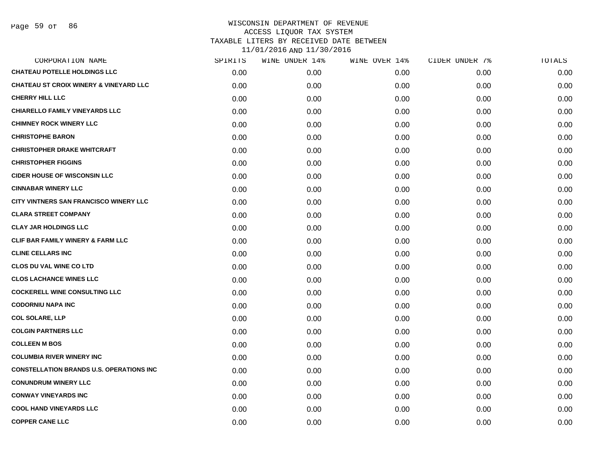| CORPORATION NAME                                  | SPIRITS | WINE UNDER 14% | WINE OVER 14% | CIDER UNDER 7% | TOTALS |
|---------------------------------------------------|---------|----------------|---------------|----------------|--------|
| <b>CHATEAU POTELLE HOLDINGS LLC</b>               | 0.00    | 0.00           | 0.00          | 0.00           | 0.00   |
| <b>CHATEAU ST CROIX WINERY &amp; VINEYARD LLC</b> | 0.00    | 0.00           | 0.00          | 0.00           | 0.00   |
| <b>CHERRY HILL LLC</b>                            | 0.00    | 0.00           | 0.00          | 0.00           | 0.00   |
| <b>CHIARELLO FAMILY VINEYARDS LLC</b>             | 0.00    | 0.00           | 0.00          | 0.00           | 0.00   |
| <b>CHIMNEY ROCK WINERY LLC</b>                    | 0.00    | 0.00           | 0.00          | 0.00           | 0.00   |
| <b>CHRISTOPHE BARON</b>                           | 0.00    | 0.00           | 0.00          | 0.00           | 0.00   |
| <b>CHRISTOPHER DRAKE WHITCRAFT</b>                | 0.00    | 0.00           | 0.00          | 0.00           | 0.00   |
| <b>CHRISTOPHER FIGGINS</b>                        | 0.00    | 0.00           | 0.00          | 0.00           | 0.00   |
| <b>CIDER HOUSE OF WISCONSIN LLC</b>               | 0.00    | 0.00           | 0.00          | 0.00           | 0.00   |
| <b>CINNABAR WINERY LLC</b>                        | 0.00    | 0.00           | 0.00          | 0.00           | 0.00   |
| CITY VINTNERS SAN FRANCISCO WINERY LLC            | 0.00    | 0.00           | 0.00          | 0.00           | 0.00   |
| <b>CLARA STREET COMPANY</b>                       | 0.00    | 0.00           | 0.00          | 0.00           | 0.00   |
| <b>CLAY JAR HOLDINGS LLC</b>                      | 0.00    | 0.00           | 0.00          | 0.00           | 0.00   |
| CLIF BAR FAMILY WINERY & FARM LLC                 | 0.00    | 0.00           | 0.00          | 0.00           | 0.00   |
| <b>CLINE CELLARS INC</b>                          | 0.00    | 0.00           | 0.00          | 0.00           | 0.00   |
| <b>CLOS DU VAL WINE CO LTD</b>                    | 0.00    | 0.00           | 0.00          | 0.00           | 0.00   |
| <b>CLOS LACHANCE WINES LLC</b>                    | 0.00    | 0.00           | 0.00          | 0.00           | 0.00   |
| <b>COCKERELL WINE CONSULTING LLC</b>              | 0.00    | 0.00           | 0.00          | 0.00           | 0.00   |
| <b>CODORNIU NAPA INC</b>                          | 0.00    | 0.00           | 0.00          | 0.00           | 0.00   |
| <b>COL SOLARE, LLP</b>                            | 0.00    | 0.00           | 0.00          | 0.00           | 0.00   |
| <b>COLGIN PARTNERS LLC</b>                        | 0.00    | 0.00           | 0.00          | 0.00           | 0.00   |
| <b>COLLEEN M BOS</b>                              | 0.00    | 0.00           | 0.00          | 0.00           | 0.00   |
| <b>COLUMBIA RIVER WINERY INC</b>                  | 0.00    | 0.00           | 0.00          | 0.00           | 0.00   |
| <b>CONSTELLATION BRANDS U.S. OPERATIONS INC</b>   | 0.00    | 0.00           | 0.00          | 0.00           | 0.00   |
| <b>CONUNDRUM WINERY LLC</b>                       | 0.00    | 0.00           | 0.00          | 0.00           | 0.00   |
| <b>CONWAY VINEYARDS INC</b>                       | 0.00    | 0.00           | 0.00          | 0.00           | 0.00   |
| <b>COOL HAND VINEYARDS LLC</b>                    | 0.00    | 0.00           | 0.00          | 0.00           | 0.00   |
| <b>COPPER CANE LLC</b>                            | 0.00    | 0.00           | 0.00          | 0.00           | 0.00   |
|                                                   |         |                |               |                |        |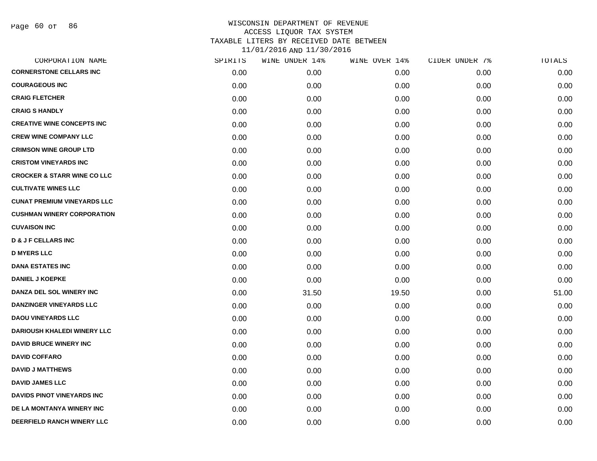| CORPORATION NAME                       | SPIRITS | WINE UNDER 14% | WINE OVER 14% | CIDER UNDER 7% | TOTALS |
|----------------------------------------|---------|----------------|---------------|----------------|--------|
| <b>CORNERSTONE CELLARS INC</b>         | 0.00    | 0.00           | 0.00          | 0.00           | 0.00   |
| <b>COURAGEOUS INC</b>                  | 0.00    | 0.00           | 0.00          | 0.00           | 0.00   |
| <b>CRAIG FLETCHER</b>                  | 0.00    | 0.00           | 0.00          | 0.00           | 0.00   |
| <b>CRAIG S HANDLY</b>                  | 0.00    | 0.00           | 0.00          | 0.00           | 0.00   |
| <b>CREATIVE WINE CONCEPTS INC</b>      | 0.00    | 0.00           | 0.00          | 0.00           | 0.00   |
| <b>CREW WINE COMPANY LLC</b>           | 0.00    | 0.00           | 0.00          | 0.00           | 0.00   |
| <b>CRIMSON WINE GROUP LTD</b>          | 0.00    | 0.00           | 0.00          | 0.00           | 0.00   |
| <b>CRISTOM VINEYARDS INC</b>           | 0.00    | 0.00           | 0.00          | 0.00           | 0.00   |
| <b>CROCKER &amp; STARR WINE CO LLC</b> | 0.00    | 0.00           | 0.00          | 0.00           | 0.00   |
| <b>CULTIVATE WINES LLC</b>             | 0.00    | 0.00           | 0.00          | 0.00           | 0.00   |
| <b>CUNAT PREMIUM VINEYARDS LLC</b>     | 0.00    | 0.00           | 0.00          | 0.00           | 0.00   |
| <b>CUSHMAN WINERY CORPORATION</b>      | 0.00    | 0.00           | 0.00          | 0.00           | 0.00   |
| <b>CUVAISON INC</b>                    | 0.00    | 0.00           | 0.00          | 0.00           | 0.00   |
| <b>D &amp; J F CELLARS INC</b>         | 0.00    | 0.00           | 0.00          | 0.00           | 0.00   |
| <b>D MYERS LLC</b>                     | 0.00    | 0.00           | 0.00          | 0.00           | 0.00   |
| <b>DANA ESTATES INC</b>                | 0.00    | 0.00           | 0.00          | 0.00           | 0.00   |
| <b>DANIEL J KOEPKE</b>                 | 0.00    | 0.00           | 0.00          | 0.00           | 0.00   |
| DANZA DEL SOL WINERY INC               | 0.00    | 31.50          | 19.50         | 0.00           | 51.00  |
| <b>DANZINGER VINEYARDS LLC</b>         | 0.00    | 0.00           | 0.00          | 0.00           | 0.00   |
| <b>DAOU VINEYARDS LLC</b>              | 0.00    | 0.00           | 0.00          | 0.00           | 0.00   |
| <b>DARIOUSH KHALEDI WINERY LLC</b>     | 0.00    | 0.00           | 0.00          | 0.00           | 0.00   |
| <b>DAVID BRUCE WINERY INC</b>          | 0.00    | 0.00           | 0.00          | 0.00           | 0.00   |
| <b>DAVID COFFARO</b>                   | 0.00    | 0.00           | 0.00          | 0.00           | 0.00   |
| <b>DAVID J MATTHEWS</b>                | 0.00    | 0.00           | 0.00          | 0.00           | 0.00   |
| <b>DAVID JAMES LLC</b>                 | 0.00    | 0.00           | 0.00          | 0.00           | 0.00   |
| <b>DAVIDS PINOT VINEYARDS INC</b>      | 0.00    | 0.00           | 0.00          | 0.00           | 0.00   |
| DE LA MONTANYA WINERY INC              | 0.00    | 0.00           | 0.00          | 0.00           | 0.00   |
| DEERFIELD RANCH WINERY LLC             | 0.00    | 0.00           | 0.00          | 0.00           | 0.00   |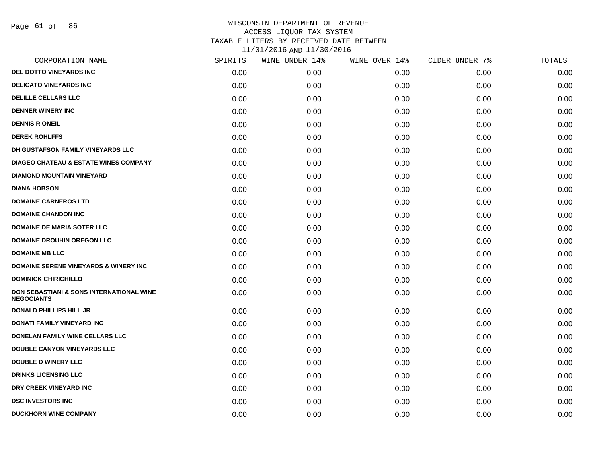Page 61 of 86

| SPIRITS | WINE UNDER 14% | WINE OVER 14% | CIDER UNDER 7% | TOTALS |
|---------|----------------|---------------|----------------|--------|
| 0.00    | 0.00           | 0.00          | 0.00           | 0.00   |
| 0.00    | 0.00           | 0.00          | 0.00           | 0.00   |
| 0.00    | 0.00           | 0.00          | 0.00           | 0.00   |
| 0.00    | 0.00           | 0.00          | 0.00           | 0.00   |
| 0.00    | 0.00           | 0.00          | 0.00           | 0.00   |
| 0.00    | 0.00           | 0.00          | 0.00           | 0.00   |
| 0.00    | 0.00           | 0.00          | 0.00           | 0.00   |
| 0.00    | 0.00           | 0.00          | 0.00           | 0.00   |
| 0.00    | 0.00           | 0.00          | 0.00           | 0.00   |
| 0.00    | 0.00           | 0.00          | 0.00           | 0.00   |
| 0.00    | 0.00           | 0.00          | 0.00           | 0.00   |
| 0.00    | 0.00           | 0.00          | 0.00           | 0.00   |
| 0.00    | 0.00           | 0.00          | 0.00           | 0.00   |
| 0.00    | 0.00           | 0.00          | 0.00           | 0.00   |
| 0.00    | 0.00           | 0.00          | 0.00           | 0.00   |
| 0.00    | 0.00           | 0.00          | 0.00           | 0.00   |
| 0.00    | 0.00           | 0.00          | 0.00           | 0.00   |
| 0.00    | 0.00           | 0.00          | 0.00           | 0.00   |
| 0.00    | 0.00           | 0.00          | 0.00           | 0.00   |
| 0.00    | 0.00           | 0.00          | 0.00           | 0.00   |
| 0.00    | 0.00           | 0.00          | 0.00           | 0.00   |
| 0.00    | 0.00           | 0.00          | 0.00           | 0.00   |
| 0.00    | 0.00           | 0.00          | 0.00           | 0.00   |
| 0.00    | 0.00           | 0.00          | 0.00           | 0.00   |
| 0.00    | 0.00           | 0.00          | 0.00           | 0.00   |
| 0.00    | 0.00           | 0.00          | 0.00           | 0.00   |
| 0.00    | 0.00           | 0.00          | 0.00           | 0.00   |
|         |                |               |                |        |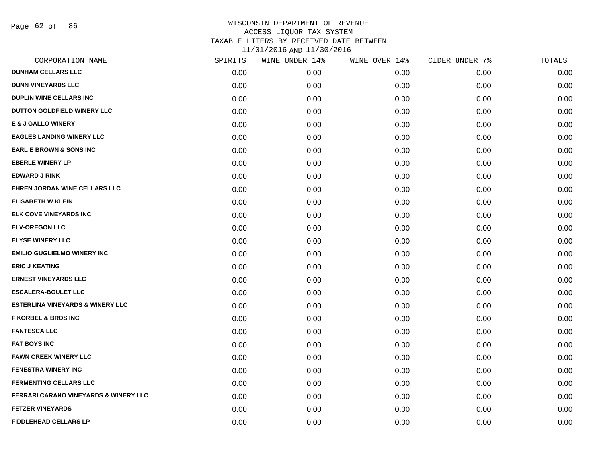Page 62 of 86

| CORPORATION NAME                                 | SPIRITS | WINE UNDER 14% | WINE OVER 14% | CIDER UNDER 7% | TOTALS |
|--------------------------------------------------|---------|----------------|---------------|----------------|--------|
| <b>DUNHAM CELLARS LLC</b>                        | 0.00    | 0.00           | 0.00          | 0.00           | 0.00   |
| <b>DUNN VINEYARDS LLC</b>                        | 0.00    | 0.00           | 0.00          | 0.00           | 0.00   |
| <b>DUPLIN WINE CELLARS INC</b>                   | 0.00    | 0.00           | 0.00          | 0.00           | 0.00   |
| DUTTON GOLDFIELD WINERY LLC                      | 0.00    | 0.00           | 0.00          | 0.00           | 0.00   |
| <b>E &amp; J GALLO WINERY</b>                    | 0.00    | 0.00           | 0.00          | 0.00           | 0.00   |
| <b>EAGLES LANDING WINERY LLC</b>                 | 0.00    | 0.00           | 0.00          | 0.00           | 0.00   |
| <b>EARL E BROWN &amp; SONS INC</b>               | 0.00    | 0.00           | 0.00          | 0.00           | 0.00   |
| <b>EBERLE WINERY LP</b>                          | 0.00    | 0.00           | 0.00          | 0.00           | 0.00   |
| <b>EDWARD J RINK</b>                             | 0.00    | 0.00           | 0.00          | 0.00           | 0.00   |
| <b>EHREN JORDAN WINE CELLARS LLC</b>             | 0.00    | 0.00           | 0.00          | 0.00           | 0.00   |
| <b>ELISABETH W KLEIN</b>                         | 0.00    | 0.00           | 0.00          | 0.00           | 0.00   |
| ELK COVE VINEYARDS INC                           | 0.00    | 0.00           | 0.00          | 0.00           | 0.00   |
| <b>ELV-OREGON LLC</b>                            | 0.00    | 0.00           | 0.00          | 0.00           | 0.00   |
| <b>ELYSE WINERY LLC</b>                          | 0.00    | 0.00           | 0.00          | 0.00           | 0.00   |
| <b>EMILIO GUGLIELMO WINERY INC</b>               | 0.00    | 0.00           | 0.00          | 0.00           | 0.00   |
| <b>ERIC J KEATING</b>                            | 0.00    | 0.00           | 0.00          | 0.00           | 0.00   |
| <b>ERNEST VINEYARDS LLC</b>                      | 0.00    | 0.00           | 0.00          | 0.00           | 0.00   |
| <b>ESCALERA-BOULET LLC</b>                       | 0.00    | 0.00           | 0.00          | 0.00           | 0.00   |
| <b>ESTERLINA VINEYARDS &amp; WINERY LLC</b>      | 0.00    | 0.00           | 0.00          | 0.00           | 0.00   |
| <b>F KORBEL &amp; BROS INC</b>                   | 0.00    | 0.00           | 0.00          | 0.00           | 0.00   |
| <b>FANTESCA LLC</b>                              | 0.00    | 0.00           | 0.00          | 0.00           | 0.00   |
| <b>FAT BOYS INC</b>                              | 0.00    | 0.00           | 0.00          | 0.00           | 0.00   |
| <b>FAWN CREEK WINERY LLC</b>                     | 0.00    | 0.00           | 0.00          | 0.00           | 0.00   |
| <b>FENESTRA WINERY INC</b>                       | 0.00    | 0.00           | 0.00          | 0.00           | 0.00   |
| <b>FERMENTING CELLARS LLC</b>                    | 0.00    | 0.00           | 0.00          | 0.00           | 0.00   |
| <b>FERRARI CARANO VINEYARDS &amp; WINERY LLC</b> | 0.00    | 0.00           | 0.00          | 0.00           | 0.00   |
| <b>FETZER VINEYARDS</b>                          | 0.00    | 0.00           | 0.00          | 0.00           | 0.00   |
| <b>FIDDLEHEAD CELLARS LP</b>                     | 0.00    | 0.00           | 0.00          | 0.00           | 0.00   |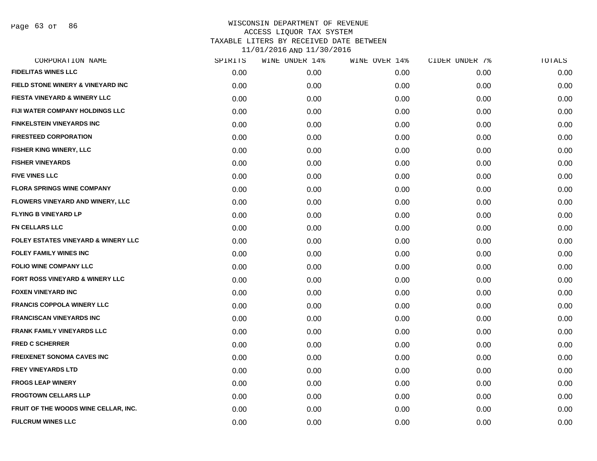Page 63 of 86

| CORPORATION NAME                               | SPIRITS | WINE UNDER 14% | WINE OVER 14% | CIDER UNDER 7% | TOTALS |
|------------------------------------------------|---------|----------------|---------------|----------------|--------|
| <b>FIDELITAS WINES LLC</b>                     | 0.00    | 0.00           | 0.00          | 0.00           | 0.00   |
| <b>FIELD STONE WINERY &amp; VINEYARD INC</b>   | 0.00    | 0.00           | 0.00          | 0.00           | 0.00   |
| <b>FIESTA VINEYARD &amp; WINERY LLC</b>        | 0.00    | 0.00           | 0.00          | 0.00           | 0.00   |
| <b>FIJI WATER COMPANY HOLDINGS LLC</b>         | 0.00    | 0.00           | 0.00          | 0.00           | 0.00   |
| <b>FINKELSTEIN VINEYARDS INC</b>               | 0.00    | 0.00           | 0.00          | 0.00           | 0.00   |
| <b>FIRESTEED CORPORATION</b>                   | 0.00    | 0.00           | 0.00          | 0.00           | 0.00   |
| FISHER KING WINERY, LLC                        | 0.00    | 0.00           | 0.00          | 0.00           | 0.00   |
| <b>FISHER VINEYARDS</b>                        | 0.00    | 0.00           | 0.00          | 0.00           | 0.00   |
| <b>FIVE VINES LLC</b>                          | 0.00    | 0.00           | 0.00          | 0.00           | 0.00   |
| <b>FLORA SPRINGS WINE COMPANY</b>              | 0.00    | 0.00           | 0.00          | 0.00           | 0.00   |
| <b>FLOWERS VINEYARD AND WINERY, LLC</b>        | 0.00    | 0.00           | 0.00          | 0.00           | 0.00   |
| <b>FLYING B VINEYARD LP</b>                    | 0.00    | 0.00           | 0.00          | 0.00           | 0.00   |
| FN CELLARS LLC                                 | 0.00    | 0.00           | 0.00          | 0.00           | 0.00   |
| <b>FOLEY ESTATES VINEYARD &amp; WINERY LLC</b> | 0.00    | 0.00           | 0.00          | 0.00           | 0.00   |
| <b>FOLEY FAMILY WINES INC</b>                  | 0.00    | 0.00           | 0.00          | 0.00           | 0.00   |
| <b>FOLIO WINE COMPANY LLC</b>                  | 0.00    | 0.00           | 0.00          | 0.00           | 0.00   |
| FORT ROSS VINEYARD & WINERY LLC                | 0.00    | 0.00           | 0.00          | 0.00           | 0.00   |
| <b>FOXEN VINEYARD INC</b>                      | 0.00    | 0.00           | 0.00          | 0.00           | 0.00   |
| <b>FRANCIS COPPOLA WINERY LLC</b>              | 0.00    | 0.00           | 0.00          | 0.00           | 0.00   |
| <b>FRANCISCAN VINEYARDS INC</b>                | 0.00    | 0.00           | 0.00          | 0.00           | 0.00   |
| <b>FRANK FAMILY VINEYARDS LLC</b>              | 0.00    | 0.00           | 0.00          | 0.00           | 0.00   |
| <b>FRED C SCHERRER</b>                         | 0.00    | 0.00           | 0.00          | 0.00           | 0.00   |
| <b>FREIXENET SONOMA CAVES INC</b>              | 0.00    | 0.00           | 0.00          | 0.00           | 0.00   |
| <b>FREY VINEYARDS LTD</b>                      | 0.00    | 0.00           | 0.00          | 0.00           | 0.00   |
| <b>FROGS LEAP WINERY</b>                       | 0.00    | 0.00           | 0.00          | 0.00           | 0.00   |
| <b>FROGTOWN CELLARS LLP</b>                    | 0.00    | 0.00           | 0.00          | 0.00           | 0.00   |
| FRUIT OF THE WOODS WINE CELLAR, INC.           | 0.00    | 0.00           | 0.00          | 0.00           | 0.00   |
| <b>FULCRUM WINES LLC</b>                       | 0.00    | 0.00           | 0.00          | 0.00           | 0.00   |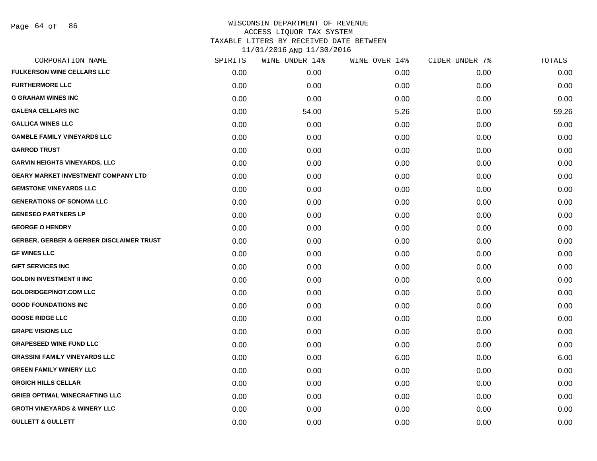| CORPORATION NAME                                    | SPIRITS | WINE UNDER 14% | WINE OVER 14% | CIDER UNDER 7% | TOTALS |
|-----------------------------------------------------|---------|----------------|---------------|----------------|--------|
| <b>FULKERSON WINE CELLARS LLC</b>                   | 0.00    | 0.00           | 0.00          | 0.00           | 0.00   |
| <b>FURTHERMORE LLC</b>                              | 0.00    | 0.00           | 0.00          | 0.00           | 0.00   |
| <b>G GRAHAM WINES INC</b>                           | 0.00    | 0.00           | 0.00          | 0.00           | 0.00   |
| <b>GALENA CELLARS INC</b>                           | 0.00    | 54.00          | 5.26          | 0.00           | 59.26  |
| <b>GALLICA WINES LLC</b>                            | 0.00    | 0.00           | 0.00          | 0.00           | 0.00   |
| <b>GAMBLE FAMILY VINEYARDS LLC</b>                  | 0.00    | 0.00           | 0.00          | 0.00           | 0.00   |
| <b>GARROD TRUST</b>                                 | 0.00    | 0.00           | 0.00          | 0.00           | 0.00   |
| <b>GARVIN HEIGHTS VINEYARDS, LLC</b>                | 0.00    | 0.00           | 0.00          | 0.00           | 0.00   |
| <b>GEARY MARKET INVESTMENT COMPANY LTD</b>          | 0.00    | 0.00           | 0.00          | 0.00           | 0.00   |
| <b>GEMSTONE VINEYARDS LLC</b>                       | 0.00    | 0.00           | 0.00          | 0.00           | 0.00   |
| <b>GENERATIONS OF SONOMA LLC</b>                    | 0.00    | 0.00           | 0.00          | 0.00           | 0.00   |
| <b>GENESEO PARTNERS LP</b>                          | 0.00    | 0.00           | 0.00          | 0.00           | 0.00   |
| <b>GEORGE O HENDRY</b>                              | 0.00    | 0.00           | 0.00          | 0.00           | 0.00   |
| <b>GERBER, GERBER &amp; GERBER DISCLAIMER TRUST</b> | 0.00    | 0.00           | 0.00          | 0.00           | 0.00   |
| <b>GF WINES LLC</b>                                 | 0.00    | 0.00           | 0.00          | 0.00           | 0.00   |
| <b>GIFT SERVICES INC</b>                            | 0.00    | 0.00           | 0.00          | 0.00           | 0.00   |
| <b>GOLDIN INVESTMENT II INC</b>                     | 0.00    | 0.00           | 0.00          | 0.00           | 0.00   |
| <b>GOLDRIDGEPINOT.COM LLC</b>                       | 0.00    | 0.00           | 0.00          | 0.00           | 0.00   |
| <b>GOOD FOUNDATIONS INC</b>                         | 0.00    | 0.00           | 0.00          | 0.00           | 0.00   |
| <b>GOOSE RIDGE LLC</b>                              | 0.00    | 0.00           | 0.00          | 0.00           | 0.00   |
| <b>GRAPE VISIONS LLC</b>                            | 0.00    | 0.00           | 0.00          | 0.00           | 0.00   |
| <b>GRAPESEED WINE FUND LLC</b>                      | 0.00    | 0.00           | 0.00          | 0.00           | 0.00   |
| <b>GRASSINI FAMILY VINEYARDS LLC</b>                | 0.00    | 0.00           | 6.00          | 0.00           | 6.00   |
| <b>GREEN FAMILY WINERY LLC</b>                      | 0.00    | 0.00           | 0.00          | 0.00           | 0.00   |
| <b>GRGICH HILLS CELLAR</b>                          | 0.00    | 0.00           | 0.00          | 0.00           | 0.00   |
| <b>GRIEB OPTIMAL WINECRAFTING LLC</b>               | 0.00    | 0.00           | 0.00          | 0.00           | 0.00   |
| <b>GROTH VINEYARDS &amp; WINERY LLC</b>             | 0.00    | 0.00           | 0.00          | 0.00           | 0.00   |
| <b>GULLETT &amp; GULLETT</b>                        | 0.00    | 0.00           | 0.00          | 0.00           | 0.00   |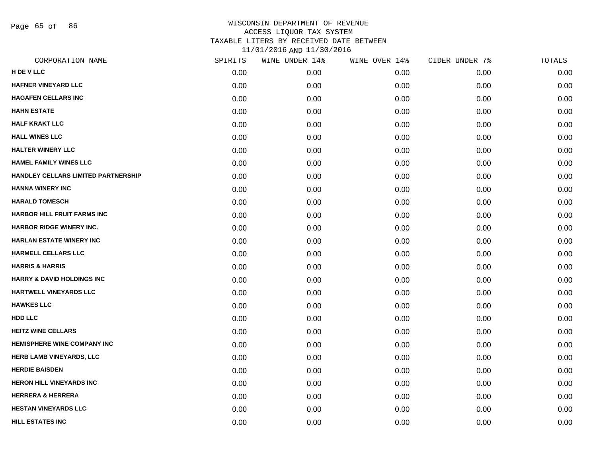Page 65 of 86

| CORPORATION NAME                      | SPIRITS | WINE UNDER 14% | WINE OVER 14% | CIDER UNDER 7% | TOTALS |
|---------------------------------------|---------|----------------|---------------|----------------|--------|
| H DE V LLC                            | 0.00    | 0.00           | 0.00          | 0.00           | 0.00   |
| <b>HAFNER VINEYARD LLC</b>            | 0.00    | 0.00           | 0.00          | 0.00           | 0.00   |
| <b>HAGAFEN CELLARS INC</b>            | 0.00    | 0.00           | 0.00          | 0.00           | 0.00   |
| <b>HAHN ESTATE</b>                    | 0.00    | 0.00           | 0.00          | 0.00           | 0.00   |
| <b>HALF KRAKT LLC</b>                 | 0.00    | 0.00           | 0.00          | 0.00           | 0.00   |
| <b>HALL WINES LLC</b>                 | 0.00    | 0.00           | 0.00          | 0.00           | 0.00   |
| <b>HALTER WINERY LLC</b>              | 0.00    | 0.00           | 0.00          | 0.00           | 0.00   |
| <b>HAMEL FAMILY WINES LLC</b>         | 0.00    | 0.00           | 0.00          | 0.00           | 0.00   |
| HANDLEY CELLARS LIMITED PARTNERSHIP   | 0.00    | 0.00           | 0.00          | 0.00           | 0.00   |
| <b>HANNA WINERY INC</b>               | 0.00    | 0.00           | 0.00          | 0.00           | 0.00   |
| <b>HARALD TOMESCH</b>                 | 0.00    | 0.00           | 0.00          | 0.00           | 0.00   |
| <b>HARBOR HILL FRUIT FARMS INC</b>    | 0.00    | 0.00           | 0.00          | 0.00           | 0.00   |
| <b>HARBOR RIDGE WINERY INC.</b>       | 0.00    | 0.00           | 0.00          | 0.00           | 0.00   |
| <b>HARLAN ESTATE WINERY INC</b>       | 0.00    | 0.00           | 0.00          | 0.00           | 0.00   |
| <b>HARMELL CELLARS LLC</b>            | 0.00    | 0.00           | 0.00          | 0.00           | 0.00   |
| <b>HARRIS &amp; HARRIS</b>            | 0.00    | 0.00           | 0.00          | 0.00           | 0.00   |
| <b>HARRY &amp; DAVID HOLDINGS INC</b> | 0.00    | 0.00           | 0.00          | 0.00           | 0.00   |
| HARTWELL VINEYARDS LLC                | 0.00    | 0.00           | 0.00          | 0.00           | 0.00   |
| <b>HAWKES LLC</b>                     | 0.00    | 0.00           | 0.00          | 0.00           | 0.00   |
| <b>HDD LLC</b>                        | 0.00    | 0.00           | 0.00          | 0.00           | 0.00   |
| <b>HEITZ WINE CELLARS</b>             | 0.00    | 0.00           | 0.00          | 0.00           | 0.00   |
| HEMISPHERE WINE COMPANY INC           | 0.00    | 0.00           | 0.00          | 0.00           | 0.00   |
| <b>HERB LAMB VINEYARDS, LLC</b>       | 0.00    | 0.00           | 0.00          | 0.00           | 0.00   |
| <b>HERDIE BAISDEN</b>                 | 0.00    | 0.00           | 0.00          | 0.00           | 0.00   |
| <b>HERON HILL VINEYARDS INC</b>       | 0.00    | 0.00           | 0.00          | 0.00           | 0.00   |
| <b>HERRERA &amp; HERRERA</b>          | 0.00    | 0.00           | 0.00          | 0.00           | 0.00   |
| <b>HESTAN VINEYARDS LLC</b>           | 0.00    | 0.00           | 0.00          | 0.00           | 0.00   |
| <b>HILL ESTATES INC</b>               | 0.00    | 0.00           | 0.00          | 0.00           | 0.00   |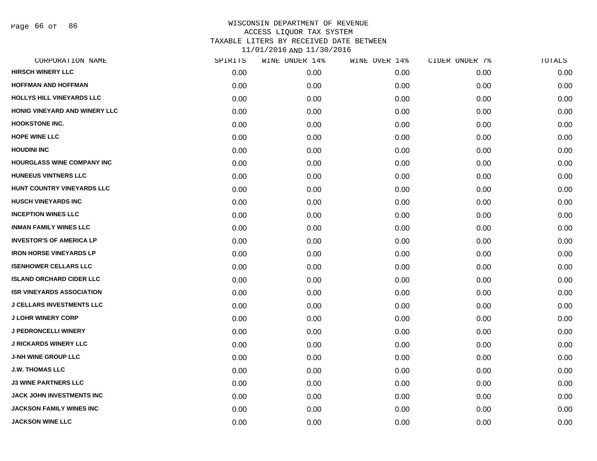Page 66 of 86

| SPIRITS | WINE UNDER 14% | WINE OVER 14% | CIDER UNDER 7% | TOTALS |
|---------|----------------|---------------|----------------|--------|
| 0.00    | 0.00           | 0.00          | 0.00           | 0.00   |
| 0.00    | 0.00           | 0.00          | 0.00           | 0.00   |
| 0.00    | 0.00           | 0.00          | 0.00           | 0.00   |
| 0.00    | 0.00           | 0.00          | 0.00           | 0.00   |
| 0.00    | 0.00           | 0.00          | 0.00           | 0.00   |
| 0.00    | 0.00           | 0.00          | 0.00           | 0.00   |
| 0.00    | 0.00           | 0.00          | 0.00           | 0.00   |
| 0.00    | 0.00           | 0.00          | 0.00           | 0.00   |
| 0.00    | 0.00           | 0.00          | 0.00           | 0.00   |
| 0.00    | 0.00           | 0.00          | 0.00           | 0.00   |
| 0.00    | 0.00           | 0.00          | 0.00           | 0.00   |
| 0.00    | 0.00           | 0.00          | 0.00           | 0.00   |
| 0.00    | 0.00           | 0.00          | 0.00           | 0.00   |
| 0.00    | 0.00           | 0.00          | 0.00           | 0.00   |
| 0.00    | 0.00           | 0.00          | 0.00           | 0.00   |
| 0.00    | 0.00           | 0.00          | 0.00           | 0.00   |
| 0.00    | 0.00           | 0.00          | 0.00           | 0.00   |
| 0.00    | 0.00           | 0.00          | 0.00           | 0.00   |
| 0.00    | 0.00           | 0.00          | 0.00           | 0.00   |
| 0.00    | 0.00           | 0.00          | 0.00           | 0.00   |
| 0.00    | 0.00           | 0.00          | 0.00           | 0.00   |
| 0.00    | 0.00           | 0.00          | 0.00           | 0.00   |
| 0.00    | 0.00           | 0.00          | 0.00           | 0.00   |
| 0.00    | 0.00           | 0.00          | 0.00           | 0.00   |
| 0.00    | 0.00           | 0.00          | 0.00           | 0.00   |
| 0.00    | 0.00           | 0.00          | 0.00           | 0.00   |
| 0.00    | 0.00           | 0.00          | 0.00           | 0.00   |
| 0.00    | 0.00           | 0.00          | 0.00           | 0.00   |
|         |                |               |                |        |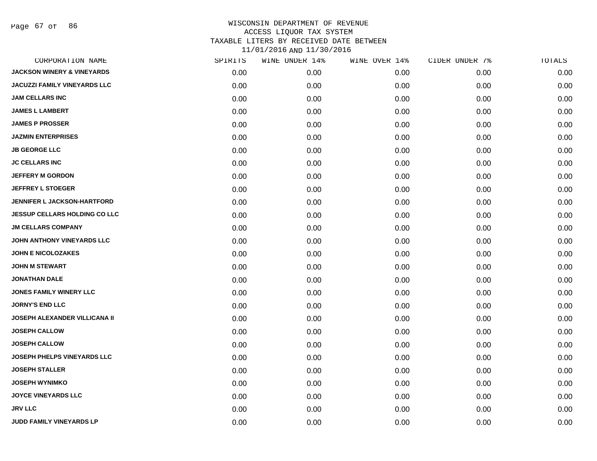Page 67 of 86

| CORPORATION NAME                      | SPIRITS | WINE UNDER 14% | WINE OVER 14% | CIDER UNDER 7% | $\mathtt{TOTALS}$ |
|---------------------------------------|---------|----------------|---------------|----------------|-------------------|
| <b>JACKSON WINERY &amp; VINEYARDS</b> | 0.00    | 0.00           | 0.00          | 0.00           | 0.00              |
| <b>JACUZZI FAMILY VINEYARDS LLC</b>   | 0.00    | 0.00           | 0.00          | 0.00           | 0.00              |
| <b>JAM CELLARS INC</b>                | 0.00    | 0.00           | 0.00          | 0.00           | 0.00              |
| <b>JAMES L LAMBERT</b>                | 0.00    | 0.00           | 0.00          | 0.00           | 0.00              |
| <b>JAMES P PROSSER</b>                | 0.00    | 0.00           | 0.00          | 0.00           | 0.00              |
| <b>JAZMIN ENTERPRISES</b>             | 0.00    | 0.00           | 0.00          | 0.00           | 0.00              |
| <b>JB GEORGE LLC</b>                  | 0.00    | 0.00           | 0.00          | 0.00           | 0.00              |
| <b>JC CELLARS INC</b>                 | 0.00    | 0.00           | 0.00          | 0.00           | 0.00              |
| <b>JEFFERY M GORDON</b>               | 0.00    | 0.00           | 0.00          | 0.00           | 0.00              |
| <b>JEFFREY L STOEGER</b>              | 0.00    | 0.00           | 0.00          | 0.00           | 0.00              |
| JENNIFER L JACKSON-HARTFORD           | 0.00    | 0.00           | 0.00          | 0.00           | 0.00              |
| <b>JESSUP CELLARS HOLDING CO LLC</b>  | 0.00    | 0.00           | 0.00          | 0.00           | 0.00              |
| <b>JM CELLARS COMPANY</b>             | 0.00    | 0.00           | 0.00          | 0.00           | 0.00              |
| JOHN ANTHONY VINEYARDS LLC            | 0.00    | 0.00           | 0.00          | 0.00           | 0.00              |
| <b>JOHN E NICOLOZAKES</b>             | 0.00    | 0.00           | 0.00          | 0.00           | 0.00              |
| <b>JOHN M STEWART</b>                 | 0.00    | 0.00           | 0.00          | 0.00           | 0.00              |
| <b>JONATHAN DALE</b>                  | 0.00    | 0.00           | 0.00          | 0.00           | 0.00              |
| <b>JONES FAMILY WINERY LLC</b>        | 0.00    | 0.00           | 0.00          | 0.00           | 0.00              |
| <b>JORNY'S END LLC</b>                | 0.00    | 0.00           | 0.00          | 0.00           | 0.00              |
| <b>JOSEPH ALEXANDER VILLICANA II</b>  | 0.00    | 0.00           | 0.00          | 0.00           | 0.00              |
| <b>JOSEPH CALLOW</b>                  | 0.00    | 0.00           | 0.00          | 0.00           | 0.00              |
| <b>JOSEPH CALLOW</b>                  | 0.00    | 0.00           | 0.00          | 0.00           | 0.00              |
| <b>JOSEPH PHELPS VINEYARDS LLC</b>    | 0.00    | 0.00           | 0.00          | 0.00           | 0.00              |
| <b>JOSEPH STALLER</b>                 | 0.00    | 0.00           | 0.00          | 0.00           | 0.00              |
| <b>JOSEPH WYNIMKO</b>                 | 0.00    | 0.00           | 0.00          | 0.00           | 0.00              |
| <b>JOYCE VINEYARDS LLC</b>            | 0.00    | 0.00           | 0.00          | 0.00           | 0.00              |
| <b>JRV LLC</b>                        | 0.00    | 0.00           | 0.00          | 0.00           | 0.00              |
| JUDD FAMILY VINEYARDS LP              | 0.00    | 0.00           | 0.00          | 0.00           | 0.00              |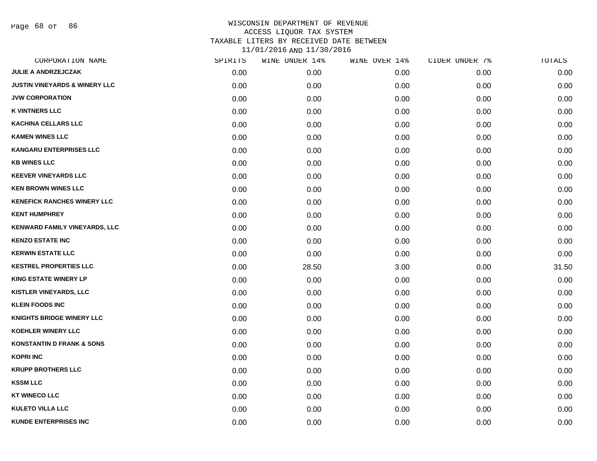Page 68 of 86

| CORPORATION NAME                         | SPIRITS | WINE UNDER 14% | WINE OVER 14% | CIDER UNDER 7% | TOTALS |
|------------------------------------------|---------|----------------|---------------|----------------|--------|
| <b>JULIE A ANDRZEJCZAK</b>               | 0.00    | 0.00           | 0.00          | 0.00           | 0.00   |
| <b>JUSTIN VINEYARDS &amp; WINERY LLC</b> | 0.00    | 0.00           | 0.00          | 0.00           | 0.00   |
| <b>JVW CORPORATION</b>                   | 0.00    | 0.00           | 0.00          | 0.00           | 0.00   |
| <b>K VINTNERS LLC</b>                    | 0.00    | 0.00           | 0.00          | 0.00           | 0.00   |
| <b>KACHINA CELLARS LLC</b>               | 0.00    | 0.00           | 0.00          | 0.00           | 0.00   |
| <b>KAMEN WINES LLC</b>                   | 0.00    | 0.00           | 0.00          | 0.00           | 0.00   |
| <b>KANGARU ENTERPRISES LLC</b>           | 0.00    | 0.00           | 0.00          | 0.00           | 0.00   |
| <b>KB WINES LLC</b>                      | 0.00    | 0.00           | 0.00          | 0.00           | 0.00   |
| <b>KEEVER VINEYARDS LLC</b>              | 0.00    | 0.00           | 0.00          | 0.00           | 0.00   |
| <b>KEN BROWN WINES LLC</b>               | 0.00    | 0.00           | 0.00          | 0.00           | 0.00   |
| <b>KENEFICK RANCHES WINERY LLC</b>       | 0.00    | 0.00           | 0.00          | 0.00           | 0.00   |
| <b>KENT HUMPHREY</b>                     | 0.00    | 0.00           | 0.00          | 0.00           | 0.00   |
| KENWARD FAMILY VINEYARDS, LLC            | 0.00    | 0.00           | 0.00          | 0.00           | 0.00   |
| <b>KENZO ESTATE INC</b>                  | 0.00    | 0.00           | 0.00          | 0.00           | 0.00   |
| <b>KERWIN ESTATE LLC</b>                 | 0.00    | 0.00           | 0.00          | 0.00           | 0.00   |
| <b>KESTREL PROPERTIES LLC</b>            | 0.00    | 28.50          | 3.00          | 0.00           | 31.50  |
| <b>KING ESTATE WINERY LP</b>             | 0.00    | 0.00           | 0.00          | 0.00           | 0.00   |
| <b>KISTLER VINEYARDS, LLC</b>            | 0.00    | 0.00           | 0.00          | 0.00           | 0.00   |
| <b>KLEIN FOODS INC</b>                   | 0.00    | 0.00           | 0.00          | 0.00           | 0.00   |
| <b>KNIGHTS BRIDGE WINERY LLC</b>         | 0.00    | 0.00           | 0.00          | 0.00           | 0.00   |
| <b>KOEHLER WINERY LLC</b>                | 0.00    | 0.00           | 0.00          | 0.00           | 0.00   |
| <b>KONSTANTIN D FRANK &amp; SONS</b>     | 0.00    | 0.00           | 0.00          | 0.00           | 0.00   |
| <b>KOPRI INC</b>                         | 0.00    | 0.00           | 0.00          | 0.00           | 0.00   |
| <b>KRUPP BROTHERS LLC</b>                | 0.00    | 0.00           | 0.00          | 0.00           | 0.00   |
| <b>KSSM LLC</b>                          | 0.00    | 0.00           | 0.00          | 0.00           | 0.00   |
| <b>KT WINECO LLC</b>                     | 0.00    | 0.00           | 0.00          | 0.00           | 0.00   |
| <b>KULETO VILLA LLC</b>                  | 0.00    | 0.00           | 0.00          | 0.00           | 0.00   |
| <b>KUNDE ENTERPRISES INC</b>             | 0.00    | 0.00           | 0.00          | 0.00           | 0.00   |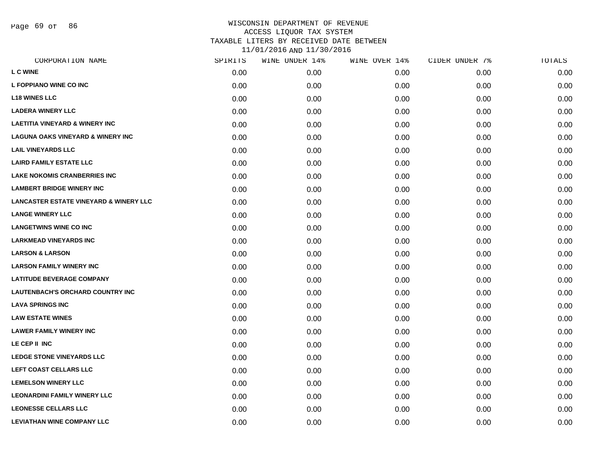Page 69 of 86

| CORPORATION NAME                                  | SPIRITS | WINE UNDER 14% | WINE OVER 14% | CIDER UNDER 7% | TOTALS |
|---------------------------------------------------|---------|----------------|---------------|----------------|--------|
| <b>L C WINE</b>                                   | 0.00    | 0.00           | 0.00          | 0.00           | 0.00   |
| <b>L FOPPIANO WINE CO INC</b>                     | 0.00    | 0.00           | 0.00          | 0.00           | 0.00   |
| <b>L18 WINES LLC</b>                              | 0.00    | 0.00           | 0.00          | 0.00           | 0.00   |
| <b>LADERA WINERY LLC</b>                          | 0.00    | 0.00           | 0.00          | 0.00           | 0.00   |
| <b>LAETITIA VINEYARD &amp; WINERY INC</b>         | 0.00    | 0.00           | 0.00          | 0.00           | 0.00   |
| <b>LAGUNA OAKS VINEYARD &amp; WINERY INC</b>      | 0.00    | 0.00           | 0.00          | 0.00           | 0.00   |
| <b>LAIL VINEYARDS LLC</b>                         | 0.00    | 0.00           | 0.00          | 0.00           | 0.00   |
| <b>LAIRD FAMILY ESTATE LLC</b>                    | 0.00    | 0.00           | 0.00          | 0.00           | 0.00   |
| <b>LAKE NOKOMIS CRANBERRIES INC</b>               | 0.00    | 0.00           | 0.00          | 0.00           | 0.00   |
| <b>LAMBERT BRIDGE WINERY INC</b>                  | 0.00    | 0.00           | 0.00          | 0.00           | 0.00   |
| <b>LANCASTER ESTATE VINEYARD &amp; WINERY LLC</b> | 0.00    | 0.00           | 0.00          | 0.00           | 0.00   |
| <b>LANGE WINERY LLC</b>                           | 0.00    | 0.00           | 0.00          | 0.00           | 0.00   |
| <b>LANGETWINS WINE CO INC</b>                     | 0.00    | 0.00           | 0.00          | 0.00           | 0.00   |
| <b>LARKMEAD VINEYARDS INC</b>                     | 0.00    | 0.00           | 0.00          | 0.00           | 0.00   |
| <b>LARSON &amp; LARSON</b>                        | 0.00    | 0.00           | 0.00          | 0.00           | 0.00   |
| <b>LARSON FAMILY WINERY INC</b>                   | 0.00    | 0.00           | 0.00          | 0.00           | 0.00   |
| <b>LATITUDE BEVERAGE COMPANY</b>                  | 0.00    | 0.00           | 0.00          | 0.00           | 0.00   |
| <b>LAUTENBACH'S ORCHARD COUNTRY INC</b>           | 0.00    | 0.00           | 0.00          | 0.00           | 0.00   |
| <b>LAVA SPRINGS INC</b>                           | 0.00    | 0.00           | 0.00          | 0.00           | 0.00   |
| <b>LAW ESTATE WINES</b>                           | 0.00    | 0.00           | 0.00          | 0.00           | 0.00   |
| <b>LAWER FAMILY WINERY INC</b>                    | 0.00    | 0.00           | 0.00          | 0.00           | 0.00   |
| LE CEP II INC                                     | 0.00    | 0.00           | 0.00          | 0.00           | 0.00   |
| <b>LEDGE STONE VINEYARDS LLC</b>                  | 0.00    | 0.00           | 0.00          | 0.00           | 0.00   |
| LEFT COAST CELLARS LLC                            | 0.00    | 0.00           | 0.00          | 0.00           | 0.00   |
| <b>LEMELSON WINERY LLC</b>                        | 0.00    | 0.00           | 0.00          | 0.00           | 0.00   |
| <b>LEONARDINI FAMILY WINERY LLC</b>               | 0.00    | 0.00           | 0.00          | 0.00           | 0.00   |
| <b>LEONESSE CELLARS LLC</b>                       | 0.00    | 0.00           | 0.00          | 0.00           | 0.00   |
| <b>LEVIATHAN WINE COMPANY LLC</b>                 | 0.00    | 0.00           | 0.00          | 0.00           | 0.00   |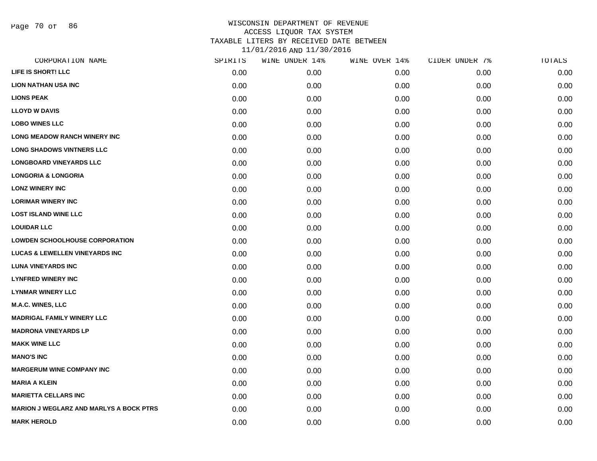Page 70 of 86

| SPIRITS | WINE UNDER 14% | WINE OVER 14% | CIDER UNDER 7% | TOTALS |
|---------|----------------|---------------|----------------|--------|
| 0.00    | 0.00           | 0.00          | 0.00           | 0.00   |
| 0.00    | 0.00           | 0.00          | 0.00           | 0.00   |
| 0.00    | 0.00           | 0.00          | 0.00           | 0.00   |
| 0.00    | 0.00           | 0.00          | 0.00           | 0.00   |
| 0.00    | 0.00           | 0.00          | 0.00           | 0.00   |
| 0.00    | 0.00           | 0.00          | 0.00           | 0.00   |
| 0.00    | 0.00           | 0.00          | 0.00           | 0.00   |
| 0.00    | 0.00           | 0.00          | 0.00           | 0.00   |
| 0.00    | 0.00           | 0.00          | 0.00           | 0.00   |
| 0.00    | 0.00           | 0.00          | 0.00           | 0.00   |
| 0.00    | 0.00           | 0.00          | 0.00           | 0.00   |
| 0.00    | 0.00           | 0.00          | 0.00           | 0.00   |
| 0.00    | 0.00           | 0.00          | 0.00           | 0.00   |
| 0.00    | 0.00           | 0.00          | 0.00           | 0.00   |
| 0.00    | 0.00           | 0.00          | 0.00           | 0.00   |
| 0.00    | 0.00           | 0.00          | 0.00           | 0.00   |
| 0.00    | 0.00           | 0.00          | 0.00           | 0.00   |
| 0.00    | 0.00           | 0.00          | 0.00           | 0.00   |
| 0.00    | 0.00           | 0.00          | 0.00           | 0.00   |
| 0.00    | 0.00           | 0.00          | 0.00           | 0.00   |
| 0.00    | 0.00           | 0.00          | 0.00           | 0.00   |
| 0.00    | 0.00           | 0.00          | 0.00           | 0.00   |
| 0.00    | 0.00           | 0.00          | 0.00           | 0.00   |
| 0.00    | 0.00           | 0.00          | 0.00           | 0.00   |
| 0.00    | 0.00           | 0.00          | 0.00           | 0.00   |
| 0.00    | 0.00           | 0.00          | 0.00           | 0.00   |
| 0.00    | 0.00           | 0.00          | 0.00           | 0.00   |
| 0.00    | 0.00           | 0.00          | 0.00           | 0.00   |
|         |                |               |                |        |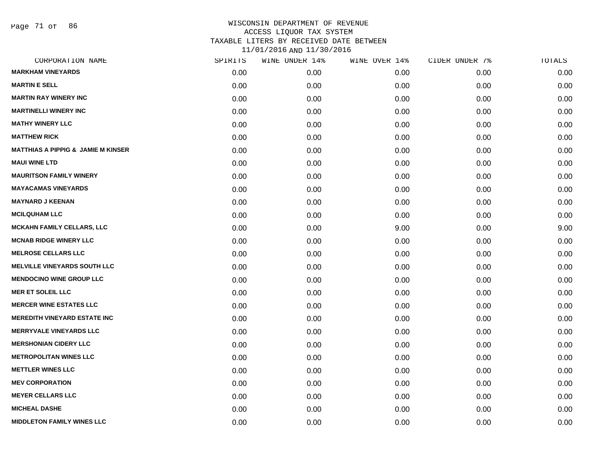Page 71 of 86

| CORPORATION NAME                              | SPIRITS | WINE UNDER 14% | WINE OVER 14% | CIDER UNDER 7% | TOTALS |
|-----------------------------------------------|---------|----------------|---------------|----------------|--------|
| <b>MARKHAM VINEYARDS</b>                      | 0.00    | 0.00           | 0.00          | 0.00           | 0.00   |
| <b>MARTIN E SELL</b>                          | 0.00    | 0.00           | 0.00          | 0.00           | 0.00   |
| <b>MARTIN RAY WINERY INC</b>                  | 0.00    | 0.00           | 0.00          | 0.00           | 0.00   |
| <b>MARTINELLI WINERY INC</b>                  | 0.00    | 0.00           | 0.00          | 0.00           | 0.00   |
| <b>MATHY WINERY LLC</b>                       | 0.00    | 0.00           | 0.00          | 0.00           | 0.00   |
| <b>MATTHEW RICK</b>                           | 0.00    | 0.00           | 0.00          | 0.00           | 0.00   |
| <b>MATTHIAS A PIPPIG &amp; JAMIE M KINSER</b> | 0.00    | 0.00           | 0.00          | 0.00           | 0.00   |
| <b>MAUI WINE LTD</b>                          | 0.00    | 0.00           | 0.00          | 0.00           | 0.00   |
| <b>MAURITSON FAMILY WINERY</b>                | 0.00    | 0.00           | 0.00          | 0.00           | 0.00   |
| <b>MAYACAMAS VINEYARDS</b>                    | 0.00    | 0.00           | 0.00          | 0.00           | 0.00   |
| <b>MAYNARD J KEENAN</b>                       | 0.00    | 0.00           | 0.00          | 0.00           | 0.00   |
| <b>MCILQUHAM LLC</b>                          | 0.00    | 0.00           | 0.00          | 0.00           | 0.00   |
| <b>MCKAHN FAMILY CELLARS, LLC</b>             | 0.00    | 0.00           | 9.00          | 0.00           | 9.00   |
| <b>MCNAB RIDGE WINERY LLC</b>                 | 0.00    | 0.00           | 0.00          | 0.00           | 0.00   |
| <b>MELROSE CELLARS LLC</b>                    | 0.00    | 0.00           | 0.00          | 0.00           | 0.00   |
| <b>MELVILLE VINEYARDS SOUTH LLC</b>           | 0.00    | 0.00           | 0.00          | 0.00           | 0.00   |
| <b>MENDOCINO WINE GROUP LLC</b>               | 0.00    | 0.00           | 0.00          | 0.00           | 0.00   |
| <b>MER ET SOLEIL LLC</b>                      | 0.00    | 0.00           | 0.00          | 0.00           | 0.00   |
| <b>MERCER WINE ESTATES LLC</b>                | 0.00    | 0.00           | 0.00          | 0.00           | 0.00   |
| <b>MEREDITH VINEYARD ESTATE INC</b>           | 0.00    | 0.00           | 0.00          | 0.00           | 0.00   |
| <b>MERRYVALE VINEYARDS LLC</b>                | 0.00    | 0.00           | 0.00          | 0.00           | 0.00   |
| <b>MERSHONIAN CIDERY LLC</b>                  | 0.00    | 0.00           | 0.00          | 0.00           | 0.00   |
| <b>METROPOLITAN WINES LLC</b>                 | 0.00    | 0.00           | 0.00          | 0.00           | 0.00   |
| <b>METTLER WINES LLC</b>                      | 0.00    | 0.00           | 0.00          | 0.00           | 0.00   |
| <b>MEV CORPORATION</b>                        | 0.00    | 0.00           | 0.00          | 0.00           | 0.00   |
| <b>MEYER CELLARS LLC</b>                      | 0.00    | 0.00           | 0.00          | 0.00           | 0.00   |
| <b>MICHEAL DASHE</b>                          | 0.00    | 0.00           | 0.00          | 0.00           | 0.00   |
| <b>MIDDLETON FAMILY WINES LLC</b>             | 0.00    | 0.00           | 0.00          | 0.00           | 0.00   |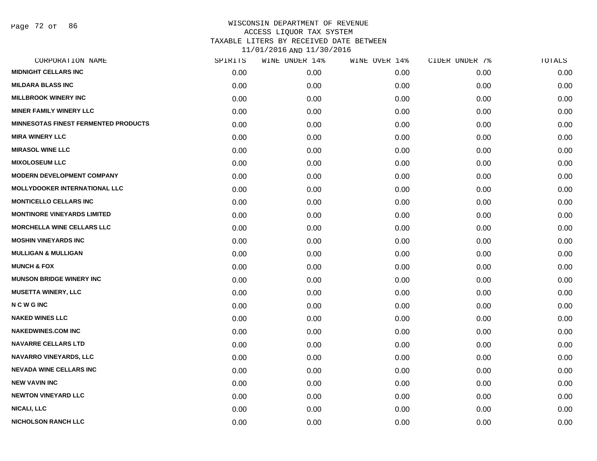| CORPORATION NAME                            | SPIRITS | WINE UNDER 14% | WINE OVER 14% | CIDER UNDER 7% | TOTALS |
|---------------------------------------------|---------|----------------|---------------|----------------|--------|
| <b>MIDNIGHT CELLARS INC</b>                 | 0.00    | 0.00           | 0.00          | 0.00           | 0.00   |
| <b>MILDARA BLASS INC</b>                    | 0.00    | 0.00           | 0.00          | 0.00           | 0.00   |
| <b>MILLBROOK WINERY INC</b>                 | 0.00    | 0.00           | 0.00          | 0.00           | 0.00   |
| <b>MINER FAMILY WINERY LLC</b>              | 0.00    | 0.00           | 0.00          | 0.00           | 0.00   |
| <b>MINNESOTAS FINEST FERMENTED PRODUCTS</b> | 0.00    | 0.00           | 0.00          | 0.00           | 0.00   |
| <b>MIRA WINERY LLC</b>                      | 0.00    | 0.00           | 0.00          | 0.00           | 0.00   |
| <b>MIRASOL WINE LLC</b>                     | 0.00    | 0.00           | 0.00          | 0.00           | 0.00   |
| <b>MIXOLOSEUM LLC</b>                       | 0.00    | 0.00           | 0.00          | 0.00           | 0.00   |
| <b>MODERN DEVELOPMENT COMPANY</b>           | 0.00    | 0.00           | 0.00          | 0.00           | 0.00   |
| MOLLYDOOKER INTERNATIONAL LLC               | 0.00    | 0.00           | 0.00          | 0.00           | 0.00   |
| <b>MONTICELLO CELLARS INC</b>               | 0.00    | 0.00           | 0.00          | 0.00           | 0.00   |
| <b>MONTINORE VINEYARDS LIMITED</b>          | 0.00    | 0.00           | 0.00          | 0.00           | 0.00   |
| <b>MORCHELLA WINE CELLARS LLC</b>           | 0.00    | 0.00           | 0.00          | 0.00           | 0.00   |
| <b>MOSHIN VINEYARDS INC</b>                 | 0.00    | 0.00           | 0.00          | 0.00           | 0.00   |
| <b>MULLIGAN &amp; MULLIGAN</b>              | 0.00    | 0.00           | 0.00          | 0.00           | 0.00   |
| <b>MUNCH &amp; FOX</b>                      | 0.00    | 0.00           | 0.00          | 0.00           | 0.00   |
| <b>MUNSON BRIDGE WINERY INC</b>             | 0.00    | 0.00           | 0.00          | 0.00           | 0.00   |
| <b>MUSETTA WINERY, LLC</b>                  | 0.00    | 0.00           | 0.00          | 0.00           | 0.00   |
| <b>NCWGINC</b>                              | 0.00    | 0.00           | 0.00          | 0.00           | 0.00   |
| <b>NAKED WINES LLC</b>                      | 0.00    | 0.00           | 0.00          | 0.00           | 0.00   |
| <b>NAKEDWINES.COM INC</b>                   | 0.00    | 0.00           | 0.00          | 0.00           | 0.00   |
| <b>NAVARRE CELLARS LTD</b>                  | 0.00    | 0.00           | 0.00          | 0.00           | 0.00   |
| <b>NAVARRO VINEYARDS, LLC</b>               | 0.00    | 0.00           | 0.00          | 0.00           | 0.00   |
| <b>NEVADA WINE CELLARS INC</b>              | 0.00    | 0.00           | 0.00          | 0.00           | 0.00   |
| <b>NEW VAVIN INC</b>                        | 0.00    | 0.00           | 0.00          | 0.00           | 0.00   |
| <b>NEWTON VINEYARD LLC</b>                  | 0.00    | 0.00           | 0.00          | 0.00           | 0.00   |
| <b>NICALI, LLC</b>                          | 0.00    | 0.00           | 0.00          | 0.00           | 0.00   |
| <b>NICHOLSON RANCH LLC</b>                  | 0.00    | 0.00           | 0.00          | 0.00           | 0.00   |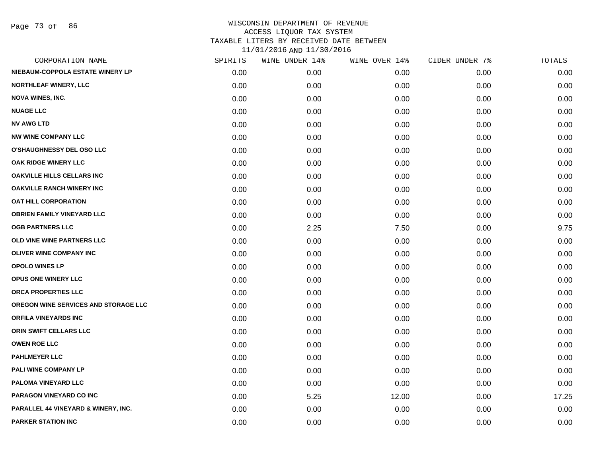Page 73 of 86

|      | WINE UNDER 14% | WINE OVER 14% |      | TOTALS         |
|------|----------------|---------------|------|----------------|
| 0.00 | 0.00           | 0.00          | 0.00 | 0.00           |
| 0.00 | 0.00           | 0.00          | 0.00 | 0.00           |
| 0.00 | 0.00           | 0.00          | 0.00 | 0.00           |
| 0.00 | 0.00           | 0.00          | 0.00 | 0.00           |
| 0.00 | 0.00           | 0.00          | 0.00 | 0.00           |
| 0.00 | 0.00           | 0.00          | 0.00 | 0.00           |
| 0.00 | 0.00           | 0.00          | 0.00 | 0.00           |
| 0.00 | 0.00           | 0.00          | 0.00 | 0.00           |
| 0.00 | 0.00           | 0.00          | 0.00 | 0.00           |
| 0.00 | 0.00           | 0.00          | 0.00 | 0.00           |
| 0.00 | 0.00           | 0.00          | 0.00 | 0.00           |
| 0.00 | 0.00           | 0.00          | 0.00 | 0.00           |
| 0.00 | 2.25           | 7.50          | 0.00 | 9.75           |
| 0.00 | 0.00           | 0.00          | 0.00 | 0.00           |
| 0.00 | 0.00           | 0.00          | 0.00 | 0.00           |
| 0.00 | 0.00           | 0.00          | 0.00 | 0.00           |
| 0.00 | 0.00           | 0.00          | 0.00 | 0.00           |
| 0.00 | 0.00           | 0.00          | 0.00 | 0.00           |
| 0.00 | 0.00           | 0.00          | 0.00 | 0.00           |
| 0.00 | 0.00           | 0.00          | 0.00 | 0.00           |
| 0.00 | 0.00           | 0.00          | 0.00 | 0.00           |
| 0.00 | 0.00           | 0.00          | 0.00 | 0.00           |
| 0.00 | 0.00           | 0.00          | 0.00 | 0.00           |
| 0.00 | 0.00           | 0.00          | 0.00 | 0.00           |
| 0.00 | 0.00           | 0.00          | 0.00 | 0.00           |
| 0.00 | 5.25           | 12.00         | 0.00 | 17.25          |
| 0.00 | 0.00           | 0.00          | 0.00 | 0.00           |
| 0.00 | 0.00           | 0.00          | 0.00 | 0.00           |
|      | SPIRITS        |               |      | CIDER UNDER 7% |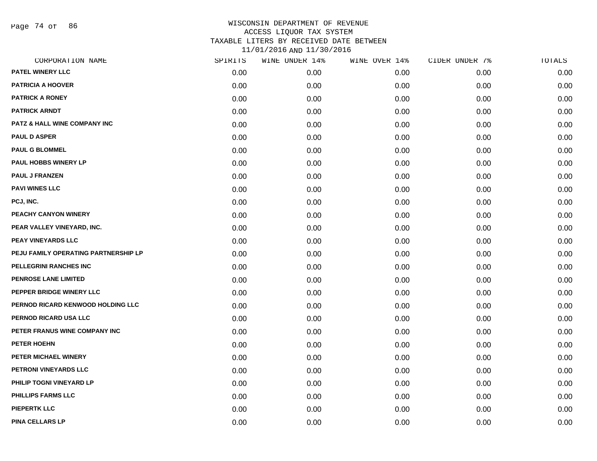Page 74 of 86

| CORPORATION NAME                        | SPIRITS | WINE UNDER 14% | WINE OVER 14% | CIDER UNDER 7% | TOTALS |
|-----------------------------------------|---------|----------------|---------------|----------------|--------|
| PATEL WINERY LLC                        | 0.00    | 0.00           | 0.00          | 0.00           | 0.00   |
| <b>PATRICIA A HOOVER</b>                | 0.00    | 0.00           | 0.00          | 0.00           | 0.00   |
| <b>PATRICK A RONEY</b>                  | 0.00    | 0.00           | 0.00          | 0.00           | 0.00   |
| <b>PATRICK ARNDT</b>                    | 0.00    | 0.00           | 0.00          | 0.00           | 0.00   |
| <b>PATZ &amp; HALL WINE COMPANY INC</b> | 0.00    | 0.00           | 0.00          | 0.00           | 0.00   |
| <b>PAUL D ASPER</b>                     | 0.00    | 0.00           | 0.00          | 0.00           | 0.00   |
| <b>PAUL G BLOMMEL</b>                   | 0.00    | 0.00           | 0.00          | 0.00           | 0.00   |
| <b>PAUL HOBBS WINERY LP</b>             | 0.00    | 0.00           | 0.00          | 0.00           | 0.00   |
| <b>PAUL J FRANZEN</b>                   | 0.00    | 0.00           | 0.00          | 0.00           | 0.00   |
| <b>PAVI WINES LLC</b>                   | 0.00    | 0.00           | 0.00          | 0.00           | 0.00   |
| PCJ, INC.                               | 0.00    | 0.00           | 0.00          | 0.00           | 0.00   |
| PEACHY CANYON WINERY                    | 0.00    | 0.00           | 0.00          | 0.00           | 0.00   |
| PEAR VALLEY VINEYARD, INC.              | 0.00    | 0.00           | 0.00          | 0.00           | 0.00   |
| PEAY VINEYARDS LLC                      | 0.00    | 0.00           | 0.00          | 0.00           | 0.00   |
| PEJU FAMILY OPERATING PARTNERSHIP LP    | 0.00    | 0.00           | 0.00          | 0.00           | 0.00   |
| PELLEGRINI RANCHES INC                  | 0.00    | 0.00           | 0.00          | 0.00           | 0.00   |
| <b>PENROSE LANE LIMITED</b>             | 0.00    | 0.00           | 0.00          | 0.00           | 0.00   |
| PEPPER BRIDGE WINERY LLC                | 0.00    | 0.00           | 0.00          | 0.00           | 0.00   |
| PERNOD RICARD KENWOOD HOLDING LLC       | 0.00    | 0.00           | 0.00          | 0.00           | 0.00   |
| PERNOD RICARD USA LLC                   | 0.00    | 0.00           | 0.00          | 0.00           | 0.00   |
| PETER FRANUS WINE COMPANY INC           | 0.00    | 0.00           | 0.00          | 0.00           | 0.00   |
| PETER HOEHN                             | 0.00    | 0.00           | 0.00          | 0.00           | 0.00   |
| PETER MICHAEL WINERY                    | 0.00    | 0.00           | 0.00          | 0.00           | 0.00   |
| PETRONI VINEYARDS LLC                   | 0.00    | 0.00           | 0.00          | 0.00           | 0.00   |
| PHILIP TOGNI VINEYARD LP                | 0.00    | 0.00           | 0.00          | 0.00           | 0.00   |
| PHILLIPS FARMS LLC                      | 0.00    | 0.00           | 0.00          | 0.00           | 0.00   |
| <b>PIEPERTK LLC</b>                     | 0.00    | 0.00           | 0.00          | 0.00           | 0.00   |
| <b>PINA CELLARS LP</b>                  | 0.00    | 0.00           | 0.00          | 0.00           | 0.00   |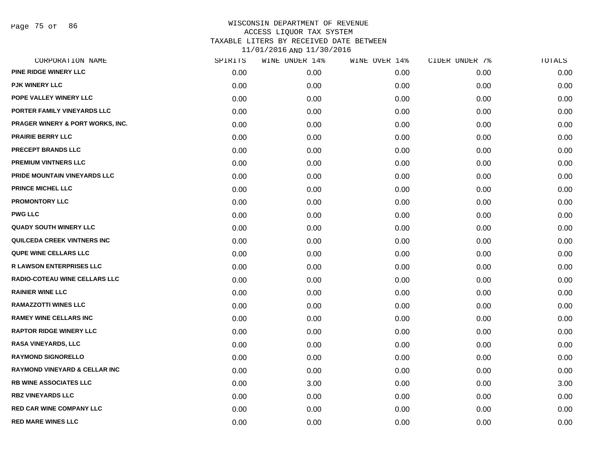| CORPORATION NAME                         | SPIRITS | WINE UNDER 14% | WINE OVER 14% | CIDER UNDER 7% | TOTALS |
|------------------------------------------|---------|----------------|---------------|----------------|--------|
| <b>PINE RIDGE WINERY LLC</b>             | 0.00    | 0.00           | 0.00          | 0.00           | 0.00   |
| <b>PJK WINERY LLC</b>                    | 0.00    | 0.00           | 0.00          | 0.00           | 0.00   |
| POPE VALLEY WINERY LLC                   | 0.00    | 0.00           | 0.00          | 0.00           | 0.00   |
| PORTER FAMILY VINEYARDS LLC              | 0.00    | 0.00           | 0.00          | 0.00           | 0.00   |
| PRAGER WINERY & PORT WORKS, INC.         | 0.00    | 0.00           | 0.00          | 0.00           | 0.00   |
| <b>PRAIRIE BERRY LLC</b>                 | 0.00    | 0.00           | 0.00          | 0.00           | 0.00   |
| PRECEPT BRANDS LLC                       | 0.00    | 0.00           | 0.00          | 0.00           | 0.00   |
| <b>PREMIUM VINTNERS LLC</b>              | 0.00    | 0.00           | 0.00          | 0.00           | 0.00   |
| PRIDE MOUNTAIN VINEYARDS LLC             | 0.00    | 0.00           | 0.00          | 0.00           | 0.00   |
| <b>PRINCE MICHEL LLC</b>                 | 0.00    | 0.00           | 0.00          | 0.00           | 0.00   |
| <b>PROMONTORY LLC</b>                    | 0.00    | 0.00           | 0.00          | 0.00           | 0.00   |
| <b>PWG LLC</b>                           | 0.00    | 0.00           | 0.00          | 0.00           | 0.00   |
| <b>QUADY SOUTH WINERY LLC</b>            | 0.00    | 0.00           | 0.00          | 0.00           | 0.00   |
| QUILCEDA CREEK VINTNERS INC              | 0.00    | 0.00           | 0.00          | 0.00           | 0.00   |
| <b>QUPE WINE CELLARS LLC</b>             | 0.00    | 0.00           | 0.00          | 0.00           | 0.00   |
| <b>R LAWSON ENTERPRISES LLC</b>          | 0.00    | 0.00           | 0.00          | 0.00           | 0.00   |
| <b>RADIO-COTEAU WINE CELLARS LLC</b>     | 0.00    | 0.00           | 0.00          | 0.00           | 0.00   |
| <b>RAINIER WINE LLC</b>                  | 0.00    | 0.00           | 0.00          | 0.00           | 0.00   |
| <b>RAMAZZOTTI WINES LLC</b>              | 0.00    | 0.00           | 0.00          | 0.00           | 0.00   |
| <b>RAMEY WINE CELLARS INC</b>            | 0.00    | 0.00           | 0.00          | 0.00           | 0.00   |
| <b>RAPTOR RIDGE WINERY LLC</b>           | 0.00    | 0.00           | 0.00          | 0.00           | 0.00   |
| <b>RASA VINEYARDS, LLC</b>               | 0.00    | 0.00           | 0.00          | 0.00           | 0.00   |
| <b>RAYMOND SIGNORELLO</b>                | 0.00    | 0.00           | 0.00          | 0.00           | 0.00   |
| <b>RAYMOND VINEYARD &amp; CELLAR INC</b> | 0.00    | 0.00           | 0.00          | 0.00           | 0.00   |
| <b>RB WINE ASSOCIATES LLC</b>            | 0.00    | 3.00           | 0.00          | 0.00           | 3.00   |
| <b>RBZ VINEYARDS LLC</b>                 | 0.00    | 0.00           | 0.00          | 0.00           | 0.00   |
| <b>RED CAR WINE COMPANY LLC</b>          | 0.00    | 0.00           | 0.00          | 0.00           | 0.00   |
| <b>RED MARE WINES LLC</b>                | 0.00    | 0.00           | 0.00          | 0.00           | 0.00   |
|                                          |         |                |               |                |        |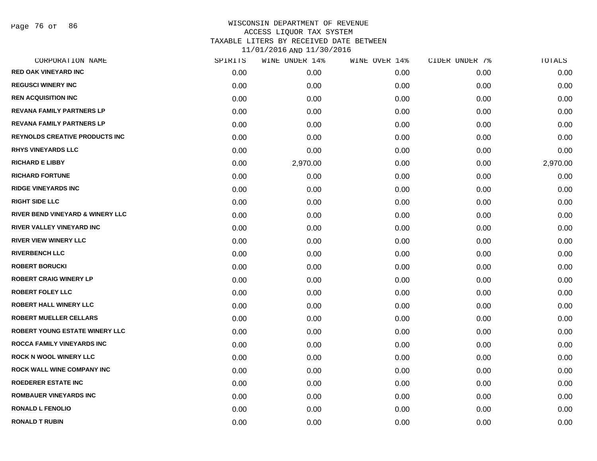Page 76 of 86

| CORPORATION NAME                            | SPIRITS | WINE UNDER 14% | WINE OVER 14% | CIDER UNDER 7% | TOTALS   |
|---------------------------------------------|---------|----------------|---------------|----------------|----------|
| <b>RED OAK VINEYARD INC</b>                 | 0.00    | 0.00           | 0.00          | 0.00           | 0.00     |
| <b>REGUSCI WINERY INC</b>                   | 0.00    | 0.00           | 0.00          | 0.00           | 0.00     |
| <b>REN ACQUISITION INC</b>                  | 0.00    | 0.00           | 0.00          | 0.00           | 0.00     |
| <b>REVANA FAMILY PARTNERS LP</b>            | 0.00    | 0.00           | 0.00          | 0.00           | 0.00     |
| <b>REVANA FAMILY PARTNERS LP</b>            | 0.00    | 0.00           | 0.00          | 0.00           | 0.00     |
| <b>REYNOLDS CREATIVE PRODUCTS INC</b>       | 0.00    | 0.00           | 0.00          | 0.00           | 0.00     |
| <b>RHYS VINEYARDS LLC</b>                   | 0.00    | 0.00           | 0.00          | 0.00           | 0.00     |
| <b>RICHARD E LIBBY</b>                      | 0.00    | 2,970.00       | 0.00          | 0.00           | 2,970.00 |
| <b>RICHARD FORTUNE</b>                      | 0.00    | 0.00           | 0.00          | 0.00           | 0.00     |
| <b>RIDGE VINEYARDS INC</b>                  | 0.00    | 0.00           | 0.00          | 0.00           | 0.00     |
| <b>RIGHT SIDE LLC</b>                       | 0.00    | 0.00           | 0.00          | 0.00           | 0.00     |
| <b>RIVER BEND VINEYARD &amp; WINERY LLC</b> | 0.00    | 0.00           | 0.00          | 0.00           | 0.00     |
| RIVER VALLEY VINEYARD INC                   | 0.00    | 0.00           | 0.00          | 0.00           | 0.00     |
| <b>RIVER VIEW WINERY LLC</b>                | 0.00    | 0.00           | 0.00          | 0.00           | 0.00     |
| <b>RIVERBENCH LLC</b>                       | 0.00    | 0.00           | 0.00          | 0.00           | 0.00     |
| <b>ROBERT BORUCKI</b>                       | 0.00    | 0.00           | 0.00          | 0.00           | 0.00     |
| <b>ROBERT CRAIG WINERY LP</b>               | 0.00    | 0.00           | 0.00          | 0.00           | 0.00     |
| <b>ROBERT FOLEY LLC</b>                     | 0.00    | 0.00           | 0.00          | 0.00           | 0.00     |
| <b>ROBERT HALL WINERY LLC</b>               | 0.00    | 0.00           | 0.00          | 0.00           | 0.00     |
| <b>ROBERT MUELLER CELLARS</b>               | 0.00    | 0.00           | 0.00          | 0.00           | 0.00     |
| <b>ROBERT YOUNG ESTATE WINERY LLC</b>       | 0.00    | 0.00           | 0.00          | 0.00           | 0.00     |
| <b>ROCCA FAMILY VINEYARDS INC</b>           | 0.00    | 0.00           | 0.00          | 0.00           | 0.00     |
| <b>ROCK N WOOL WINERY LLC</b>               | 0.00    | 0.00           | 0.00          | 0.00           | 0.00     |
| ROCK WALL WINE COMPANY INC                  | 0.00    | 0.00           | 0.00          | 0.00           | 0.00     |
| <b>ROEDERER ESTATE INC</b>                  | 0.00    | 0.00           | 0.00          | 0.00           | 0.00     |
| <b>ROMBAUER VINEYARDS INC</b>               | 0.00    | 0.00           | 0.00          | 0.00           | 0.00     |
| <b>RONALD L FENOLIO</b>                     | 0.00    | 0.00           | 0.00          | 0.00           | 0.00     |
| <b>RONALD T RUBIN</b>                       | 0.00    | 0.00           | 0.00          | 0.00           | 0.00     |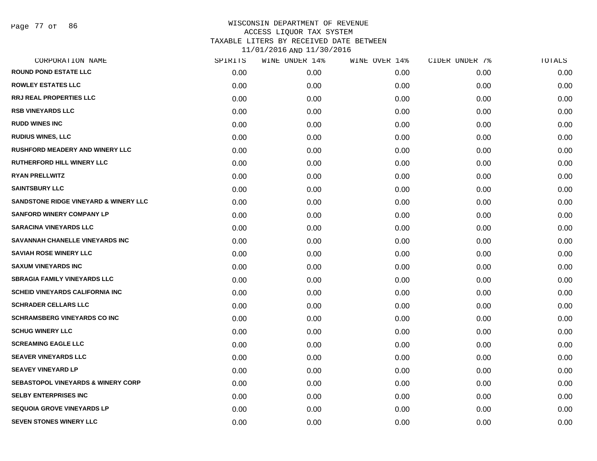| CORPORATION NAME                              | SPIRITS | WINE UNDER 14% | WINE OVER 14% | CIDER UNDER 7% | TOTALS |
|-----------------------------------------------|---------|----------------|---------------|----------------|--------|
| <b>ROUND POND ESTATE LLC</b>                  | 0.00    | 0.00           | 0.00          | 0.00           | 0.00   |
| <b>ROWLEY ESTATES LLC</b>                     | 0.00    | 0.00           | 0.00          | 0.00           | 0.00   |
| <b>RRJ REAL PROPERTIES LLC</b>                | 0.00    | 0.00           | 0.00          | 0.00           | 0.00   |
| <b>RSB VINEYARDS LLC</b>                      | 0.00    | 0.00           | 0.00          | 0.00           | 0.00   |
| <b>RUDD WINES INC</b>                         | 0.00    | 0.00           | 0.00          | 0.00           | 0.00   |
| <b>RUDIUS WINES, LLC</b>                      | 0.00    | 0.00           | 0.00          | 0.00           | 0.00   |
| <b>RUSHFORD MEADERY AND WINERY LLC</b>        | 0.00    | 0.00           | 0.00          | 0.00           | 0.00   |
| <b>RUTHERFORD HILL WINERY LLC</b>             | 0.00    | 0.00           | 0.00          | 0.00           | 0.00   |
| <b>RYAN PRELLWITZ</b>                         | 0.00    | 0.00           | 0.00          | 0.00           | 0.00   |
| <b>SAINTSBURY LLC</b>                         | 0.00    | 0.00           | 0.00          | 0.00           | 0.00   |
| SANDSTONE RIDGE VINEYARD & WINERY LLC         | 0.00    | 0.00           | 0.00          | 0.00           | 0.00   |
| <b>SANFORD WINERY COMPANY LP</b>              | 0.00    | 0.00           | 0.00          | 0.00           | 0.00   |
| <b>SARACINA VINEYARDS LLC</b>                 | 0.00    | 0.00           | 0.00          | 0.00           | 0.00   |
| SAVANNAH CHANELLE VINEYARDS INC               | 0.00    | 0.00           | 0.00          | 0.00           | 0.00   |
| <b>SAVIAH ROSE WINERY LLC</b>                 | 0.00    | 0.00           | 0.00          | 0.00           | 0.00   |
| <b>SAXUM VINEYARDS INC</b>                    | 0.00    | 0.00           | 0.00          | 0.00           | 0.00   |
| <b>SBRAGIA FAMILY VINEYARDS LLC</b>           | 0.00    | 0.00           | 0.00          | 0.00           | 0.00   |
| <b>SCHEID VINEYARDS CALIFORNIA INC</b>        | 0.00    | 0.00           | 0.00          | 0.00           | 0.00   |
| <b>SCHRADER CELLARS LLC</b>                   | 0.00    | 0.00           | 0.00          | 0.00           | 0.00   |
| <b>SCHRAMSBERG VINEYARDS CO INC</b>           | 0.00    | 0.00           | 0.00          | 0.00           | 0.00   |
| <b>SCHUG WINERY LLC</b>                       | 0.00    | 0.00           | 0.00          | 0.00           | 0.00   |
| <b>SCREAMING EAGLE LLC</b>                    | 0.00    | 0.00           | 0.00          | 0.00           | 0.00   |
| <b>SEAVER VINEYARDS LLC</b>                   | 0.00    | 0.00           | 0.00          | 0.00           | 0.00   |
| <b>SEAVEY VINEYARD LP</b>                     | 0.00    | 0.00           | 0.00          | 0.00           | 0.00   |
| <b>SEBASTOPOL VINEYARDS &amp; WINERY CORP</b> | 0.00    | 0.00           | 0.00          | 0.00           | 0.00   |
| <b>SELBY ENTERPRISES INC</b>                  | 0.00    | 0.00           | 0.00          | 0.00           | 0.00   |
| <b>SEQUOIA GROVE VINEYARDS LP</b>             | 0.00    | 0.00           | 0.00          | 0.00           | 0.00   |
| <b>SEVEN STONES WINERY LLC</b>                | 0.00    | 0.00           | 0.00          | 0.00           | 0.00   |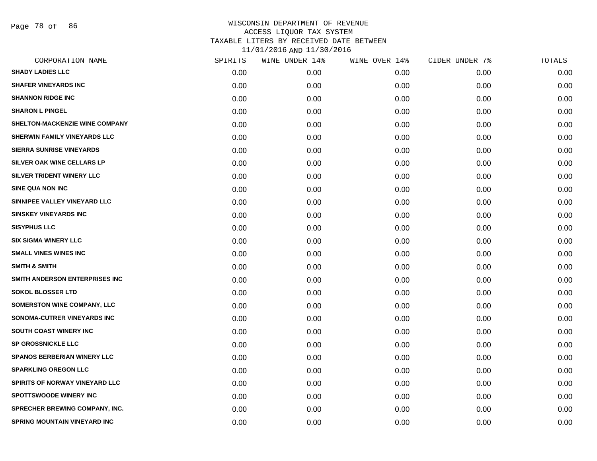Page 78 of 86

| CORPORATION NAME                      | SPIRITS | WINE UNDER 14% | WINE OVER 14% | CIDER UNDER 7% | TOTALS |
|---------------------------------------|---------|----------------|---------------|----------------|--------|
| <b>SHADY LADIES LLC</b>               | 0.00    | 0.00           | 0.00          | 0.00           | 0.00   |
| <b>SHAFER VINEYARDS INC</b>           | 0.00    | 0.00           | 0.00          | 0.00           | 0.00   |
| <b>SHANNON RIDGE INC</b>              | 0.00    | 0.00           | 0.00          | 0.00           | 0.00   |
| <b>SHARON L PINGEL</b>                | 0.00    | 0.00           | 0.00          | 0.00           | 0.00   |
| SHELTON-MACKENZIE WINE COMPANY        | 0.00    | 0.00           | 0.00          | 0.00           | 0.00   |
| SHERWIN FAMILY VINEYARDS LLC          | 0.00    | 0.00           | 0.00          | 0.00           | 0.00   |
| <b>SIERRA SUNRISE VINEYARDS</b>       | 0.00    | 0.00           | 0.00          | 0.00           | 0.00   |
| SILVER OAK WINE CELLARS LP            | 0.00    | 0.00           | 0.00          | 0.00           | 0.00   |
| SILVER TRIDENT WINERY LLC             | 0.00    | 0.00           | 0.00          | 0.00           | 0.00   |
| <b>SINE QUA NON INC</b>               | 0.00    | 0.00           | 0.00          | 0.00           | 0.00   |
| SINNIPEE VALLEY VINEYARD LLC          | 0.00    | 0.00           | 0.00          | 0.00           | 0.00   |
| <b>SINSKEY VINEYARDS INC</b>          | 0.00    | 0.00           | 0.00          | 0.00           | 0.00   |
| <b>SISYPHUS LLC</b>                   | 0.00    | 0.00           | 0.00          | 0.00           | 0.00   |
| <b>SIX SIGMA WINERY LLC</b>           | 0.00    | 0.00           | 0.00          | 0.00           | 0.00   |
| <b>SMALL VINES WINES INC</b>          | 0.00    | 0.00           | 0.00          | 0.00           | 0.00   |
| <b>SMITH &amp; SMITH</b>              | 0.00    | 0.00           | 0.00          | 0.00           | 0.00   |
| SMITH ANDERSON ENTERPRISES INC        | 0.00    | 0.00           | 0.00          | 0.00           | 0.00   |
| <b>SOKOL BLOSSER LTD</b>              | 0.00    | 0.00           | 0.00          | 0.00           | 0.00   |
| <b>SOMERSTON WINE COMPANY, LLC</b>    | 0.00    | 0.00           | 0.00          | 0.00           | 0.00   |
| SONOMA-CUTRER VINEYARDS INC           | 0.00    | 0.00           | 0.00          | 0.00           | 0.00   |
| SOUTH COAST WINERY INC                | 0.00    | 0.00           | 0.00          | 0.00           | 0.00   |
| SP GROSSNICKLE LLC                    | 0.00    | 0.00           | 0.00          | 0.00           | 0.00   |
| <b>SPANOS BERBERIAN WINERY LLC</b>    | 0.00    | 0.00           | 0.00          | 0.00           | 0.00   |
| <b>SPARKLING OREGON LLC</b>           | 0.00    | 0.00           | 0.00          | 0.00           | 0.00   |
| SPIRITS OF NORWAY VINEYARD LLC        | 0.00    | 0.00           | 0.00          | 0.00           | 0.00   |
| SPOTTSWOODE WINERY INC                | 0.00    | 0.00           | 0.00          | 0.00           | 0.00   |
| <b>SPRECHER BREWING COMPANY, INC.</b> | 0.00    | 0.00           | 0.00          | 0.00           | 0.00   |
| <b>SPRING MOUNTAIN VINEYARD INC</b>   | 0.00    | 0.00           | 0.00          | 0.00           | 0.00   |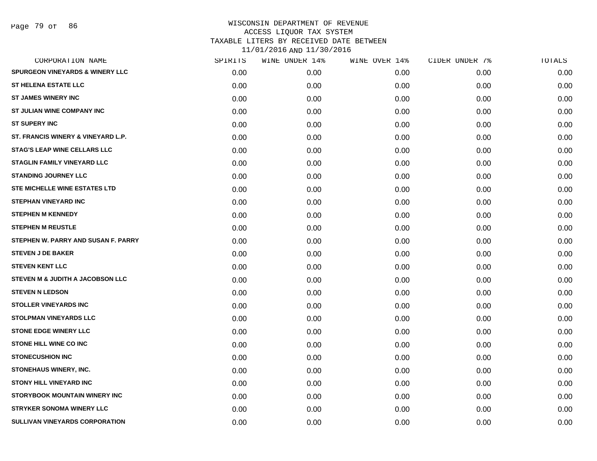Page 79 of 86

| CORPORATION NAME                           | SPIRITS | WINE UNDER 14% | WINE OVER 14% | CIDER UNDER 7% | TOTALS |
|--------------------------------------------|---------|----------------|---------------|----------------|--------|
| <b>SPURGEON VINEYARDS &amp; WINERY LLC</b> | 0.00    | 0.00           | 0.00          | 0.00           | 0.00   |
| <b>ST HELENA ESTATE LLC</b>                | 0.00    | 0.00           | 0.00          | 0.00           | 0.00   |
| <b>ST JAMES WINERY INC</b>                 | 0.00    | 0.00           | 0.00          | 0.00           | 0.00   |
| <b>ST JULIAN WINE COMPANY INC</b>          | 0.00    | 0.00           | 0.00          | 0.00           | 0.00   |
| <b>ST SUPERY INC</b>                       | 0.00    | 0.00           | 0.00          | 0.00           | 0.00   |
| ST. FRANCIS WINERY & VINEYARD L.P.         | 0.00    | 0.00           | 0.00          | 0.00           | 0.00   |
| <b>STAG'S LEAP WINE CELLARS LLC</b>        | 0.00    | 0.00           | 0.00          | 0.00           | 0.00   |
| <b>STAGLIN FAMILY VINEYARD LLC</b>         | 0.00    | 0.00           | 0.00          | 0.00           | 0.00   |
| <b>STANDING JOURNEY LLC</b>                | 0.00    | 0.00           | 0.00          | 0.00           | 0.00   |
| STE MICHELLE WINE ESTATES LTD              | 0.00    | 0.00           | 0.00          | 0.00           | 0.00   |
| <b>STEPHAN VINEYARD INC</b>                | 0.00    | 0.00           | 0.00          | 0.00           | 0.00   |
| <b>STEPHEN M KENNEDY</b>                   | 0.00    | 0.00           | 0.00          | 0.00           | 0.00   |
| <b>STEPHEN M REUSTLE</b>                   | 0.00    | 0.00           | 0.00          | 0.00           | 0.00   |
| STEPHEN W. PARRY AND SUSAN F. PARRY        | 0.00    | 0.00           | 0.00          | 0.00           | 0.00   |
| <b>STEVEN J DE BAKER</b>                   | 0.00    | 0.00           | 0.00          | 0.00           | 0.00   |
| <b>STEVEN KENT LLC</b>                     | 0.00    | 0.00           | 0.00          | 0.00           | 0.00   |
| STEVEN M & JUDITH A JACOBSON LLC           | 0.00    | 0.00           | 0.00          | 0.00           | 0.00   |
| <b>STEVEN N LEDSON</b>                     | 0.00    | 0.00           | 0.00          | 0.00           | 0.00   |
| <b>STOLLER VINEYARDS INC</b>               | 0.00    | 0.00           | 0.00          | 0.00           | 0.00   |
| <b>STOLPMAN VINEYARDS LLC</b>              | 0.00    | 0.00           | 0.00          | 0.00           | 0.00   |
| <b>STONE EDGE WINERY LLC</b>               | 0.00    | 0.00           | 0.00          | 0.00           | 0.00   |
| <b>STONE HILL WINE CO INC</b>              | 0.00    | 0.00           | 0.00          | 0.00           | 0.00   |
| <b>STONECUSHION INC</b>                    | 0.00    | 0.00           | 0.00          | 0.00           | 0.00   |
| STONEHAUS WINERY, INC.                     | 0.00    | 0.00           | 0.00          | 0.00           | 0.00   |
| <b>STONY HILL VINEYARD INC</b>             | 0.00    | 0.00           | 0.00          | 0.00           | 0.00   |
| <b>STORYBOOK MOUNTAIN WINERY INC</b>       | 0.00    | 0.00           | 0.00          | 0.00           | 0.00   |
| <b>STRYKER SONOMA WINERY LLC</b>           | 0.00    | 0.00           | 0.00          | 0.00           | 0.00   |
| SULLIVAN VINEYARDS CORPORATION             | 0.00    | 0.00           | 0.00          | 0.00           | 0.00   |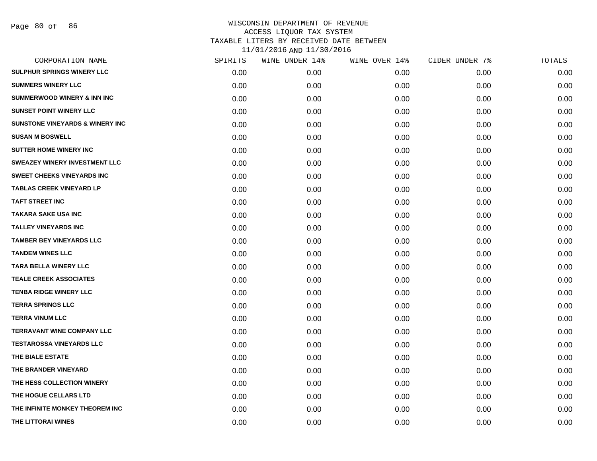| SPIRITS | WINE UNDER 14% | WINE OVER 14% | CIDER UNDER 7% | TOTALS |
|---------|----------------|---------------|----------------|--------|
| 0.00    | 0.00           | 0.00          | 0.00           | 0.00   |
| 0.00    | 0.00           | 0.00          | 0.00           | 0.00   |
| 0.00    | 0.00           | 0.00          | 0.00           | 0.00   |
| 0.00    | 0.00           | 0.00          | 0.00           | 0.00   |
| 0.00    | 0.00           | 0.00          | 0.00           | 0.00   |
| 0.00    | 0.00           | 0.00          | 0.00           | 0.00   |
| 0.00    | 0.00           | 0.00          | 0.00           | 0.00   |
| 0.00    | 0.00           | 0.00          | 0.00           | 0.00   |
| 0.00    | 0.00           | 0.00          | 0.00           | 0.00   |
| 0.00    | 0.00           | 0.00          | 0.00           | 0.00   |
| 0.00    | 0.00           | 0.00          | 0.00           | 0.00   |
| 0.00    | 0.00           | 0.00          | 0.00           | 0.00   |
| 0.00    | 0.00           | 0.00          | 0.00           | 0.00   |
| 0.00    | 0.00           | 0.00          | 0.00           | 0.00   |
| 0.00    | 0.00           | 0.00          | 0.00           | 0.00   |
| 0.00    | 0.00           | 0.00          | 0.00           | 0.00   |
| 0.00    | 0.00           | 0.00          | 0.00           | 0.00   |
| 0.00    | 0.00           | 0.00          | 0.00           | 0.00   |
| 0.00    | 0.00           | 0.00          | 0.00           | 0.00   |
| 0.00    | 0.00           | 0.00          | 0.00           | 0.00   |
| 0.00    | 0.00           | 0.00          | 0.00           | 0.00   |
| 0.00    | 0.00           | 0.00          | 0.00           | 0.00   |
| 0.00    | 0.00           | 0.00          | 0.00           | 0.00   |
| 0.00    | 0.00           | 0.00          | 0.00           | 0.00   |
| 0.00    | 0.00           | 0.00          | 0.00           | 0.00   |
| 0.00    | 0.00           | 0.00          | 0.00           | 0.00   |
| 0.00    | 0.00           | 0.00          | 0.00           | 0.00   |
| 0.00    | 0.00           | 0.00          | 0.00           | 0.00   |
|         |                |               |                |        |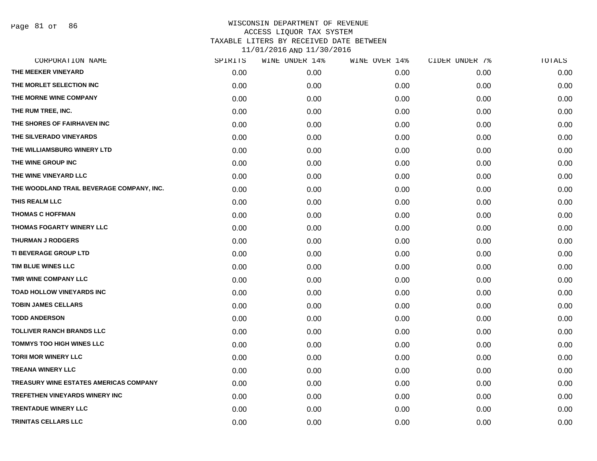Page 81 of 86

|      | WINE UNDER 14% |      | CIDER UNDER 7% | TOTALS |
|------|----------------|------|----------------|--------|
| 0.00 | 0.00           | 0.00 | 0.00           | 0.00   |
| 0.00 | 0.00           | 0.00 | 0.00           | 0.00   |
| 0.00 | 0.00           | 0.00 | 0.00           | 0.00   |
| 0.00 | 0.00           | 0.00 | 0.00           | 0.00   |
| 0.00 | 0.00           | 0.00 | 0.00           | 0.00   |
| 0.00 | 0.00           | 0.00 | 0.00           | 0.00   |
| 0.00 | 0.00           | 0.00 | 0.00           | 0.00   |
| 0.00 | 0.00           | 0.00 | 0.00           | 0.00   |
| 0.00 | 0.00           | 0.00 | 0.00           | 0.00   |
| 0.00 | 0.00           | 0.00 | 0.00           | 0.00   |
| 0.00 | 0.00           | 0.00 | 0.00           | 0.00   |
| 0.00 | 0.00           | 0.00 | 0.00           | 0.00   |
| 0.00 | 0.00           | 0.00 | 0.00           | 0.00   |
| 0.00 | 0.00           | 0.00 | 0.00           | 0.00   |
| 0.00 | 0.00           | 0.00 | 0.00           | 0.00   |
| 0.00 | 0.00           | 0.00 | 0.00           | 0.00   |
| 0.00 | 0.00           | 0.00 | 0.00           | 0.00   |
| 0.00 | 0.00           | 0.00 | 0.00           | 0.00   |
| 0.00 | 0.00           | 0.00 | 0.00           | 0.00   |
| 0.00 | 0.00           | 0.00 | 0.00           | 0.00   |
| 0.00 | 0.00           | 0.00 | 0.00           | 0.00   |
| 0.00 | 0.00           | 0.00 | 0.00           | 0.00   |
| 0.00 | 0.00           | 0.00 | 0.00           | 0.00   |
| 0.00 | 0.00           | 0.00 | 0.00           | 0.00   |
| 0.00 | 0.00           | 0.00 | 0.00           | 0.00   |
| 0.00 | 0.00           | 0.00 | 0.00           | 0.00   |
| 0.00 | 0.00           | 0.00 | 0.00           | 0.00   |
| 0.00 | 0.00           | 0.00 | 0.00           | 0.00   |
|      | SPIRITS        |      | WINE OVER 14%  |        |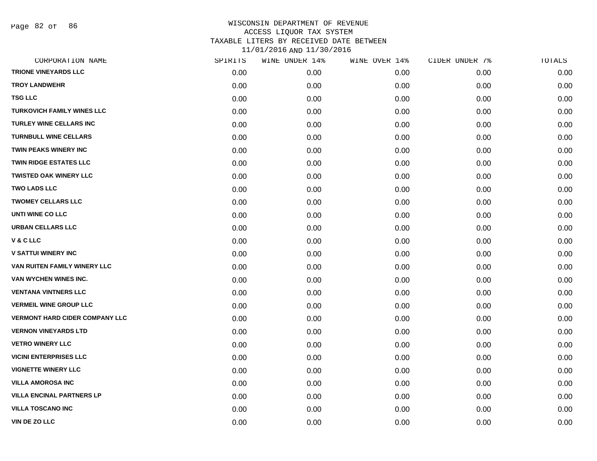Page 82 of 86

| CORPORATION NAME                      | SPIRITS | WINE UNDER 14% | WINE OVER 14% | CIDER UNDER 7% | TOTALS |
|---------------------------------------|---------|----------------|---------------|----------------|--------|
| <b>TRIONE VINEYARDS LLC</b>           | 0.00    | 0.00           | 0.00          | 0.00           | 0.00   |
| <b>TROY LANDWEHR</b>                  | 0.00    | 0.00           | 0.00          | 0.00           | 0.00   |
| <b>TSG LLC</b>                        | 0.00    | 0.00           | 0.00          | 0.00           | 0.00   |
| <b>TURKOVICH FAMILY WINES LLC</b>     | 0.00    | 0.00           | 0.00          | 0.00           | 0.00   |
| <b>TURLEY WINE CELLARS INC</b>        | 0.00    | 0.00           | 0.00          | 0.00           | 0.00   |
| <b>TURNBULL WINE CELLARS</b>          | 0.00    | 0.00           | 0.00          | 0.00           | 0.00   |
| TWIN PEAKS WINERY INC                 | 0.00    | 0.00           | 0.00          | 0.00           | 0.00   |
| <b>TWIN RIDGE ESTATES LLC</b>         | 0.00    | 0.00           | 0.00          | 0.00           | 0.00   |
| <b>TWISTED OAK WINERY LLC</b>         | 0.00    | 0.00           | 0.00          | 0.00           | 0.00   |
| <b>TWO LADS LLC</b>                   | 0.00    | 0.00           | 0.00          | 0.00           | 0.00   |
| <b>TWOMEY CELLARS LLC</b>             | 0.00    | 0.00           | 0.00          | 0.00           | 0.00   |
| UNTI WINE CO LLC                      | 0.00    | 0.00           | 0.00          | 0.00           | 0.00   |
| <b>URBAN CELLARS LLC</b>              | 0.00    | 0.00           | 0.00          | 0.00           | 0.00   |
| V & C LLC                             | 0.00    | 0.00           | 0.00          | 0.00           | 0.00   |
| <b>V SATTUI WINERY INC</b>            | 0.00    | 0.00           | 0.00          | 0.00           | 0.00   |
| VAN RUITEN FAMILY WINERY LLC          | 0.00    | 0.00           | 0.00          | 0.00           | 0.00   |
| VAN WYCHEN WINES INC.                 | 0.00    | 0.00           | 0.00          | 0.00           | 0.00   |
| <b>VENTANA VINTNERS LLC</b>           | 0.00    | 0.00           | 0.00          | 0.00           | 0.00   |
| <b>VERMEIL WINE GROUP LLC</b>         | 0.00    | 0.00           | 0.00          | 0.00           | 0.00   |
| <b>VERMONT HARD CIDER COMPANY LLC</b> | 0.00    | 0.00           | 0.00          | 0.00           | 0.00   |
| <b>VERNON VINEYARDS LTD</b>           | 0.00    | 0.00           | 0.00          | 0.00           | 0.00   |
| <b>VETRO WINERY LLC</b>               | 0.00    | 0.00           | 0.00          | 0.00           | 0.00   |
| <b>VICINI ENTERPRISES LLC</b>         | 0.00    | 0.00           | 0.00          | 0.00           | 0.00   |
| <b>VIGNETTE WINERY LLC</b>            | 0.00    | 0.00           | 0.00          | 0.00           | 0.00   |
| <b>VILLA AMOROSA INC</b>              | 0.00    | 0.00           | 0.00          | 0.00           | 0.00   |
| <b>VILLA ENCINAL PARTNERS LP</b>      | 0.00    | 0.00           | 0.00          | 0.00           | 0.00   |
| <b>VILLA TOSCANO INC</b>              | 0.00    | 0.00           | 0.00          | 0.00           | 0.00   |
| <b>VIN DE ZO LLC</b>                  | 0.00    | 0.00           | 0.00          | 0.00           | 0.00   |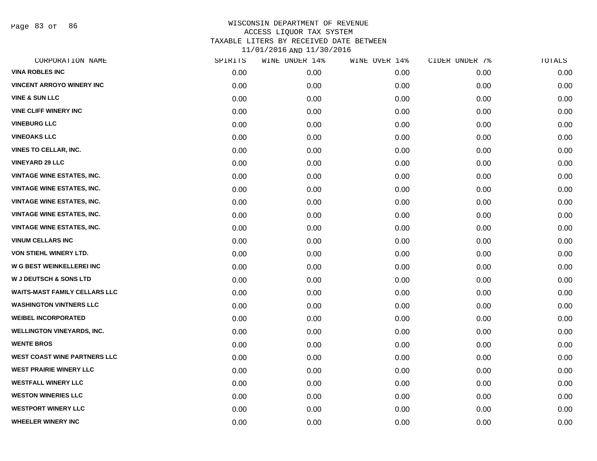Page 83 of 86

| CORPORATION NAME                     | SPIRITS | WINE UNDER 14% | WINE OVER 14% | CIDER UNDER 7% | TOTALS |
|--------------------------------------|---------|----------------|---------------|----------------|--------|
| <b>VINA ROBLES INC</b>               | 0.00    | 0.00           | 0.00          | 0.00           | 0.00   |
| <b>VINCENT ARROYO WINERY INC</b>     | 0.00    | 0.00           | 0.00          | 0.00           | 0.00   |
| <b>VINE &amp; SUN LLC</b>            | 0.00    | 0.00           | 0.00          | 0.00           | 0.00   |
| <b>VINE CLIFF WINERY INC</b>         | 0.00    | 0.00           | 0.00          | 0.00           | 0.00   |
| <b>VINEBURG LLC</b>                  | 0.00    | 0.00           | 0.00          | 0.00           | 0.00   |
| <b>VINEOAKS LLC</b>                  | 0.00    | 0.00           | 0.00          | 0.00           | 0.00   |
| <b>VINES TO CELLAR, INC.</b>         | 0.00    | 0.00           | 0.00          | 0.00           | 0.00   |
| <b>VINEYARD 29 LLC</b>               | 0.00    | 0.00           | 0.00          | 0.00           | 0.00   |
| <b>VINTAGE WINE ESTATES, INC.</b>    | 0.00    | 0.00           | 0.00          | 0.00           | 0.00   |
| <b>VINTAGE WINE ESTATES, INC.</b>    | 0.00    | 0.00           | 0.00          | 0.00           | 0.00   |
| <b>VINTAGE WINE ESTATES, INC.</b>    | 0.00    | 0.00           | 0.00          | 0.00           | 0.00   |
| <b>VINTAGE WINE ESTATES, INC.</b>    | 0.00    | 0.00           | 0.00          | 0.00           | 0.00   |
| <b>VINTAGE WINE ESTATES, INC.</b>    | 0.00    | 0.00           | 0.00          | 0.00           | 0.00   |
| <b>VINUM CELLARS INC</b>             | 0.00    | 0.00           | 0.00          | 0.00           | 0.00   |
| VON STIEHL WINERY LTD.               | 0.00    | 0.00           | 0.00          | 0.00           | 0.00   |
| <b>W G BEST WEINKELLEREI INC</b>     | 0.00    | 0.00           | 0.00          | 0.00           | 0.00   |
| <b>W J DEUTSCH &amp; SONS LTD</b>    | 0.00    | 0.00           | 0.00          | 0.00           | 0.00   |
| <b>WAITS-MAST FAMILY CELLARS LLC</b> | 0.00    | 0.00           | 0.00          | 0.00           | 0.00   |
| <b>WASHINGTON VINTNERS LLC</b>       | 0.00    | 0.00           | 0.00          | 0.00           | 0.00   |
| <b>WEIBEL INCORPORATED</b>           | 0.00    | 0.00           | 0.00          | 0.00           | 0.00   |
| <b>WELLINGTON VINEYARDS, INC.</b>    | 0.00    | 0.00           | 0.00          | 0.00           | 0.00   |
| <b>WENTE BROS</b>                    | 0.00    | 0.00           | 0.00          | 0.00           | 0.00   |
| <b>WEST COAST WINE PARTNERS LLC</b>  | 0.00    | 0.00           | 0.00          | 0.00           | 0.00   |
| <b>WEST PRAIRIE WINERY LLC</b>       | 0.00    | 0.00           | 0.00          | 0.00           | 0.00   |
| <b>WESTFALL WINERY LLC</b>           | 0.00    | 0.00           | 0.00          | 0.00           | 0.00   |
| <b>WESTON WINERIES LLC</b>           | 0.00    | 0.00           | 0.00          | 0.00           | 0.00   |
| <b>WESTPORT WINERY LLC</b>           | 0.00    | 0.00           | 0.00          | 0.00           | 0.00   |
| <b>WHEELER WINERY INC</b>            | 0.00    | 0.00           | 0.00          | 0.00           | 0.00   |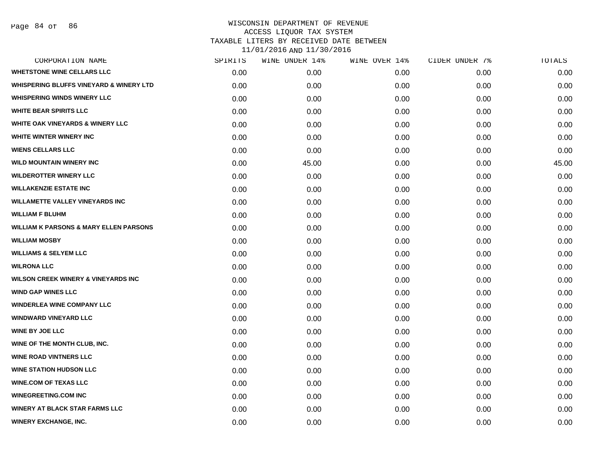| CORPORATION NAME                                   | SPIRITS | WINE UNDER 14% | WINE OVER 14% | CIDER UNDER 7% | TOTALS |
|----------------------------------------------------|---------|----------------|---------------|----------------|--------|
| <b>WHETSTONE WINE CELLARS LLC</b>                  | 0.00    | 0.00           | 0.00          | 0.00           | 0.00   |
| <b>WHISPERING BLUFFS VINEYARD &amp; WINERY LTD</b> | 0.00    | 0.00           | 0.00          | 0.00           | 0.00   |
| <b>WHISPERING WINDS WINERY LLC</b>                 | 0.00    | 0.00           | 0.00          | 0.00           | 0.00   |
| <b>WHITE BEAR SPIRITS LLC</b>                      | 0.00    | 0.00           | 0.00          | 0.00           | 0.00   |
| <b>WHITE OAK VINEYARDS &amp; WINERY LLC</b>        | 0.00    | 0.00           | 0.00          | 0.00           | 0.00   |
| <b>WHITE WINTER WINERY INC</b>                     | 0.00    | 0.00           | 0.00          | 0.00           | 0.00   |
| <b>WIENS CELLARS LLC</b>                           | 0.00    | 0.00           | 0.00          | 0.00           | 0.00   |
| <b>WILD MOUNTAIN WINERY INC</b>                    | 0.00    | 45.00          | 0.00          | 0.00           | 45.00  |
| <b>WILDEROTTER WINERY LLC</b>                      | 0.00    | 0.00           | 0.00          | 0.00           | 0.00   |
| <b>WILLAKENZIE ESTATE INC</b>                      | 0.00    | 0.00           | 0.00          | 0.00           | 0.00   |
| <b>WILLAMETTE VALLEY VINEYARDS INC</b>             | 0.00    | 0.00           | 0.00          | 0.00           | 0.00   |
| <b>WILLIAM F BLUHM</b>                             | 0.00    | 0.00           | 0.00          | 0.00           | 0.00   |
| <b>WILLIAM K PARSONS &amp; MARY ELLEN PARSONS</b>  | 0.00    | 0.00           | 0.00          | 0.00           | 0.00   |
| <b>WILLIAM MOSBY</b>                               | 0.00    | 0.00           | 0.00          | 0.00           | 0.00   |
| <b>WILLIAMS &amp; SELYEM LLC</b>                   | 0.00    | 0.00           | 0.00          | 0.00           | 0.00   |
| <b>WILRONA LLC</b>                                 | 0.00    | 0.00           | 0.00          | 0.00           | 0.00   |
| <b>WILSON CREEK WINERY &amp; VINEYARDS INC</b>     | 0.00    | 0.00           | 0.00          | 0.00           | 0.00   |
| <b>WIND GAP WINES LLC</b>                          | 0.00    | 0.00           | 0.00          | 0.00           | 0.00   |
| <b>WINDERLEA WINE COMPANY LLC</b>                  | 0.00    | 0.00           | 0.00          | 0.00           | 0.00   |
| <b>WINDWARD VINEYARD LLC</b>                       | 0.00    | 0.00           | 0.00          | 0.00           | 0.00   |
| <b>WINE BY JOE LLC</b>                             | 0.00    | 0.00           | 0.00          | 0.00           | 0.00   |
| WINE OF THE MONTH CLUB, INC.                       | 0.00    | 0.00           | 0.00          | 0.00           | 0.00   |
| <b>WINE ROAD VINTNERS LLC</b>                      | 0.00    | 0.00           | 0.00          | 0.00           | 0.00   |
| <b>WINE STATION HUDSON LLC</b>                     | 0.00    | 0.00           | 0.00          | 0.00           | 0.00   |
| <b>WINE.COM OF TEXAS LLC</b>                       | 0.00    | 0.00           | 0.00          | 0.00           | 0.00   |
| <b>WINEGREETING.COM INC</b>                        | 0.00    | 0.00           | 0.00          | 0.00           | 0.00   |
| <b>WINERY AT BLACK STAR FARMS LLC</b>              | 0.00    | 0.00           | 0.00          | 0.00           | 0.00   |
| <b>WINERY EXCHANGE, INC.</b>                       | 0.00    | 0.00           | 0.00          | 0.00           | 0.00   |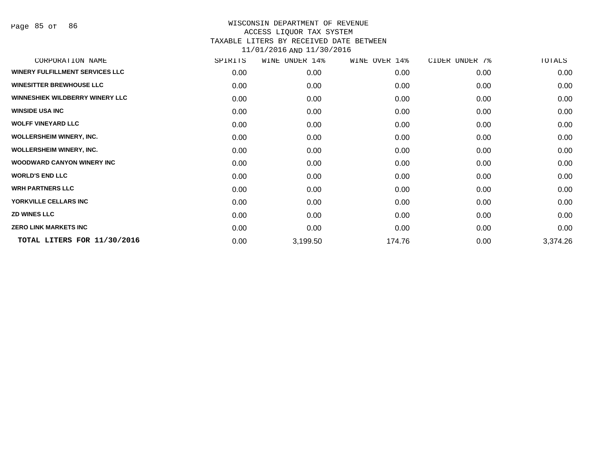Page 85 of 86

| CORPORATION NAME                       | SPIRITS | WINE<br>UNDER 14% | WINE OVER 14% | CIDER UNDER 7% | TOTALS   |
|----------------------------------------|---------|-------------------|---------------|----------------|----------|
| WINERY FULFILLMENT SERVICES LLC        | 0.00    | 0.00              | 0.00          | 0.00           | 0.00     |
| <b>WINESITTER BREWHOUSE LLC</b>        | 0.00    | 0.00              | 0.00          | 0.00           | 0.00     |
| <b>WINNESHIEK WILDBERRY WINERY LLC</b> | 0.00    | 0.00              | 0.00          | 0.00           | 0.00     |
| <b>WINSIDE USA INC</b>                 | 0.00    | 0.00              | 0.00          | 0.00           | 0.00     |
| <b>WOLFF VINEYARD LLC</b>              | 0.00    | 0.00              | 0.00          | 0.00           | 0.00     |
| <b>WOLLERSHEIM WINERY, INC.</b>        | 0.00    | 0.00              | 0.00          | 0.00           | 0.00     |
| <b>WOLLERSHEIM WINERY, INC.</b>        | 0.00    | 0.00              | 0.00          | 0.00           | 0.00     |
| <b>WOODWARD CANYON WINERY INC</b>      | 0.00    | 0.00              | 0.00          | 0.00           | 0.00     |
| <b>WORLD'S END LLC</b>                 | 0.00    | 0.00              | 0.00          | 0.00           | 0.00     |
| <b>WRH PARTNERS LLC</b>                | 0.00    | 0.00              | 0.00          | 0.00           | 0.00     |
| YORKVILLE CELLARS INC                  | 0.00    | 0.00              | 0.00          | 0.00           | 0.00     |
| <b>ZD WINES LLC</b>                    | 0.00    | 0.00              | 0.00          | 0.00           | 0.00     |
| <b>ZERO LINK MARKETS INC</b>           | 0.00    | 0.00              | 0.00          | 0.00           | 0.00     |
| TOTAL LITERS FOR 11/30/2016            | 0.00    | 3,199.50          | 174.76        | 0.00           | 3,374.26 |